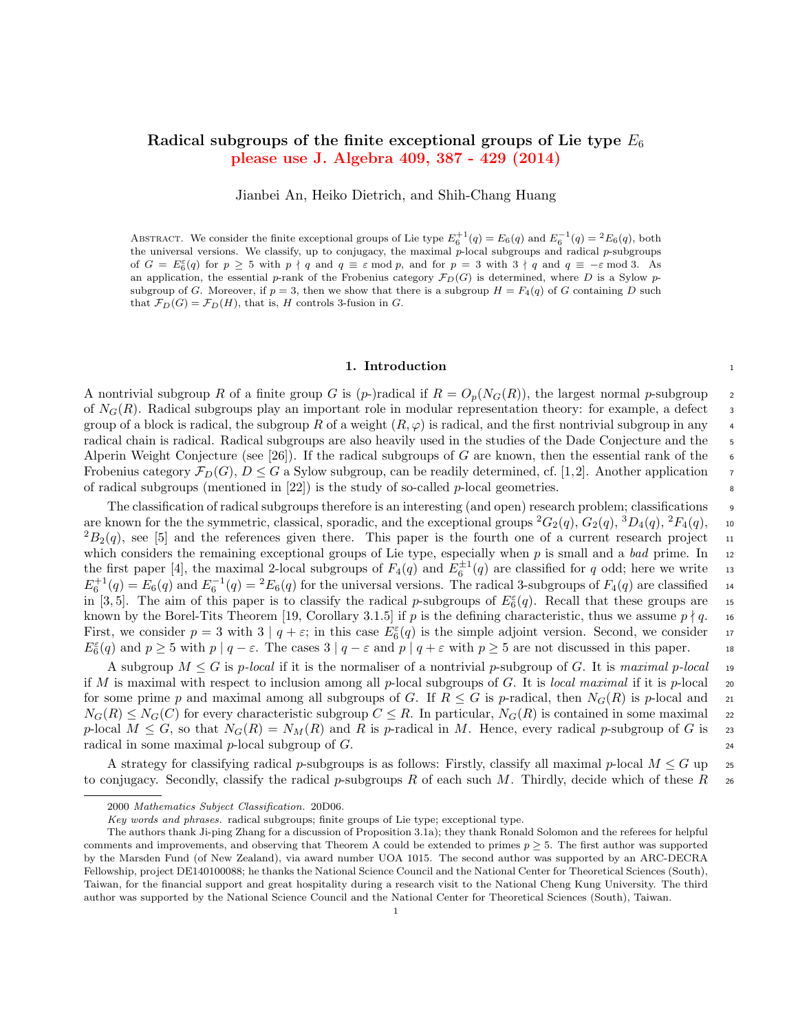# Radical subgroups of the finite exceptional groups of Lie type  $E_6$ please use J. Algebra 409, 387 - 429 (2014)

Jianbei An, Heiko Dietrich, and Shih-Chang Huang

ABSTRACT. We consider the finite exceptional groups of Lie type  $E_6^{+1}(q) = E_6(q)$  and  $E_6^{-1}(q) = {}^2E_6(q)$ , both the universal versions. We classify, up to conjugacy, the maximal  $p$ -local subgroups and radical  $p$ -subgroups of  $G = E_6^{\varepsilon}(q)$  for  $p \ge 5$  with  $p \nmid q$  and  $q \equiv \varepsilon \mod p$ , and for  $p = 3$  with  $3 \nmid q$  and  $q \equiv -\varepsilon \mod 3$ . As an application, the essential p-rank of the Frobenius category  $\mathcal{F}_D(G)$  is determined, where D is a Sylow psubgroup of G. Moreover, if  $p = 3$ , then we show that there is a subgroup  $H = F_4(q)$  of G containing D such that  $\mathcal{F}_D(G) = \mathcal{F}_D(H)$ , that is, H controls 3-fusion in G.

### 1. Introduction 1

A nontrivial subgroup R of a finite group G is  $(p-)$ radical if  $R = O_p(N_G(R))$ , the largest normal p-subgroup 2 of  $N_G(R)$ . Radical subgroups play an important role in modular representation theory: for example, a defect  $\overline{3}$ group of a block is radical, the subgroup R of a weight  $(R, \varphi)$  is radical, and the first nontrivial subgroup in any 4 radical chain is radical. Radical subgroups are also heavily used in the studies of the Dade Conjecture and the 5 Alperin Weight Conjecture (see [26]). If the radical subgroups of G are known, then the essential rank of the 6 Frobenius category  $\mathcal{F}_D(G)$ ,  $D \leq G$  a Sylow subgroup, can be readily determined, cf. [1,2]. Another application of radical subgroups (mentioned in  $[22]$ ) is the study of so-called p-local geometries.

The classification of radical subgroups therefore is an interesting (and open) research problem; classifications <sup>9</sup> are known for the the symmetric, classical, sporadic, and the exceptional groups  ${}^2G_2(q)$ ,  $G_2(q)$ ,  ${}^3D_4(q)$ ,  ${}^2F_4(q)$ , 10  ${}^{2}B_{2}(q)$ , see [5] and the references given there. This paper is the fourth one of a current research project 11 which considers the remaining exceptional groups of Lie type, especially when  $p$  is small and a bad prime. In 12 the first paper [4], the maximal 2-local subgroups of  $F_4(q)$  and  $E_6^{\pm 1}(q)$  are classified for q odd; here we write 13  $E_6^{+1}(q) = E_6(q)$  and  $E_6^{-1}(q) = {}^2E_6(q)$  for the universal versions. The radical 3-subgroups of  $F_4(q)$  are classified 14 in [3,5]. The aim of this paper is to classify the radical p-subgroups of  $E_6^{\varepsilon}(q)$ . Recall that these groups are 15 known by the Borel-Tits Theorem [19, Corollary 3.1.5] if p is the defining characteristic, thus we assume  $p \nmid q$ . 16 First, we consider  $p = 3$  with  $3 | q + \varepsilon$ ; in this case  $E_6^{\varepsilon}(q)$  is the simple adjoint version. Second, we consider 17  $E_6^{\varepsilon}(q)$  and  $p \ge 5$  with  $p | q - \varepsilon$ . The cases  $3 | q - \varepsilon$  and  $p | q + \varepsilon$  with  $p \ge 5$  are not discussed in this paper. 18

A subgroup  $M \leq G$  is p-local if it is the normaliser of a nontrivial p-subgroup of G. It is maximal p-local 19 if M is maximal with respect to inclusion among all p-local subgroups of G. It is local maximal if it is p-local 20 for some prime p and maximal among all subgroups of G. If  $R \leq G$  is p-radical, then  $N_G(R)$  is p-local and 21  $N_G(R) \leq N_G(C)$  for every characteristic subgroup  $C \leq R$ . In particular,  $N_G(R)$  is contained in some maximal 22 p-local  $M \leq G$ , so that  $N_G(R) = N_M(R)$  and R is p-radical in M. Hence, every radical p-subgroup of G is 23 radical in some maximal  $p$ -local subgroup of  $G$ . 24

A strategy for classifying radical p-subgroups is as follows: Firstly, classify all maximal p-local  $M \leq G$  up 25 to conjugacy. Secondly, classify the radical p-subgroups R of each such M. Thirdly, decide which of these  $R_{26}$ 

<sup>2000</sup> Mathematics Subject Classification. 20D06.

Key words and phrases. radical subgroups; finite groups of Lie type; exceptional type.

The authors thank Ji-ping Zhang for a discussion of Proposition 3.1a); they thank Ronald Solomon and the referees for helpful comments and improvements, and observing that Theorem A could be extended to primes  $p \geq 5$ . The first author was supported by the Marsden Fund (of New Zealand), via award number UOA 1015. The second author was supported by an ARC-DECRA Fellowship, project DE140100088; he thanks the National Science Council and the National Center for Theoretical Sciences (South), Taiwan, for the financial support and great hospitality during a research visit to the National Cheng Kung University. The third author was supported by the National Science Council and the National Center for Theoretical Sciences (South), Taiwan.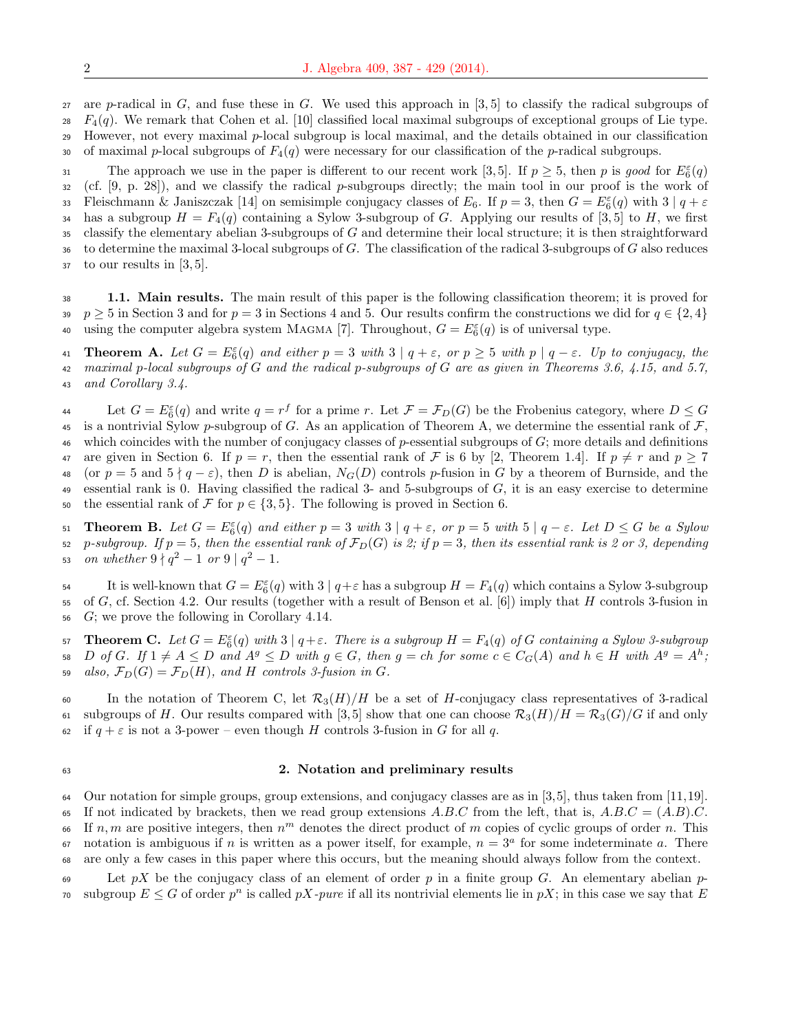27 are p-radical in  $G$ , and fuse these in  $G$ . We used this approach in [3, 5] to classify the radical subgroups of  $28 \text{ } F_4(q)$ . We remark that Cohen et al. [10] classified local maximal subgroups of exceptional groups of Lie type. <sup>29</sup> However, not every maximal p-local subgroup is local maximal, and the details obtained in our classification 30 of maximal p-local subgroups of  $F_4(q)$  were necessary for our classification of the p-radical subgroups.

The approach we use in the paper is different to our recent work [3,5]. If  $p \geq 5$ , then p is good for  $E_6^{\varepsilon}(q)$  $32 \text{ (cf. [9, p. 28])},$  and we classify the radical p-subgroups directly; the main tool in our proof is the work of 33 Fleischmann & Janiszczak [14] on semisimple conjugacy classes of  $E_6$ . If  $p=3$ , then  $G=E_6^{\varepsilon}(q)$  with  $3|q+\varepsilon$ 34 has a subgroup  $H = F_4(q)$  containing a Sylow 3-subgroup of G. Applying our results of [3,5] to H, we first  $35$  classify the elementary abelian 3-subgroups of G and determine their local structure; it is then straightforward  $36$  to determine the maximal 3-local subgroups of G. The classification of the radical 3-subgroups of G also reduces <sup>37</sup> to our results in [3, 5].

<sup>38</sup> 1.1. Main results. The main result of this paper is the following classification theorem; it is proved for 39 p  $\geq 5$  in Section 3 and for p = 3 in Sections 4 and 5. Our results confirm the constructions we did for  $q \in \{2, 4\}$ 40 using the computer algebra system MAGMA [7]. Throughout,  $G = E_6^{\varepsilon}(q)$  is of universal type.

**41** Theorem A. Let  $G = E_6^{\varepsilon}(q)$  and either  $p = 3$  with  $3 | q + \varepsilon$ , or  $p \ge 5$  with  $p | q - \varepsilon$ . Up to conjugacy, the 42 maximal p-local subgroups of G and the radical p-subgroups of G are as given in Theorems 3.6, 4.15, and 5.7, <sup>43</sup> and Corollary 3.4.

Let  $G = E_6^{\varepsilon}(q)$  and write  $q = r^f$  for a prime r. Let  $\mathcal{F} = \mathcal{F}_D(G)$  be the Frobenius category, where  $D \le G$ 45 is a nontrivial Sylow p-subgroup of G. As an application of Theorem A, we determine the essential rank of  $\mathcal F$ , 46 which coincides with the number of conjugacy classes of  $p$ -essential subgroups of  $G$ ; more details and definitions 47 are given in Section 6. If  $p = r$ , then the essential rank of F is 6 by [2, Theorem 1.4]. If  $p \neq r$  and  $p \geq 7$ 48 (or  $p = 5$  and  $5 \nmid q - \varepsilon$ ), then D is abelian,  $N_G(D)$  controls p-fusion in G by a theorem of Burnside, and the 49 essential rank is 0. Having classified the radical 3- and 5-subgroups of  $G$ , it is an easy exercise to determine 50 the essential rank of  $\mathcal F$  for  $p \in \{3, 5\}$ . The following is proved in Section 6.

51 **Theorem B.** Let  $G = E_6^{\varepsilon}(q)$  and either  $p = 3$  with  $3 | q + \varepsilon$ , or  $p = 5$  with  $5 | q - \varepsilon$ . Let  $D \le G$  be a Sylow 52 p-subgroup. If  $p = 5$ , then the essential rank of  $\mathcal{F}_D(G)$  is 2; if  $p = 3$ , then its essential rank is 2 or 3, depending 53 on whether  $9 \nmid q^2 - 1$  or  $9 \nmid q^2 - 1$ .

54 It is well-known that  $G = E_6^{\varepsilon}(q)$  with  $3 | q + \varepsilon$  has a subgroup  $H = F_4(q)$  which contains a Sylow 3-subgroup 55 of G, cf. Section 4.2. Our results (together with a result of Benson et al. [6]) imply that H controls 3-fusion in <sup>56</sup> G; we prove the following in Corollary 4.14.

57 **Theorem C.** Let  $G = E_6^{\varepsilon}(q)$  with  $3 | q + \varepsilon$ . There is a subgroup  $H = F_4(q)$  of G containing a Sylow 3-subgroup 58 D of G. If  $1 \neq A \leq D$  and  $A^g \leq D$  with  $g \in G$ , then  $g = ch$  for some  $c \in C_G(A)$  and  $h \in H$  with  $A^g = A^h$ ; 59 also,  $\mathcal{F}_D(G) = \mathcal{F}_D(H)$ , and H controls 3-fusion in G.

60 In the notation of Theorem C, let  $\mathcal{R}_3(H)/H$  be a set of H-conjugacy class representatives of 3-radical 61 subgroups of H. Our results compared with [3, 5] show that one can choose  $\mathcal{R}_3(H)/H = \mathcal{R}_3(G)/G$  if and only 62 if  $q + \varepsilon$  is not a 3-power – even though H controls 3-fusion in G for all q.

#### <sup>63</sup> 2. Notation and preliminary results

64 Our notation for simple groups, group extensions, and conjugacy classes are as in  $[3,5]$ , thus taken from  $[11,19]$ . 65 If not indicated by brackets, then we read group extensions A.B.C from the left, that is,  $A.B.C = (A.B).C$ . 66 If  $n, m$  are positive integers, then  $n^m$  denotes the direct product of m copies of cyclic groups of order n. This  $\sigma$  notation is ambiguous if n is written as a power itself, for example,  $n = 3^a$  for some indeterminate a. There <sup>68</sup> are only a few cases in this paper where this occurs, but the meaning should always follow from the context.

69 Let  $pX$  be the conjugacy class of an element of order p in a finite group G. An elementary abelian psubgroup  $E \leq G$  of order  $p^n$  is called pX-pure if all its nontrivial elements lie in pX; in this case we say that E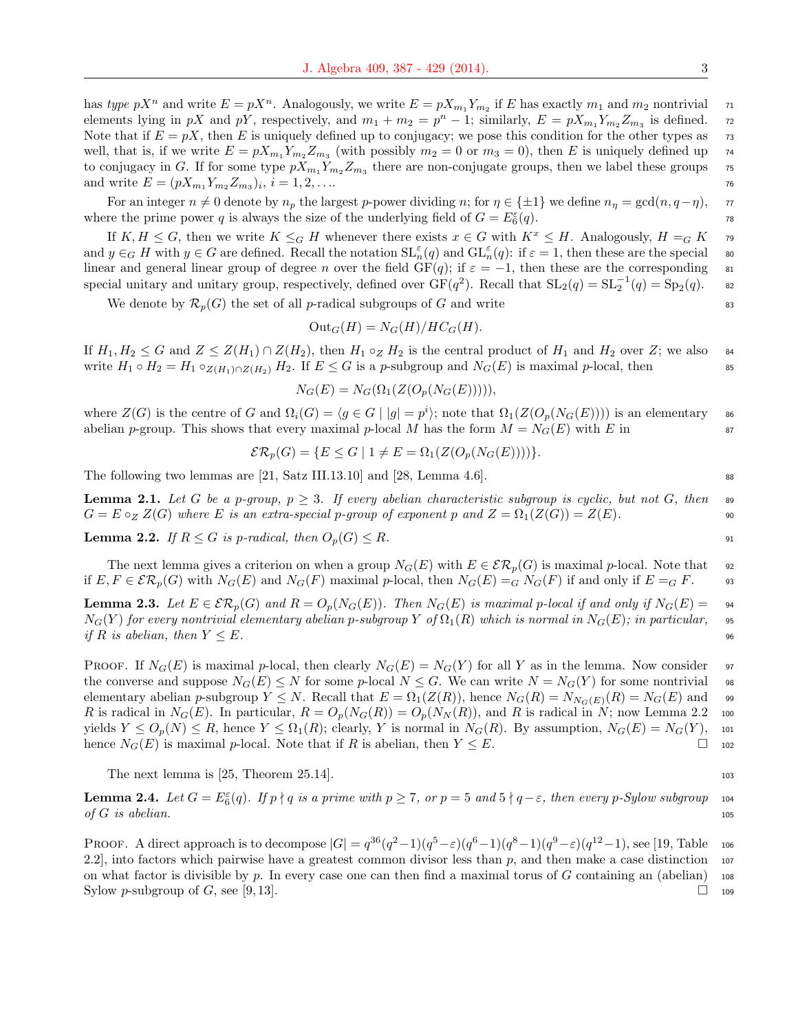has type  $pX^n$  and write  $E = pX^n$ . Analogously, we write  $E = pX_{m_1}Y_{m_2}$  if E has exactly  $m_1$  and  $m_2$  nontrivial  $n_1$ elements lying in pX and pY, respectively, and  $m_1 + m_2 = p^n - 1$ ; similarly,  $E = pX_{m_1}Y_{m_2}Z_{m_3}$  is defined. 72 Note that if  $E = pX$ , then E is uniquely defined up to conjugacy; we pose this condition for the other types as  $\tau$ well, that is, if we write  $E = pX_{m_1}Y_{m_2}Z_{m_3}$  (with possibly  $m_2 = 0$  or  $m_3 = 0$ ), then E is uniquely defined up 74 to conjugacy in G. If for some type  $pX_{m_1}Y_{m_2}Z_{m_3}$  there are non-conjugate groups, then we label these groups 75 and write  $E = (pX_{m_1}Y_{m_2}Z_{m_3})_i, i = 1, 2, \ldots$ 

For an integer  $n \neq 0$  denote by  $n_p$  the largest p-power dividing n; for  $\eta \in \{\pm 1\}$  we define  $n_p = \gcd(n, q - \eta)$ ,  $\pi$ where the prime power q is always the size of the underlying field of  $G = E_6^{\varepsilon}$  $(q)$ . 78

If  $K, H \leq G$ , then we write  $K \leq_G H$  whenever there exists  $x \in G$  with  $K^x \leq H$ . Analogously,  $H =_G K$  79 and  $y \in G$  H with  $y \in G$  are defined. Recall the notation  $\mathrm{SL}_n^{\varepsilon}(q)$  and  $\mathrm{GL}_n^{\varepsilon}(q)$ : if  $\varepsilon = 1$ , then these are the special so linear and general linear group of degree n over the field  $GF(q)$ ; if  $\varepsilon = -1$ , then these are the corresponding 81 special unitary and unitary group, respectively, defined over  $GF(q^2)$ . Recall that  $SL_2(q) = SL_2^{-1}(q) = Sp_2(q)$ . sz

We denote by  $\mathcal{R}_p(G)$  the set of all *p*-radical subgroups of G and write 83

$$
Out_G(H) = N_G(H)/HC_G(H).
$$

If  $H_1, H_2 \leq G$  and  $Z \leq Z(H_1) \cap Z(H_2)$ , then  $H_1 \circ_Z H_2$  is the central product of  $H_1$  and  $H_2$  over  $Z$ ; we also  $\bullet$ write  $H_1 \circ H_2 = H_1 \circ_{Z(H_1) \cap Z(H_2)} H_2$ . If  $E \leq G$  is a p-subgroup and  $N_G(E)$  is maximal p-local, then ss

$$
N_G(E) = N_G(\Omega_1(Z(O_p(N_G(E))))),
$$

where  $Z(G)$  is the centre of G and  $\Omega_i(G) = \langle g \in G \mid |g| = p^i \rangle$ ; note that  $\Omega_1(Z(O_p(N_G(E))))$  is an elementary so abelian p-group. This shows that every maximal p-local M has the form  $M = N_G(E)$  with E in 87

$$
\mathcal{ER}_p(G) = \{ E \le G \mid 1 \ne E = \Omega_1(Z(O_p(N_G(E)))) \}.
$$

The following two lemmas are [21, Satz III.13.10] and [28, Lemma 4.6].

**Lemma 2.1.** Let G be a p-group,  $p \geq 3$ . If every abelian characteristic subgroup is cyclic, but not G, then set  $G = E \circ_Z Z(G)$  where E is an extra-special p-group of exponent p and  $Z = \Omega_1(Z(G)) = Z(E)$ .

**Lemma 2.2.** If  $R \leq G$  is p-radical, then  $O_p(G) \leq R$ .

The next lemma gives a criterion on when a group  $N_G(E)$  with  $E \in \mathcal{ER}_p(G)$  is maximal p-local. Note that 92 if  $E, F \in \mathcal{ER}_p(G)$  with  $N_G(E)$  and  $N_G(F)$  maximal p-local, then  $N_G(E) =_G N_G(F)$  if and only if  $E =_G F$ . 93

**Lemma 2.3.** Let  $E \in \mathcal{ER}_p(G)$  and  $R = O_p(N_G(E))$ . Then  $N_G(E)$  is maximal p-local if and only if  $N_G(E) = \emptyset$  $N_G(Y)$  for every nontrivial elementary abelian p-subgroup Y of  $\Omega_1(R)$  which is normal in  $N_G(E)$ ; in particular, 95 if R is abelian, then  $Y \leq E$ .

PROOF. If  $N_G(E)$  is maximal p-local, then clearly  $N_G(E) = N_G(Y)$  for all Y as in the lemma. Now consider 97 the converse and suppose  $N_G(E) \leq N$  for some p-local  $N \leq G$ . We can write  $N = N_G(Y)$  for some nontrivial 98 elementary abelian p-subgroup  $Y \leq N$ . Recall that  $E = \Omega_1(Z(R))$ , hence  $N_G(R) = N_{N_G(E)}(R) = N_G(E)$  and 99 R is radical in  $N_G(E)$ . In particular,  $R = O_p(N_G(R)) = O_p(N_N(R))$ , and R is radical in N; now Lemma 2.2 100 yields  $Y \leq O_p(N) \leq R$ , hence  $Y \leq \Omega_1(R)$ ; clearly, Y is normal in  $N_G(R)$ . By assumption,  $N_G(E) = N_G(Y)$ , 101 hence  $N_G(E)$  is maximal p-local. Note that if R is abelian, then  $Y \leq E$ .

The next lemma is  $[25,$  Theorem  $25.14$ .

**Lemma 2.4.** Let  $G = E_6^{\varepsilon}(q)$ . If  $p \nmid q$  is a prime with  $p \ge 7$ , or  $p = 5$  and  $5 \nmid q - \varepsilon$ , then every p-Sylow subgroup 104 of  $G$  is abelian. 105

PROOF. A direct approach is to decompose  $|G| = q^{36}(q^2-1)(q^5-\varepsilon)(q^6-1)(q^8-1)(q^9-\varepsilon)(q^{12}-1)$ , see [19, Table 106 2.2], into factors which pairwise have a greatest common divisor less than  $p$ , and then make a case distinction 107 on what factor is divisible by p. In every case one can then find a maximal torus of  $G$  containing an (abelian) 108 Sylow p-subgroup of G, see [9, 13].  $\Box$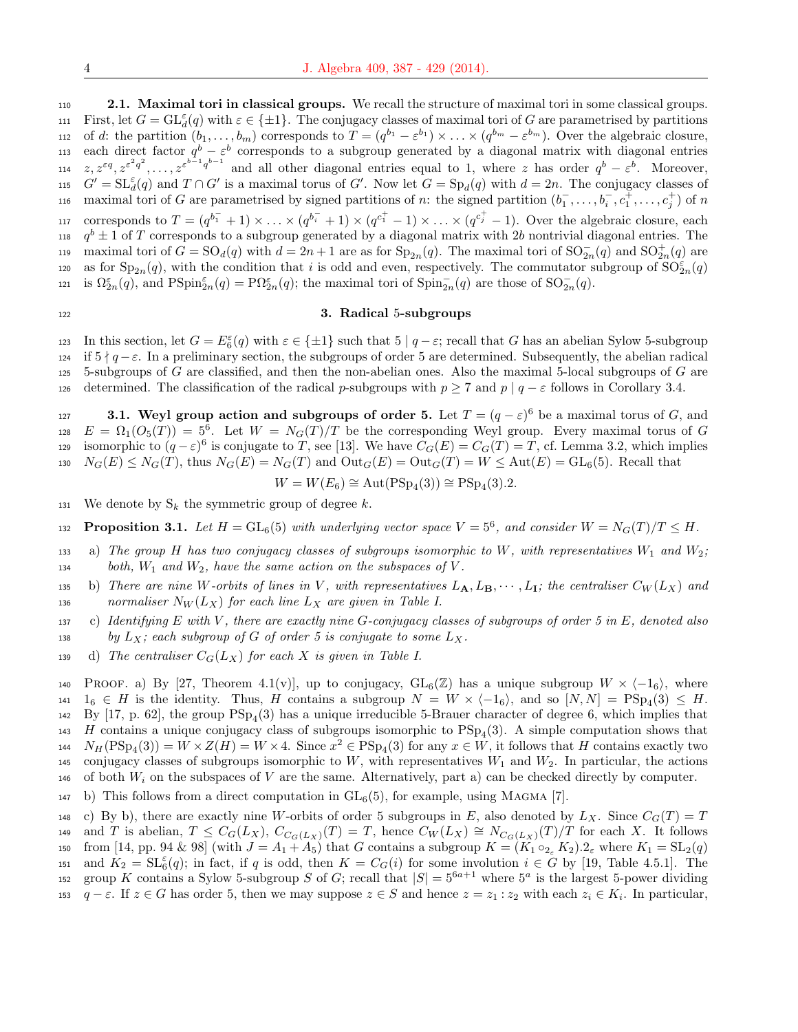<sup>110</sup> 2.1. Maximal tori in classical groups. We recall the structure of maximal tori in some classical groups. 111 First, let  $G = GL^{\varepsilon}_d(q)$  with  $\varepsilon \in \{\pm 1\}$ . The conjugacy classes of maximal tori of G are parametrised by partitions 112 of d: the partition  $(b_1, \ldots, b_m)$  corresponds to  $T = (q^{b_1} - \varepsilon^{b_1}) \times \ldots \times (q^{b_m} - \varepsilon^{b_m})$ . Over the algebraic closure, 113 each direct factor  $q^b - \varepsilon^b$  corresponds to a subgroup generated by a diagonal matrix with diagonal entries 114  $z, z^{\varepsilon q}, z^{\varepsilon^2 q^2}, \ldots, z^{\varepsilon^{b-1} q^{b-1}}$  and all other diagonal entries equal to 1, where z has order  $q^b - \varepsilon^b$ . Moreover, 115  $G' = SL_d^{\varepsilon}(q)$  and  $T \cap G'$  is a maximal torus of G'. Now let  $G = Sp_d(q)$  with  $d = 2n$ . The conjugacy classes of 116 maximal tori of G are parametrised by signed partitions of n: the signed partition  $(b_1^-, \ldots, b_i^-, c_1^+, \ldots, c_j^+)$  of n 117 corresponds to  $T = (q^{b_1^-} + 1) \times ... \times (q^{b_i^-} + 1) \times (q^{c_1^+} - 1) \times ... \times (q^{c_j^+} - 1)$ . Over the algebraic closure, each 118  $q^b \pm 1$  of T corresponds to a subgroup generated by a diagonal matrix with 2b nontrivial diagonal entries. The maximal tori of  $G = SO_d(q)$  with  $d = 2n + 1$  are as for  $Sp_{2n}(q)$ . The maximal tori of  $SO_{2n}^-(q)$  and  $SO_{2n}^+(q)$  are 120 as for  $Sp_{2n}(q)$ , with the condition that i is odd and even, respectively. The commutator subgroup of  $SO_{2n}^{\varepsilon}(q)$ 121 is  $\Omega_{2n}^{\varepsilon}(q)$ , and  $\text{PSpin}_{2n}^{\varepsilon}(q) = \text{P}\Omega_{2n}^{\varepsilon}(q)$ ; the maximal tori of  $\text{Spin}_{2n}^{\neg}(q)$  are those of  $\text{SO}_{2n}^{\neg}(q)$ .

# 122 3. Radical 5-subgroups

123 In this section, let  $G = E_6^{\varepsilon}(q)$  with  $\varepsilon \in {\pm 1}$  such that 5 |  $q - \varepsilon$ ; recall that G has an abelian Sylow 5-subgroup 124 if  $5 \nmid q - \varepsilon$ . In a preliminary section, the subgroups of order 5 are determined. Subsequently, the abelian radical 125 5-subgroups of G are classified, and then the non-abelian ones. Also the maximal 5-local subgroups of  $G$  are 126 determined. The classification of the radical p-subgroups with  $p \ge 7$  and  $p | q - \varepsilon$  follows in Corollary 3.4.

**3.1.** Weyl group action and subgroups of order 5. Let  $T = (q - \varepsilon)^6$  be a maximal torus of G, and  $E = \Omega_1(O_5(T)) = 5^6$ . Let  $W = N_G(T)/T$  be the corresponding Weyl group. Every maximal torus of G isomorphic to  $(q-\varepsilon)^6$  is conjugate to T, see [13]. We have  $C_G(E) = C_G(T) = T$ , cf. Lemma 3.2, which implies  $N_G(E) \leq N_G(T)$ , thus  $N_G(E) = N_G(T)$  and  $Out_G(E) = Out_G(T) = W \leq Aut(E) = GL_6(5)$ . Recall that

$$
W = W(E_6) \cong \text{Aut}(\text{PSp}_4(3)) \cong \text{PSp}_4(3).2.
$$

131 We denote by  $S_k$  the symmetric group of degree k.

132 **Proposition 3.1.** Let  $H = GL_6(5)$  with underlying vector space  $V = 5^6$ , and consider  $W = N_G(T)/T \leq H$ .

- 133 a) The group H has two conjugacy classes of subgroups isomorphic to W, with representatives  $W_1$  and  $W_2$ ; 134 both,  $W_1$  and  $W_2$ , have the same action on the subspaces of V.
- 135 b) There are nine W-orbits of lines in V, with representatives  $L_A, L_B, \cdots, L_I$ ; the centraliser  $C_W(L_X)$  and 136 normaliser  $N_W(L_X)$  for each line  $L_X$  are given in Table I.
- 137 c) Identifying E with V, there are exactly nine G-conjugacy classes of subgroups of order 5 in E, denoted also 138 by  $L_X$ ; each subgroup of G of order 5 is conjugate to some  $L_X$ .
- 139 d) The centraliser  $C_G(L_X)$  for each X is given in Table I.

140 PROOF. a) By [27, Theorem 4.1(v)], up to conjugacy,  $GL_6(\mathbb{Z})$  has a unique subgroup  $W \times \langle -1_6 \rangle$ , where  $141 \quad 1_6 \in H$  is the identity. Thus, H contains a subgroup  $N = W \times \langle -1_6 \rangle$ , and so  $[N, N] = \text{PSp}_4(3) \leq H$ . 142 By  $[17, p. 62]$ , the group  $PSp_4(3)$  has a unique irreducible 5-Brauer character of degree 6, which implies that 143 H contains a unique conjugacy class of subgroups isomorphic to  $PSp<sub>4</sub>(3)$ . A simple computation shows that 144  $N_H(\text{PSp}_4(3)) = W \times Z(H) = W \times 4$ . Since  $x^2 \in \text{PSp}_4(3)$  for any  $x \in W$ , it follows that H contains exactly two 145 conjugacy classes of subgroups isomorphic to W, with representatives  $W_1$  and  $W_2$ . In particular, the actions 146 of both  $W_i$  on the subspaces of V are the same. Alternatively, part a) can be checked directly by computer.

147 b) This follows from a direct computation in  $GL_6(5)$ , for example, using MAGMA [7].

148 c) By b), there are exactly nine W-orbits of order 5 subgroups in E, also denoted by  $L_X$ . Since  $C_G(T) = T$ 149 and T is abelian,  $T \n\t\leq C_G(L_X), C_{C_G(L_X)}(T) = T$ , hence  $C_W(L_X) \cong N_{C_G(L_X)}(T)/T$  for each X. It follows 150 from [14, pp. 94 & 98] (with  $J = A_1 + A_5$ ) that G contains a subgroup  $K = (K_1 \circ_{2_{\epsilon}} K_2) . 2_{\epsilon}$  where  $K_1 = SL_2(q)$ 151 and  $K_2 = \mathrm{SL}_6^{\varepsilon}(q)$ ; in fact, if q is odd, then  $K = C_G(i)$  for some involution  $i \in G$  by [19, Table 4.5.1]. The 152 group K contains a Sylow 5-subgroup S of G; recall that  $|S| = 5^{6a+1}$  where  $5^a$  is the largest 5-power dividing 153  $q - \varepsilon$ . If  $z \in G$  has order 5, then we may suppose  $z \in S$  and hence  $z = z_1 : z_2$  with each  $z_i \in K_i$ . In particular,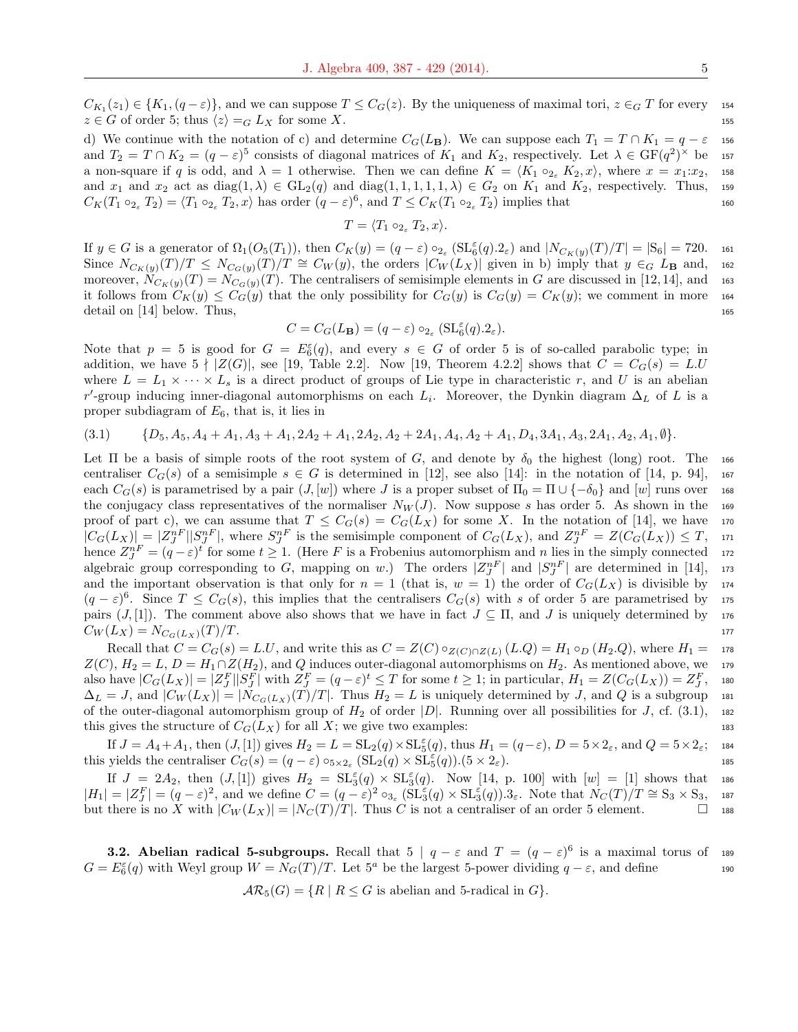$C_{K_1}(z_1) \in \{K_1,(q-\varepsilon)\}\$ , and we can suppose  $T \leq C_G(z)$ . By the uniqueness of maximal tori,  $z \in_G T$  for every 154  $z \in G$  of order 5; thus  $\langle z \rangle =_G L_X$  for some X. 155

d) We continue with the notation of c) and determine  $C_G(L_B)$ . We can suppose each  $T_1 = T \cap K_1 = q - \varepsilon$  156 and  $T_2 = T \cap K_2 = (q - \varepsilon)^5$  consists of diagonal matrices of  $K_1$  and  $K_2$ , respectively. Let  $\lambda \in \mathrm{GF}(q^2)^\times$  be 157 a non-square if q is odd, and  $\lambda = 1$  otherwise. Then we can define  $K = \langle K_1 \circ_{2\epsilon} K_2, x \rangle$ , where  $x = x_1:x_2$ , 158 and  $x_1$  and  $x_2$  act as diag(1,  $\lambda$ )  $\in$  GL<sub>2</sub>(q) and diag(1, 1, 1, 1, 1,  $\lambda$ )  $\in$  G<sub>2</sub> on  $K_1$  and  $K_2$ , respectively. Thus, 159  $C_K(T_1 \circ_{2_\varepsilon} T_2) = \langle T_1 \circ_{2_\varepsilon} T_2, x \rangle$  has order  $(q - \varepsilon)^6$ , and  $T \leq C_K(T_1 \circ_{2_\varepsilon} T_2)$  implies that 160

$$
T = \langle T_1 \circ_{2_{\varepsilon}} T_2, x \rangle.
$$

If  $y \in G$  is a generator of  $\Omega_1(O_5(T_1))$ , then  $C_K(y) = (q - \varepsilon) \circ_{2_{\varepsilon}} (\mathrm{SL}_6^{\varepsilon}(q).2_{\varepsilon})$  and  $|N_{C_K(y)}(T)/T| = |S_6| = 720$ . 161 Since  $N_{C_K(y)}(T)/T \leq N_{C_G(y)}(T)/T \cong C_W(y)$ , the orders  $|C_W(L_X)|$  given in b) imply that  $y \in G$   $L_\mathbf{B}$  and, 162 moreover,  $N_{C_K(y)}(T) = N_{C_G(y)}(T)$ . The centralisers of semisimple elements in G are discussed in [12,14], and 163 it follows from  $C_K(y) \leq C_G(y)$  that the only possibility for  $C_G(y)$  is  $C_G(y) = C_K(y)$ ; we comment in more 164 detail on  $[14]$  below. Thus, 165

$$
C = C_G(L_{\mathbf{B}}) = (q - \varepsilon) \circ_{2_{\varepsilon}} (\mathrm{SL}_6^{\varepsilon}(q).2_{\varepsilon}).
$$

Note that  $p = 5$  is good for  $G = E_6^{\varepsilon}(q)$ , and every  $s \in G$  of order 5 is of so-called parabolic type; in addition, we have  $5 \nmid |Z(G)|$ , see [19, Table 2.2]. Now [19, Theorem 4.2.2] shows that  $C = C_G(s) = LU$ where  $L = L_1 \times \cdots \times L_s$  is a direct product of groups of Lie type in characteristic r, and U is an abelian r'-group inducing inner-diagonal automorphisms on each  $L_i$ . Moreover, the Dynkin diagram  $\Delta_L$  of L is a proper subdiagram of  $E_6$ , that is, it lies in

$$
(3.1) \qquad \{D_5, A_5, A_4 + A_1, A_3 + A_1, 2A_2 + A_1, 2A_2, A_2 + 2A_1, A_4, A_2 + A_1, D_4, 3A_1, A_3, 2A_1, A_2, A_1, \emptyset\}.
$$

Let Π be a basis of simple roots of the root system of G, and denote by  $\delta_0$  the highest (long) root. The 166 centraliser  $C_G(s)$  of a semisimple  $s \in G$  is determined in [12], see also [14]: in the notation of [14, p. 94], 167 each  $C_G(s)$  is parametrised by a pair  $(J, [w])$  where J is a proper subset of  $\Pi_0 = \Pi \cup \{-\delta_0\}$  and  $[w]$  runs over 168 the conjugacy class representatives of the normaliser  $N_W(J)$ . Now suppose s has order 5. As shown in the 169 proof of part c), we can assume that  $T \leq C_G(s) = C_G(L_X)$  for some X. In the notation of [14], we have 170  $|C_G(L_X)| = |Z_J^{nF}| |S_J^{nF}|$ , where  $S_J^{nF}$  is the semisimple component of  $C_G(L_X)$ , and  $Z_J^{nF} = Z(C_G(L_X)) \leq T$ , 171 hence  $Z_J^{nF} = (q - \varepsilon)^t$  for some  $t \ge 1$ . (Here F is a Frobenius automorphism and n lies in the simply connected 172 algebraic group corresponding to G, mapping on w.) The orders  $|Z^{nF}_{J}|$  and  $|S^{nF}_{J}|$  are determined in [14], 173 and the important observation is that only for  $n = 1$  (that is,  $w = 1$ ) the order of  $C_G(L_X)$  is divisible by 174  $(q-\varepsilon)^6$ . Since  $T \leq C_G(s)$ , this implies that the centralisers  $C_G(s)$  with s of order 5 are parametrised by 175 pairs  $(J, [1])$ . The comment above also shows that we have in fact  $J \subseteq \Pi$ , and J is uniquely determined by 176  $C_W(L_X) = N_{C_G(L_X)}(T)/T.$ 

Recall that  $C = C_G(s) = L.U$ , and write this as  $C = Z(C) \circ_{Z(C) \cap Z(L)} (L.Q) = H_1 \circ_D (H_2.Q)$ , where  $H_1 = \sigma_{Z(C)}(H_1 \circ_H H_2 \circ_H H_3 \circ_H H_4 \circ_H H_5 \circ_H H_6$  $Z(C)$ ,  $H_2 = L$ ,  $D = H_1 \cap Z(H_2)$ , and Q induces outer-diagonal automorphisms on  $H_2$ . As mentioned above, we 179 also have  $|C_G(L_X)| = |Z_J^F||S_J^F|$  with  $Z_J^F = (q - \varepsilon)^t \le T$  for some  $t \ge 1$ ; in particular,  $H_1 = Z(C_G(L_X)) = Z_J^F$ , <sup>180</sup>  $\Delta_L = J$ , and  $|C_W(L_X)| = |N_{C_G(L_X)}(T)/T|$ . Thus  $H_2 = L$  is uniquely determined by J, and Q is a subgroup 181 of the outer-diagonal automorphism group of  $H_2$  of order  $|D|$ . Running over all possibilities for J, cf. (3.1), 182 this gives the structure of  $C_G(L_X)$  for all X; we give two examples: 183

If  $J = A_4 + A_1$ , then  $(J, [1])$  gives  $H_2 = L = SL_2(q) \times SL_5^{\varepsilon}(q)$ , thus  $H_1 = (q - \varepsilon)$ ,  $D = 5 \times 2_{\varepsilon}$ , and  $Q = 5 \times 2_{\varepsilon}$ ; 184 this yields the centraliser  $C_G(s) = (q - \varepsilon) \circ_{5 \times 2_{\varepsilon}} (\mathrm{SL}_2(q) \times \mathrm{SL}_5^{\varepsilon}(q)) (5 \times 2_{\varepsilon}).$ 

If  $J = 2A_2$ , then  $(J, [1])$  gives  $H_2 = SL_3^{\varepsilon}(q) \times SL_3^{\varepsilon}(q)$ . Now [14, p. 100] with  $[w] = [1]$  shows that 186  $|H_1| = |Z_J^F| = (q - \varepsilon)^2$ , and we define  $C = (q - \varepsilon)^2 \circ_{3_{\varepsilon}} (\widetilde{\mathrm{SL}}_3^{\varepsilon}(q) \times \mathrm{SL}_3^{\varepsilon}(q))$ . S<sub>c</sub>. Note that  $N_C(T)/T \cong S_3 \times S_3$ , 187 but there is no X with  $|C_W(L_X)| = |N_C(T)/T|$ . Thus C is not a centraliser of an order 5 element.  $\Box$  188

**3.2.** Abelian radical 5-subgroups. Recall that  $5 \mid q - \varepsilon$  and  $T = (q - \varepsilon)^6$  is a maximal torus of 189  $G = E_6^{\varepsilon}(q)$  with Weyl group  $W = N_G(T)/T$ . Let  $5^a$  be the largest 5-power dividing  $q - \varepsilon$ , and define 190

 $AR_5(G) = \{R \mid R \leq G \text{ is abelian and 5-radical in } G\}.$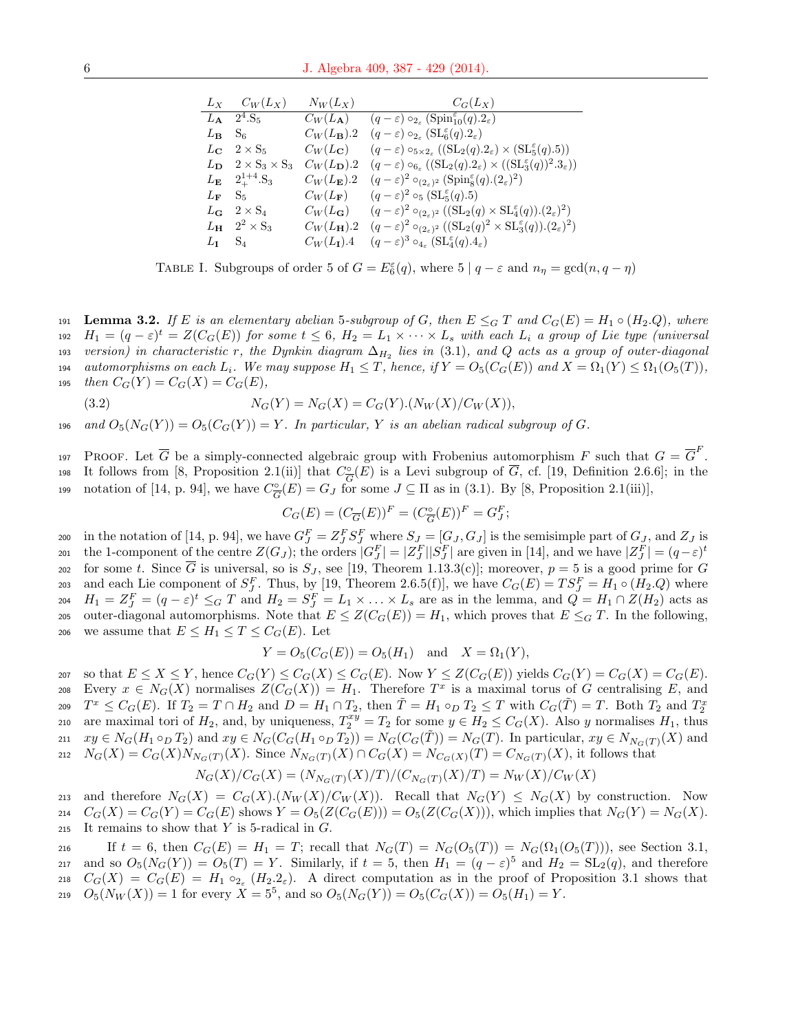|                                 | $L_X$ $C_W(L_X)$                               | $N_W(L_X)$              | $C_G(L_X)$                                                                                                                                         |
|---------------------------------|------------------------------------------------|-------------------------|----------------------------------------------------------------------------------------------------------------------------------------------------|
|                                 | $L_{\rm A}$ 2 <sup>4</sup> .S <sub>5</sub>     |                         | $C_W(L_{\bf A})$ $(q-\varepsilon) \circ_{2\varepsilon} (\text{Spin}_{10}^{\varepsilon}(q).2_{\varepsilon})$                                        |
| $L_{\mathbf{B}}$ S <sub>6</sub> |                                                | $C_W(L_{\mathbf{B}}).2$ | $(q-\varepsilon) \circ_{2\varepsilon} (\mathrm{SL}_6^{\varepsilon}(q).2_{\varepsilon})$                                                            |
|                                 | $L_{\rm C}$ 2 $\times$ S <sub>5</sub>          | $C_W(L_{\mathbf{C}})$   | $(q-\varepsilon) \circ_{5\times 2_{\varepsilon}} ((SL_2(q).2_{\varepsilon}) \times (SL_5^{\varepsilon}(q).5))$                                     |
|                                 | $L_{\mathbf{D}} \quad 2 \times S_3 \times S_3$ | $C_W(L_{\rm D})$ .2     | $(q-\varepsilon) \circ_{6_{\varepsilon}} ((SL_2(q).2_{\varepsilon}) \times ((SL_3^{\varepsilon}(q))^2.3_{\varepsilon}))$                           |
|                                 | $L_{\mathbf{E}}$ $2^{1+4}_{+}$ S <sub>3</sub>  | $C_W(L_{\mathbf{E}}).2$ | $(q-\varepsilon)^2 \circ_{(2\varepsilon)^2} (\text{Spin}_{8}^{\varepsilon}(q).(2\varepsilon)^2)$                                                   |
| $L_{\mathbf{F}}$ S <sub>5</sub> |                                                | $C_W(L_{\mathbf{F}})$   | $(q-\varepsilon)^2 \circ_5 (\text{SL}_5^{\varepsilon}(q).5)$                                                                                       |
|                                 | $L_{\mathbf{G}}$ 2 $\times$ S <sub>4</sub>     |                         | $C_W(L_{\mathbf{G}})$ $(q-\varepsilon)^2 \circ_{(2,\varepsilon)^2} ((\mathrm{SL}_2(q) \times \mathrm{SL}_4^{\varepsilon}(q)).(2_{\varepsilon})^2)$ |
|                                 | $L_{\mathbf{H}}$ $2^2 \times S_3$              | $C_W(L_{\mathbf{H}}).2$ | $(q-\varepsilon)^2 \circ_{(2\varepsilon)^2} ((SL_2(q)^2 \times SL_3^{\varepsilon}(q)).(2\varepsilon)^2)$                                           |
| $L_{\rm I}$ $S_4$               |                                                | $C_W(L_{\rm I})$ .4     | $(q-\varepsilon)^3 \circ_{4_\varepsilon} (\mathrm{SL}_4^{\varepsilon}(q).4_\varepsilon)$                                                           |

TABLE I. Subgroups of order 5 of  $G = E_6^{\varepsilon}(q)$ , where 5 |  $q - \varepsilon$  and  $n_\eta = \gcd(n, q - \eta)$ 

191 Lemma 3.2. If E is an elementary abelian 5-subgroup of G, then  $E \leq_G T$  and  $C_G(E) = H_1 \circ (H_2.Q)$ , where 192  $H_1 = (q - \varepsilon)^t = Z(C_G(E))$  for some  $t \leq 6$ ,  $H_2 = L_1 \times \cdots \times L_s$  with each  $L_i$  a group of Lie type (universal  $_{193}$  version) in characteristic  $r$ , the Dynkin diagram  $\Delta_{H_2}$  lies in (3.1), and  $Q$  acts as a group of outer-diagonal 194 automorphisms on each  $L_i$ . We may suppose  $H_1 \leq T$ , hence, if  $Y = O_5(C_G(E))$  and  $X = \Omega_1(Y) \leq \Omega_1(O_5(T))$ , 195 then  $C_G(Y) = C_G(X) = C_G(E)$ ,

(3.2) 
$$
N_G(Y) = N_G(X) = C_G(Y) . (N_W(X) / C_W(X)),
$$

196 and 
$$
O_5(N_G(Y)) = O_5(C_G(Y)) = Y
$$
. In particular, Y is an abelian radical subgroup of G.

197 PROOF. Let  $\overline{G}$  be a simply-connected algebraic group with Frobenius automorphism F such that  $G = \overline{G}^F$ . It follows from [8, Proposition 2.1(ii)] that  $C_{\overline{C}}^{\circ}$ 198 It follows from [8, Proposition 2.1(ii)] that  $C_{\overline{G}}(E)$  is a Levi subgroup of G, cf. [19, Definition 2.6.6]; in the notation of [14, p. 94], we have  $C^{\circ}_{\overline{c}}$ notation of [14, p. 94], we have  $C_G^{\circ}(E) = G_J$  for some  $J \subseteq \Pi$  as in (3.1). By [8, Proposition 2.1(iii)],

$$
C_G(E)=(C_{\overline{G}}(E))^F=(C_{\overline{G}}^\circ(E))^F=G^F_J;
$$

200 in the notation of [14, p. 94], we have  $G_J^F = Z_J^F S_J^F$  where  $S_J = [G_J, G_J]$  is the semisimple part of  $G_J$ , and  $Z_J$  is the 1-component of the centre  $Z(G_J)$ ; the orders  $|G_J^F| = |Z_J^F||S_J^F|$  are given in [14], and we have  $|Z_J^F| = (q-\varepsilon)^t$ 201 202 for some t. Since  $\overline{G}$  is universal, so is  $S_J$ , see [19, Theorem 1.13.3(c)]; moreover,  $p=5$  is a good prime for G 203 and each Lie component of  $S_J^F$ . Thus, by [19, Theorem 2.6.5(f)], we have  $C_G(E) = TS_J^F = H_1 \circ (H_2, Q)$  where 204  $H_1 = Z_J^F = (q - \varepsilon)^t \leq_G T$  and  $H_2 = S_J^F = L_1 \times \ldots \times L_s$  are as in the lemma, and  $Q = H_1 \cap Z(H_2)$  acts as 205 outer-diagonal automorphisms. Note that  $E \leq Z(C_G(E)) = H_1$ , which proves that  $E \leq_G T$ . In the following, 206 we assume that  $E \leq H_1 \leq T \leq C_G(E)$ . Let

$$
Y = O_5(C_G(E)) = O_5(H_1)
$$
 and  $X = \Omega_1(Y)$ ,

207 so that  $E \leq X \leq Y$ , hence  $C_G(Y) \leq C_G(X) \leq C_G(E)$ . Now  $Y \leq Z(C_G(E))$  yields  $C_G(Y) = C_G(X) = C_G(E)$ . 208 Every  $x \in N_G(X)$  normalises  $Z(C_G(X)) = H_1$ . Therefore  $T^x$  is a maximal torus of G centralising E, and  $T^x \leq C_G(E)$ . If  $T_2 = T \cap H_2$  and  $D = H_1 \cap T_2$ , then  $\tilde{T} = H_1 \circ_D T_2 \leq T$  with  $C_G(\tilde{T}) = T$ . Both  $T_2$  and  $T_2^x$ 209 210 are maximal tori of  $H_2$ , and, by uniqueness,  $T_2^{xy} = T_2$  for some  $y \in H_2 \leq C_G(X)$ . Also y normalises  $H_1$ , thus 211  $xy \in N_G(H_1 \circ_D T_2)$  and  $xy \in N_G(C_G(H_1 \circ_D T_2)) = N_G(C_G(\tilde{T})) = N_G(T)$ . In particular,  $xy \in N_{N_G(T)}(X)$  and 212  $N_G(X) = C_G(X)N_{N_G(T)}(X)$ . Since  $N_{N_G(T)}(X) \cap C_G(X) = N_{C_G(X)}(T) = C_{N_G(T)}(X)$ , it follows that

$$
N_G(X)/C_G(X) = (N_{N_G(T)}(X)/T)/(C_{N_G(T)}(X)/T) = N_W(X)/C_W(X)
$$

213 and therefore  $N_G(X) = C_G(X) \cdot (N_W(X)/C_W(X))$ . Recall that  $N_G(Y) \leq N_G(X)$  by construction. Now  $214 \quad C_G(X) = C_G(Y) = C_G(E)$  shows  $Y = O_5(Z(C_G(E))) = O_5(Z(C_G(X))),$  which implies that  $N_G(Y) = N_G(X)$ . 215 It remains to show that  $Y$  is 5-radical in  $G$ .

216 If  $t = 6$ , then  $C_G(E) = H_1 = T$ ; recall that  $N_G(T) = N_G(O_5(T)) = N_G(\Omega_1(O_5(T)))$ , see Section 3.1, 217 and so  $O_5(N_G(Y)) = O_5(T) = Y$ . Similarly, if  $t = 5$ , then  $H_1 = (q - \varepsilon)^5$  and  $H_2 = SL_2(q)$ , and therefore 218  $C_G(X) = C_G(E) = H_1 \circ_{2_{\varepsilon}} (H_2.2_{\varepsilon}).$  A direct computation as in the proof of Proposition 3.1 shows that 219  $O_5(N_W(X)) = 1$  for every  $X = 5^5$ , and so  $O_5(N_G(Y)) = O_5(C_G(X)) = O_5(H_1) = Y$ .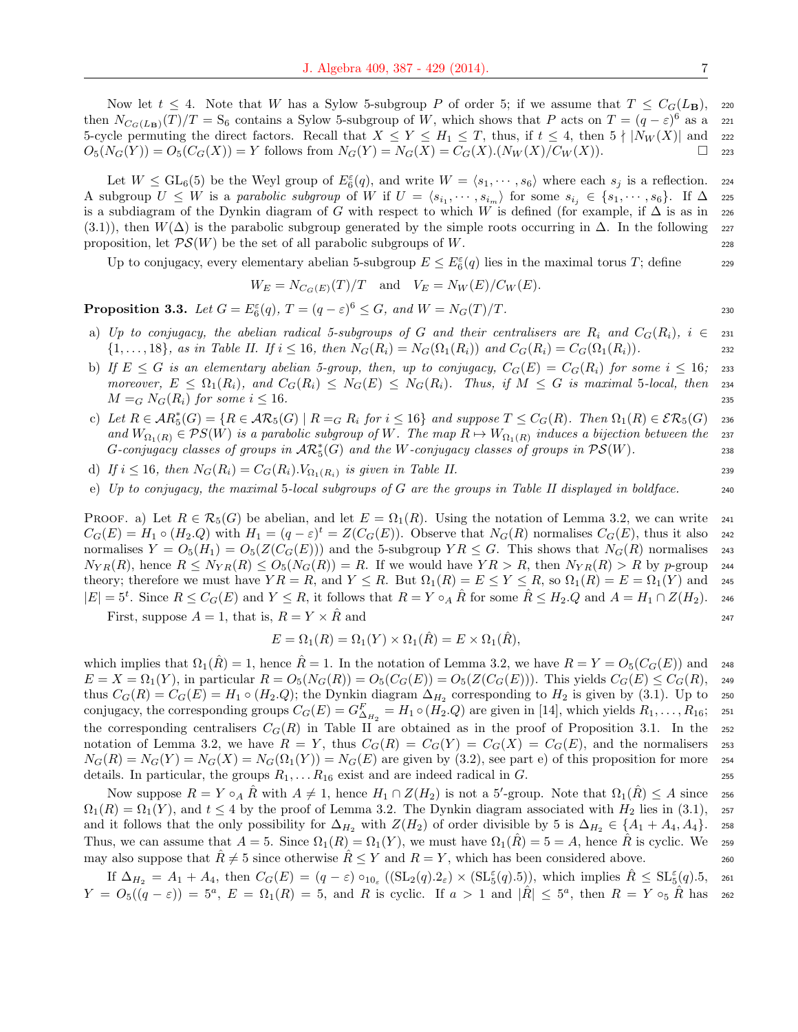Now let  $t \leq 4$ . Note that W has a Sylow 5-subgroup P of order 5; if we assume that  $T \leq C_G(L_B)$ , 220 then  $N_{C_G(L_B)}(T)/T = S_6$  contains a Sylow 5-subgroup of W, which shows that P acts on  $T = (q - \varepsilon)^6$  as a 221 5-cycle permuting the direct factors. Recall that  $X \le Y \le H_1 \le T$ , thus, if  $t \le 4$ , then  $5 \nmid |N_W(X)|$  and 222  $O_5(N_G(Y)) = O_5(C_G(X)) = Y$  follows from  $N_G(Y) = N_G(X) = C_G(X) \cdot (N_W(X)/C_W(X))$ .  $\Box$  223

Let  $W \le GL_6(5)$  be the Weyl group of  $E_6^{\varepsilon}(q)$ , and write  $W = \langle s_1, \dots, s_6 \rangle$  where each  $s_j$  is a reflection. 224 A subgroup  $U \leq W$  is a parabolic subgroup of W if  $U = \langle s_{i_1}, \dots, s_{i_m} \rangle$  for some  $s_{i_j} \in \{s_1, \dots, s_6\}$ . If  $\Delta$  225 is a subdiagram of the Dynkin diagram of G with respect to which W is defined (for example, if  $\Delta$  is as in 226 (3.1)), then  $W(\Delta)$  is the parabolic subgroup generated by the simple roots occurring in  $\Delta$ . In the following 227 proposition, let  $\mathcal{PS}(W)$  be the set of all parabolic subgroups of W. 228

Up to conjugacy, every elementary abelian 5-subgroup  $E \le E_6^{\varepsilon}(q)$  lies in the maximal torus T; define 229

$$
W_E = N_{C_G(E)}(T)/T \quad \text{and} \quad V_E = N_W(E)/C_W(E).
$$

**Proposition 3.3.** Let  $G = E_6^{\varepsilon}(q)$ ,  $T = (q - \varepsilon)^6 \leq G$ , and  $W = N_G(T)/T$ .

- a) Up to conjugacy, the abelian radical 5-subgroups of G and their centralisers are  $R_i$  and  $C_G(R_i)$ ,  $i \in \mathbb{Z}$  231  $\{1, \ldots, 18\}$ , as in Table II. If  $i \leq 16$ , then  $N_G(R_i) = N_G(\Omega_1(R_i))$  and  $C_G(R_i) = C_G(\Omega_1(R_i))$ .
- b) If  $E \leq G$  is an elementary abelian 5-group, then, up to conjugacy,  $C_G(E) = C_G(R_i)$  for some  $i \leq 16$ ; 233 moreover,  $E \leq \Omega_1(R_i)$ , and  $C_G(R_i) \leq N_G(E) \leq N_G(R_i)$ . Thus, if  $M \leq G$  is maximal 5-local, then 234  $M = G N_G(R_i)$  for some  $i \leq 16$ .
- c) Let  $R \in AR_5^*(G) = \{R \in \mathcal{AR}_5(G) \mid R =_G R_i \text{ for } i \leq 16\}$  and suppose  $T \leq C_G(R)$ . Then  $\Omega_1(R) \in \mathcal{ER}_5(G)$  236 and  $W_{\Omega_1(R)} \in \mathcal{P}S(W)$  is a parabolic subgroup of W. The map  $R \mapsto W_{\Omega_1(R)}$  induces a bijection between the 237 G-conjugacy classes of groups in  $\mathcal{AR}_5^*(G)$  and the W-conjugacy classes of groups in  $\mathcal{PS}(W)$ .
- d) If  $i \leq 16$ , then  $N_G(R_i) = C_G(R_i)$ .  $V_{\Omega_1(R_i)}$  is given in Table II. 239
- e) Up to conjugacy, the maximal 5-local subgroups of G are the groups in Table II displayed in boldface.  $\qquad 240$

PROOF. a) Let  $R \in \mathcal{R}_5(G)$  be abelian, and let  $E = \Omega_1(R)$ . Using the notation of Lemma 3.2, we can write 241  $C_G(E) = H_1 \circ (H_2 \cdot Q)$  with  $H_1 = (q - \varepsilon)^t = Z(C_G(E))$ . Observe that  $N_G(R)$  normalises  $C_G(E)$ , thus it also 242 normalises  $Y = O_5(H_1) = O_5(Z(C_G(E)))$  and the 5-subgroup  $YR \leq G$ . This shows that  $N_G(R)$  normalises 243  $N_{YR}(R)$ , hence  $R \leq N_{YR}(R) \leq O_5(N_G(R)) = R$ . If we would have  $YR > R$ , then  $N_{YR}(R) > R$  by p-group 244 theory; therefore we must have  $Y R = R$ , and  $Y \leq R$ . But  $\Omega_1(R) = E \leq Y \leq R$ , so  $\Omega_1(R) = E = \Omega_1(Y)$  and 245  $|E| = 5^t$ . Since  $R \leq C_G(E)$  and  $Y \leq R$ , it follows that  $R = Y \circ_A \hat{R}$  for some  $\hat{R} \leq H_2 \cdot Q$  and  $A = H_1 \cap Z(H_2)$ . 246

First, suppose  $A = 1$ , that is,  $R = Y \times \hat{R}$  and 247

$$
E = \Omega_1(R) = \Omega_1(Y) \times \Omega_1(\hat{R}) = E \times \Omega_1(\hat{R}),
$$

which implies that  $\Omega_1(\hat{R}) = 1$ , hence  $\hat{R} = 1$ . In the notation of Lemma 3.2, we have  $R = Y = O_5(C_G(E))$  and 248  $E = X = \Omega_1(Y)$ , in particular  $R = O_5(N_G(R)) = O_5(C_G(E)) = O_5(Z(C_G(E)))$ . This yields  $C_G(E) \leq C_G(R)$ , 249 thus  $C_G(R) = C_G(E) = H_1 \circ (H_2 \cdot Q)$ ; the Dynkin diagram  $\Delta_{H_2}$  corresponding to  $H_2$  is given by (3.1). Up to 250 conjugacy, the corresponding groups  $C_G(E) = G_{\Delta_{H_2}}^F = H_1 \circ (H_2.Q)$  are given in [14], which yields  $R_1, \ldots, R_{16}$ ; 251 the corresponding centralisers  $C_G(R)$  in Table II are obtained as in the proof of Proposition 3.1. In the 252 notation of Lemma 3.2, we have  $R = Y$ , thus  $C_G(R) = C_G(Y) = C_G(X) = C_G(E)$ , and the normalisers 253  $N_G(R) = N_G(Y) = N_G(X) = N_G(\Omega_1(Y)) = N_G(E)$  are given by (3.2), see part e) of this proposition for more 254 details. In particular, the groups  $R_1, \ldots, R_{16}$  exist and are indeed radical in G.

Now suppose  $R = Y \circ_A \hat{R}$  with  $A \neq 1$ , hence  $H_1 \cap Z(H_2)$  is not a 5'-group. Note that  $\Omega_1(\hat{R}) \leq A$  since 256  $\Omega_1(R) = \Omega_1(Y)$ , and  $t \leq 4$  by the proof of Lemma 3.2. The Dynkin diagram associated with  $H_2$  lies in (3.1), 257 and it follows that the only possibility for  $\Delta_{H_2}$  with  $Z(H_2)$  of order divisible by 5 is  $\Delta_{H_2} \in \{A_1 + A_4, A_4\}$ . 258 Thus, we can assume that  $A = 5$ . Since  $\Omega_1(R) = \Omega_1(Y)$ , we must have  $\Omega_1(R) = 5 = A$ , hence R is cyclic. We 259 may also suppose that  $\hat{R} \neq 5$  since otherwise  $\hat{R} \leq Y$  and  $R = Y$ , which has been considered above.

If  $\Delta_{H_2} = A_1 + A_4$ , then  $C_G(E) = (q - \varepsilon) \circ_{10_{\varepsilon}} ((SL_2(q).2_{\varepsilon}) \times (SL_5^{\varepsilon}(q).5))$ , which implies  $\hat{R} \leq SL_5^{\varepsilon}(q).5$ , 261  $Y = O_5((q - \varepsilon)) = 5^a$ ,  $E = \Omega_1(R) = 5$ , and R is cyclic. If  $a > 1$  and  $|\hat{R}| \leq 5^a$ , then  $R = Y \circ_5 \hat{R}$  has 262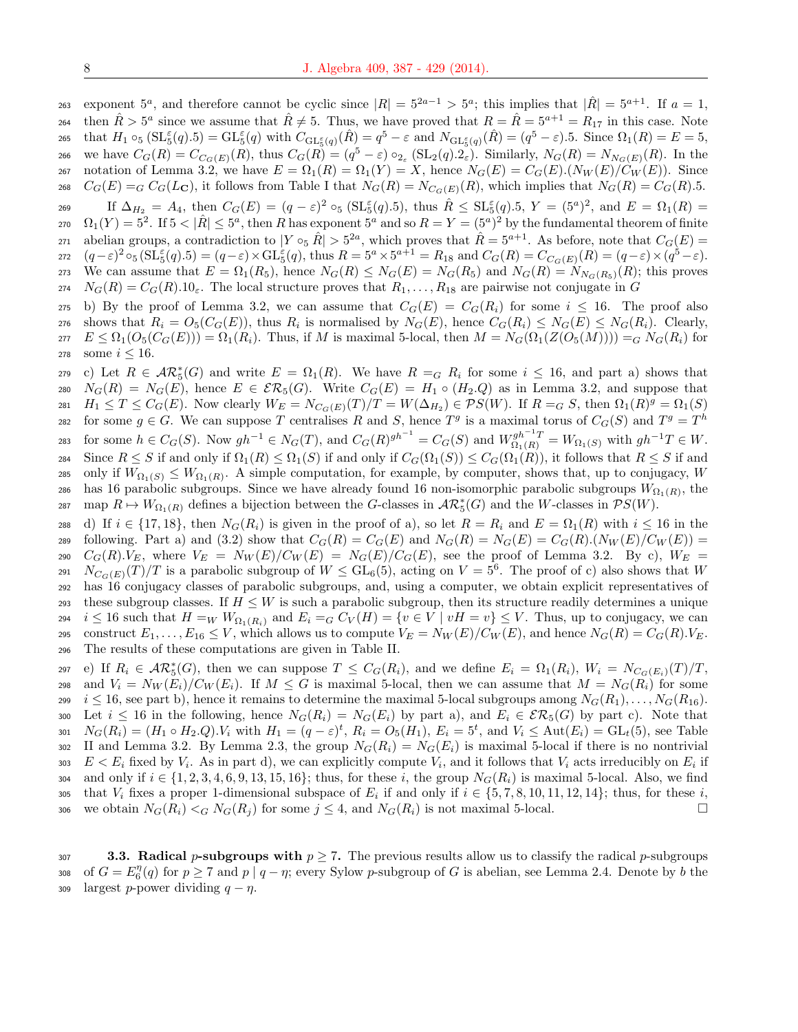exponent  $5^a$ , and therefore cannot be cyclic since  $|R| = 5^{2a-1} > 5^a$ ; this implies that  $|\hat{R}| = 5^{a+1}$ . If  $a = 1$ , 264 then  $\hat{R} > 5^a$  since we assume that  $\hat{R} \neq 5$ . Thus, we have proved that  $R = \hat{R} = 5^{a+1} = R_{17}$  in this case. Note 265 that  $H_1 \circ_5 (\mathrm{SL}_5^{\varepsilon}(q).5) = \mathrm{GL}_5^{\varepsilon}(q)$  with  $C_{\mathrm{GL}_5^{\varepsilon}(q)}(\hat{R}) = q^5 - \varepsilon$  and  $N_{\mathrm{GL}_5^{\varepsilon}(q)}(\hat{R}) = (q^5 - \varepsilon).5$ . Since  $\Omega_1(R) = E = 5$ , 266 we have  $C_G(R) = C_{C_G(E)}(R)$ , thus  $C_G(R) = (q^5 - \varepsilon) \circ_{2_{\varepsilon}} (\mathrm{SL}_2(q).2_{\varepsilon})$ . Similarly,  $N_G(R) = N_{N_G(E)}(R)$ . In the 267 notation of Lemma 3.2, we have  $E = \Omega_1(R) = \Omega_1(Y) = X$ , hence  $N_G(E) = C_G(E) \cdot (N_W(E)/C_W(E))$ . Since 268  $C_G(E) = G C_G(L_C)$ , it follows from Table I that  $N_G(R) = N_{C_G(E)}(R)$ , which implies that  $N_G(R) = C_G(R)$ .5.

269 If  $\Delta_{H_2} = A_4$ , then  $C_G(E) = (q - \varepsilon)^2 \circ_5 (\text{SL}_5^{\varepsilon}(q).5)$ , thus  $\hat{R} \leq \text{SL}_5^{\varepsilon}(q).5$ ,  $Y = (5^a)^2$ , and  $E = \Omega_1(R) =$ 270  $\Omega_1(Y) = 5^2$ . If  $5 < |\hat{R}| \le 5^a$ , then R has exponent  $5^a$  and so  $R = Y = (5^a)^2$  by the fundamental theorem of finite 271 abelian groups, a contradiction to  $|Y \circ_{5} \hat{R}| > 5^{2a}$ , which proves that  $\hat{R} = 5^{a+1}$ . As before, note that  $C_{\mathcal{G}}(E)$ 272  $(q-\varepsilon)^2 \circ_5 (\mathrm{SL}_5^{\varepsilon}(q).5) = (q-\varepsilon) \times \mathrm{GL}_5^{\varepsilon}(q),$  thus  $R = 5^a \times 5^{a+1} = R_{18}$  and  $C_G(R) = C_{C_G(E)}(R) = (q-\varepsilon) \times (q^5 - \varepsilon).$ 273 We can assume that  $E = \Omega_1(R_5)$ , hence  $N_G(R) \leq N_G(E) = N_G(R_5)$  and  $N_G(R) = N_{N_G(R_5)}(R)$ ; this proves  $274$   $N_G(R) = C_G(R).10_\varepsilon$ . The local structure proves that  $R_1, \ldots, R_{18}$  are pairwise not conjugate in G

275 b) By the proof of Lemma 3.2, we can assume that  $C_G(E) = C_G(R_i)$  for some  $i \leq 16$ . The proof also shows that  $R_i = O_5(C_G(E))$ , thus  $R_i$  is normalised by  $N_G(E)$ , hence  $C_G(R_i) \leq N_G(E) \leq N_G(R_i)$ . Clearly,  $277$   $E \leq \Omega_1(O_5(C_G(E))) = \Omega_1(R_i)$ . Thus, if M is maximal 5-local, then  $M = N_G(\Omega_1(Z(O_5(M)))) = G N_G(R_i)$  for 278 some  $i < 16$ .

279 c) Let  $R \in \mathcal{AR}_{5}^{*}(G)$  and write  $E = \Omega_{1}(R)$ . We have  $R = G R_{i}$  for some  $i \leq 16$ , and part a) shows that 280  $N_G(R) = N_G(E)$ , hence  $E \in \mathcal{ER}_5(G)$ . Write  $C_G(E) = H_1 \circ (H_2,Q)$  as in Lemma 3.2, and suppose that 281  $H_1 \leq T \leq C_G(E)$ . Now clearly  $W_E = N_{C_G(E)}(T)/T = W(\Delta_{H_2}) \in \mathcal{PS}(W)$ . If  $R = G S$ , then  $\Omega_1(R)^g = \Omega_1(S)$ for some  $g \in G$ . We can suppose T centralises R and S, hence  $T^g$  is a maximal torus of  $C_G(S)$  and  $T^g = T^h$ 282 283 for some  $h \in C_G(S)$ . Now  $gh^{-1} \in N_G(T)$ , and  $C_G(R)^{gh^{-1}} = C_G(S)$  and  $W^{gh^{-1}T}_{\Omega_1(R)} = W_{\Omega_1(S)}$  with  $gh^{-1}T \in W$ . 284 Since  $R \leq S$  if and only if  $\Omega_1(R) \leq \Omega_1(S)$  if and only if  $C_G(\Omega_1(S)) \leq C_G(\Omega_1(R))$ , it follows that  $R \leq S$  if and 285 only if  $W_{\Omega_1(S)} \leq W_{\Omega_1(R)}$ . A simple computation, for example, by computer, shows that, up to conjugacy, W 286 has 16 parabolic subgroups. Since we have already found 16 non-isomorphic parabolic subgroups  $W_{\Omega_1(R)}$ , the 287 map  $R \mapsto W_{\Omega_1(R)}$  defines a bijection between the G-classes in  $\mathcal{AR}_5^*(G)$  and the W-classes in  $\mathcal{PS}(W)$ .

288 d) If  $i \in \{17, 18\}$ , then  $N_G(R_i)$  is given in the proof of a), so let  $R = R_i$  and  $E = \Omega_1(R)$  with  $i \leq 16$  in the 289 following. Part a) and (3.2) show that  $C_G(R) = C_G(E)$  and  $N_G(R) = N_G(E) = C_G(R) \cdot (N_W(E)/C_W(E)) =$ 290  $C_G(R).V_E$ , where  $V_E = N_W(E)/C_W(E) = N_G(E)/C_G(E)$ , see the proof of Lemma 3.2. By c),  $W_E =$ 291  $N_{C_G(E)}(T)/T$  is a parabolic subgroup of  $W \le GL_6(5)$ , acting on  $V = 5^6$ . The proof of c) also shows that W <sup>292</sup> has 16 conjugacy classes of parabolic subgroups, and, using a computer, we obtain explicit representatives of 293 these subgroup classes. If  $H \leq W$  is such a parabolic subgroup, then its structure readily determines a unique 294 i  $\leq 16$  such that  $H =_{W} W_{\Omega_1(R_i)}$  and  $E_i =_{G} C_V(H) = \{v \in V \mid vH = v\} \leq V$ . Thus, up to conjugacy, we can 295 construct  $E_1, \ldots, E_{16} \leq V$ , which allows us to compute  $V_E = N_W(E)/C_W(E)$ , and hence  $N_G(R) = C_G(R)$ .  $V_E$ . <sup>296</sup> The results of these computations are given in Table II.

297 (e) If  $R_i \in \mathcal{AR}_5^*(G)$ , then we can suppose  $T \leq C_G(R_i)$ , and we define  $E_i = \Omega_1(R_i)$ ,  $W_i = N_{C_G(E_i)}(T)/T$ , 298 and  $V_i = N_W(E_i)/C_W(E_i)$ . If  $M \leq G$  is maximal 5-local, then we can assume that  $M = N_G(R_i)$  for some 299 i  $i \leq 16$ , see part b), hence it remains to determine the maximal 5-local subgroups among  $N_G(R_1), \ldots, N_G(R_{16})$ . 300 Let  $i \leq 16$  in the following, hence  $N_G(R_i) = N_G(E_i)$  by part a), and  $E_i \in \mathcal{ER}_5(G)$  by part c). Note that 301  $N_G(R_i) = (H_1 \circ H_2 \cdot Q) \cdot V_i$  with  $H_1 = (q - \varepsilon)^t$ ,  $R_i = O_5(H_1)$ ,  $E_i = 5^t$ , and  $V_i \le \text{Aut}(E_i) = \text{GL}_t(5)$ , see Table 302 II and Lemma 3.2. By Lemma 2.3, the group  $N_G(R_i) = N_G(E_i)$  is maximal 5-local if there is no nontrivial 303  $E < E_i$  fixed by  $V_i$ . As in part d), we can explicitly compute  $V_i$ , and it follows that  $V_i$  acts irreducibly on  $E_i$  if 304 and only if  $i \in \{1, 2, 3, 4, 6, 9, 13, 15, 16\}$ ; thus, for these i, the group  $N_G(R_i)$  is maximal 5-local. Also, we find that  $V_i$  fixes a proper 1-dimensional subspace of  $E_i$  if and only if  $i \in \{5, 7, 8, 10, 11, 12, 14\}$ ; thus, for these i, 306 we obtain  $N_G(R_i) <_G N_G(R_j)$  for some  $j \leq 4$ , and  $N_G(R_i)$  is not maximal 5-local.

307 3.3. Radical p-subgroups with  $p \ge 7$ . The previous results allow us to classify the radical p-subgroups 308 of  $G = E_6^{\eta}(q)$  for  $p \ge 7$  and  $p \mid q - \eta$ ; every Sylow p-subgroup of G is abelian, see Lemma 2.4. Denote by b the 309 largest p-power dividing  $q - \eta$ .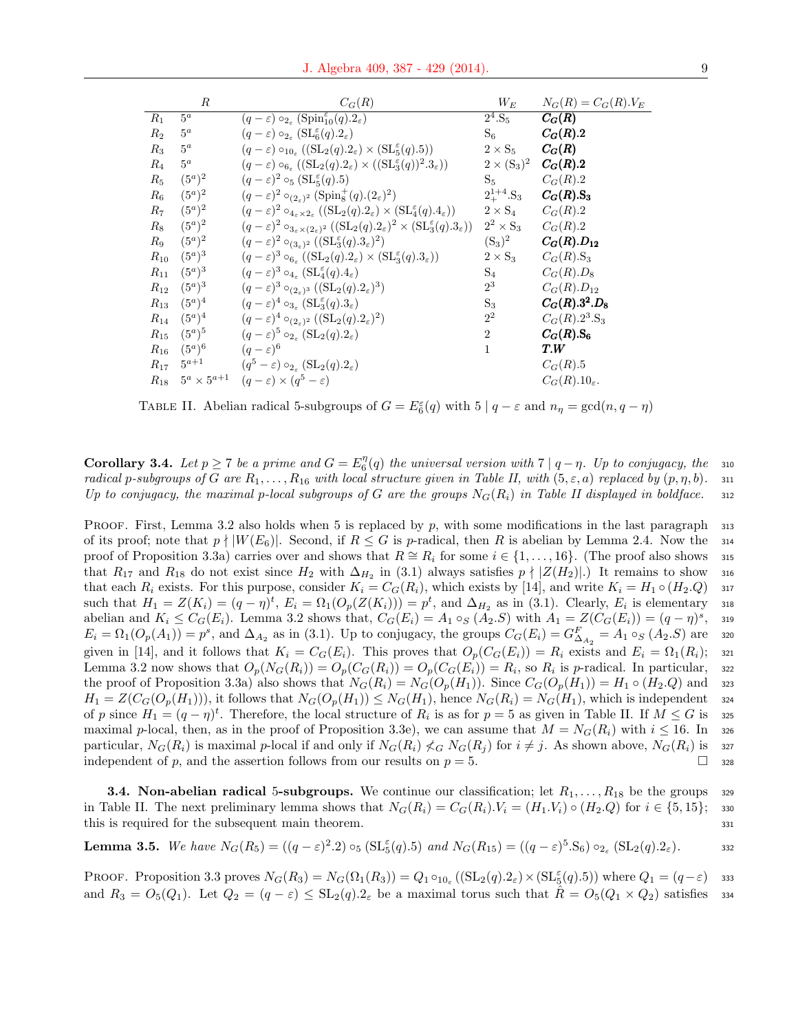|          | $_{R}$    | $C_G(R)$                                                                                                                                    | $W_{E}$                      | $N_G(R) = C_G(R) . V_E$    |
|----------|-----------|---------------------------------------------------------------------------------------------------------------------------------------------|------------------------------|----------------------------|
| $R_1$    | $5^a$     | $\overline{(q-\varepsilon)\circ_{2_{\varepsilon}}(\mathrm{Spin}_{10}^{\varepsilon}(q).2_{\varepsilon})}$                                    | $2^4.S_5$                    | $C_G(R)$                   |
| $R_2$    | $5^a$     | $(q-\varepsilon) \circ_{2_{\varepsilon}} (\mathrm{SL}_6^{\varepsilon}(q).2_{\varepsilon})$                                                  | $S_6$                        | $C_G(R).2$                 |
| $R_3$    | $5^a$     | $(q-\varepsilon) \circ_{10_{\varepsilon}} ((SL_2(q).2_{\varepsilon}) \times (SL_5^{\varepsilon}(q).5))$                                     | $2 \times S_5$               | $C_G(R)$                   |
| $R_4$    | $5^a$     | $(q-\varepsilon) \circ_{6_{\varepsilon}} ((SL_2(q).2_{\varepsilon}) \times ((SL_3^{\varepsilon}(q))^2.3_{\varepsilon}))$                    | $2 \times (S_3)^2$           | $C_G(R).2$                 |
| $R_5$    | $(5^a)^2$ | $(q-\varepsilon)^2 \circ_5 (\mathrm{SL}_5^{\varepsilon}(q).5)$                                                                              | $S_5$                        | $C_G(R).2$                 |
| $R_6$    | $(5^a)^2$ | $(q-\varepsilon)^2 \circ_{(2\varepsilon)^2} (\text{Spin}_8^+(q).(2\varepsilon)^2)$                                                          | $2^{1+4}_+$ . S <sub>3</sub> | $C_G(R).S_3$               |
| $R_7$    | $(5^a)^2$ | $(q-\varepsilon)^2 \circ_{4_\varepsilon \times 2_\varepsilon} ((SL_2(q).2_\varepsilon) \times (SL_4^{\varepsilon}(q).4_\varepsilon))$       | $2\times \mathrm{S}_4$       | $C_G(R).2$                 |
| $R_8$    | $(5^a)^2$ | $(q-\varepsilon)^2 \circ_{3_\varepsilon \times (2_\varepsilon)^2} ((SL_2(q).2_\varepsilon)^2 \times (SL_3^{\varepsilon}(q).3_\varepsilon))$ | $2^2 \times S_3$             | $C_G(R).2$                 |
| $R_9$    | $(5^a)^2$ | $(q-\varepsilon)^2 \circ_{(3_{\varepsilon})^2} ((\mathrm{SL}_3^{\varepsilon}(q).3_{\varepsilon})^2)$                                        | $(S_3)^2$                    | $C_{G}(R).D_{12}$          |
| $R_{10}$ | $(5^a)^3$ | $(q-\varepsilon)^3 \circ_{6_{\varepsilon}} ((SL_2(q).2_{\varepsilon}) \times (SL_3^{\varepsilon}(q).3_{\varepsilon}))$                      | $2 \times S_3$               | $C_G(R).S_3$               |
| $R_{11}$ | $(5^a)^3$ | $(q-\varepsilon)^3 \circ_{4_\varepsilon} (\mathrm{SL}_4^{\varepsilon}(q).4_\varepsilon)$                                                    | $S_4$                        | $C_G(R).D_8$               |
| $R_{12}$ | $(5^a)^3$ | $(q-\varepsilon)^3 \circ_{(2\varepsilon)^3} ((\mathrm{SL}_2(q).2\varepsilon)^3)$                                                            | $2^3$                        | $C_G(R).D_{12}$            |
| $R_{13}$ | $(5^a)^4$ | $(q-\varepsilon)^4 \circ_{3\varepsilon} (\mathrm{SL}_3^{\varepsilon}(q).3_{\varepsilon})$                                                   | $S_3$                        | $C_G(R).3^2.D_8$           |
| $R_{14}$ | $(5^a)^4$ | $(q-\varepsilon)^4 \circ_{(2\varepsilon)^2} ((\mathrm{SL}_2(q).2\varepsilon)^2)$                                                            | $2^2$                        | $C_G(R).2^3.S_3$           |
| $R_{15}$ | $(5^a)^5$ | $(q-\varepsilon)^5 \circ_{2\varepsilon} (\mathrm{SL}_2(q).2\varepsilon)$                                                                    | $\overline{2}$               | $C_G(R).S_6$               |
| $R_{16}$ | $(5^a)^6$ | $(q-\varepsilon)^6$                                                                                                                         | $\mathbf{1}$                 | T.W                        |
| $R_{17}$ | $5^{a+1}$ | $(q^5-\varepsilon) \circ_{2\varepsilon} (\mathrm{SL}_2(q).2\varepsilon)$                                                                    |                              | $C_G(R).5$                 |
|          |           | $R_{18}$ $5^a \times 5^{a+1}$ $(q-\varepsilon) \times (q^5-\varepsilon)$                                                                    |                              | $C_G(R).10_{\varepsilon}.$ |

TABLE II. Abelian radical 5-subgroups of  $G = E_6^{\varepsilon}(q)$  with  $5 | q - \varepsilon$  and  $n_\eta = \gcd(n, q - \eta)$ 

**Corollary 3.4.** Let  $p \ge 7$  be a prime and  $G = E_6^{\eta}(q)$  the universal version with  $7 | q - \eta$ . Up to conjugacy, the 310 radical p-subgroups of G are  $R_1, \ldots, R_{16}$  with local structure given in Table II, with  $(5, \varepsilon, a)$  replaced by  $(p, \eta, b)$ . 311 Up to conjugacy, the maximal p-local subgroups of G are the groups  $N_G(R_i)$  in Table II displayed in boldface. 312

PROOF. First, Lemma 3.2 also holds when 5 is replaced by p, with some modifications in the last paragraph  $\frac{313}{2}$ of its proof; note that  $p \nmid |W(E_6)|$ . Second, if  $R \leq G$  is p-radical, then R is abelian by Lemma 2.4. Now the 314 proof of Proposition 3.3a) carries over and shows that  $R \cong R_i$  for some  $i \in \{1, \ldots, 16\}$ . (The proof also shows 315 that  $R_{17}$  and  $R_{18}$  do not exist since  $H_2$  with  $\Delta_{H_2}$  in (3.1) always satisfies  $p \nmid |Z(H_2)|$ .) It remains to show 316 that each  $R_i$  exists. For this purpose, consider  $K_i = C_G(R_i)$ , which exists by [14], and write  $K_i = H_1 \circ (H_2.Q)$  317 such that  $H_1 = Z(K_i) = (q - \eta)^t$ ,  $E_i = \Omega_1(O_p(Z(K_i))) = p^t$ , and  $\Delta_{H_2}$  as in (3.1). Clearly,  $E_i$  is elementary and abelian and  $K_i \leq C_G(E_i)$ . Lemma 3.2 shows that,  $C_G(E_i) = A_1 \circ_S (A_2.S)$  with  $A_1 = Z(C_G(E_i)) = (q - \eta)^s$ , <sup>319</sup>  $E_i = \Omega_1(O_p(A_1)) = p^s$ , and  $\Delta_{A_2}$  as in (3.1). Up to conjugacy, the groups  $C_G(E_i) = G_{\Delta_{A_2}}^F = A_1 \circ_S (A_2.S)$  are 320 given in [14], and it follows that  $K_i = C_G(E_i)$ . This proves that  $O_p(C_G(E_i)) = R_i$  exists and  $E_i = \Omega_1(R_i)$ ; 321 Lemma 3.2 now shows that  $O_p(N_G(R_i)) = O_p(C_G(R_i)) = O_p(C_G(E_i)) = R_i$ , so  $R_i$  is p-radical. In particular, 322 the proof of Proposition 3.3a) also shows that  $N_G(R_i) = N_G(O_p(H_1))$ . Since  $C_G(O_p(H_1)) = H_1 \circ (H_2, Q)$  and 323  $H_1 = Z(C_G(O_p(H_1))),$  it follows that  $N_G(O_p(H_1)) \leq N_G(H_1),$  hence  $N_G(R_i) = N_G(H_1),$  which is independent 324 of p since  $H_1 = (q - \eta)^t$ . Therefore, the local structure of  $R_i$  is as for  $p = 5$  as given in Table II. If  $M \leq G$  is 325 maximal p-local, then, as in the proof of Proposition 3.3e), we can assume that  $M = N_G(R_i)$  with  $i \le 16$ . In 326 particular,  $N_G(R_i)$  is maximal p-local if and only if  $N_G(R_i) \nleq_G N_G(R_j)$  for  $i \neq j$ . As shown above,  $N_G(R_i)$  is 327 independent of p, and the assertion follows from our results on  $p = 5$ .

**3.4. Non-abelian radical 5-subgroups.** We continue our classification; let  $R_1, \ldots, R_{18}$  be the groups 329 in Table II. The next preliminary lemma shows that  $N_G(R_i) = C_G(R_i)$ .  $V_i = (H_1, V_i) \circ (H_2, Q)$  for  $i \in \{5, 15\}$ ; 330 this is required for the subsequent main theorem. 331

**Lemma 3.5.** We have 
$$
N_G(R_5) = ((q - \varepsilon)^2 \cdot 2) \circ_5 (\mathrm{SL}_5^{\varepsilon}(q) \cdot 5)
$$
 and  $N_G(R_{15}) = ((q - \varepsilon)^5 \cdot S_6) \circ_{2_{\varepsilon}} (\mathrm{SL}_2(q) \cdot 2_{\varepsilon}).$ 

PROOF. Proposition 3.3 proves  $N_G(R_3) = N_G(\Omega_1(R_3)) = Q_1 \circ_{10_{\varepsilon}} ((SL_2(q).2_{\varepsilon}) \times (SL_5^{\varepsilon}(q).5))$  where  $Q_1 = (q - \varepsilon)$  ass and  $R_3 = O_5(Q_1)$ . Let  $Q_2 = (q - \varepsilon) \leq SL_2(q) \cdot 2_{\varepsilon}$  be a maximal torus such that  $R = O_5(Q_1 \times Q_2)$  satisfies 334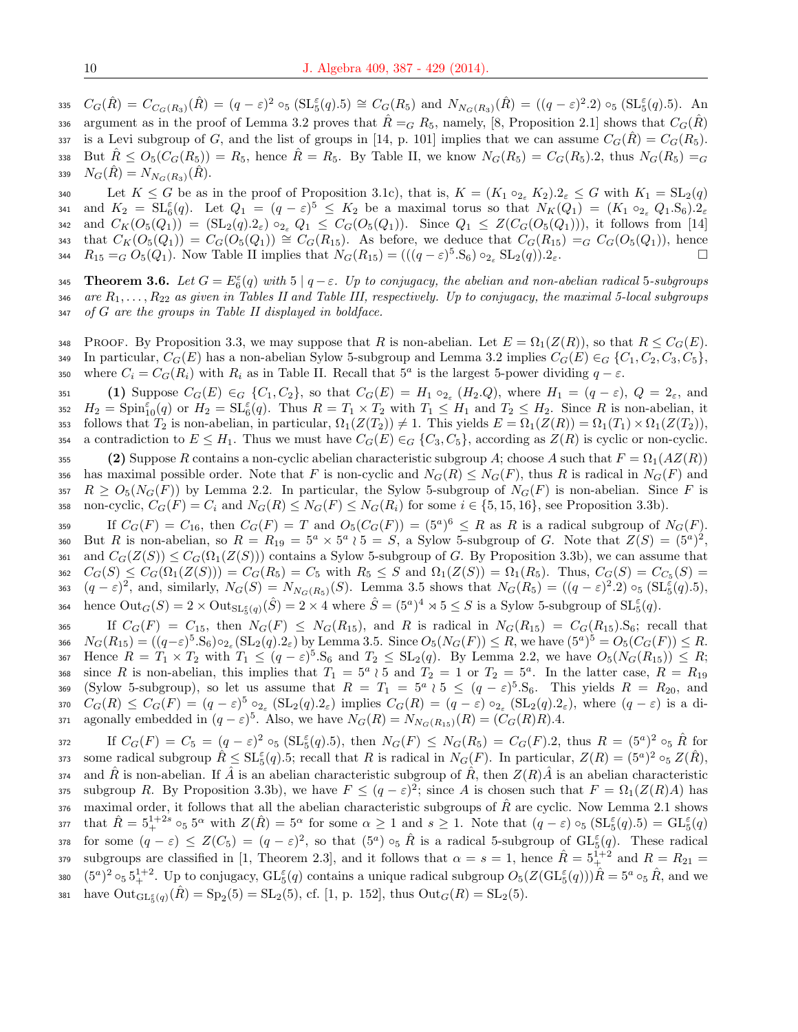335  $C_G(\hat{R}) = C_{C_G(R_3)}(\hat{R}) = (q - \varepsilon)^2 \circ_5 (\text{SL}_5^{\varepsilon}(q).5) \cong C_G(R_5)$  and  $N_{N_G(R_3)}(\hat{R}) = ((q - \varepsilon)^2.2) \circ_5 (\text{SL}_5^{\varepsilon}(q).5)$ . An argument as in the proof of Lemma 3.2 proves that  $\hat{R} = G R_5$ , namely, [8, Proposition 2.1] shows that  $C_G(\hat{R})$ 337 is a Levi subgroup of G, and the list of groups in [14, p. 101] implies that we can assume  $C_G(\overline{R}) = C_G(\overline{R}_5)$ . 338 But  $\hat{R} \leq O_5(C_G(R_5)) = R_5$ , hence  $\hat{R} = R_5$ . By Table II, we know  $N_G(R_5) = C_G(R_5) \cdot 2$ , thus  $N_G(R_5) = G_5$ 339  $N_G(\hat{R}) = N_{N_G(R_3)}(\hat{R}).$ 

340 Let  $K \leq G$  be as in the proof of Proposition 3.1c), that is,  $K = (K_1 \circ_{2_{\epsilon}} K_2).2_{\epsilon} \leq G$  with  $K_1 = SL_2(q)$ 341 and  $K_2 = SL_6^{\varepsilon}(q)$ . Let  $Q_1 = (q - \varepsilon)^5 \leq K_2$  be a maximal torus so that  $N_K(Q_1) = (K_1 \circ_{2_{\varepsilon}} Q_1 S_6) \cdot 2_{\varepsilon}$ 342 and  $C_K(O_5(Q_1)) = (\mathrm{SL}_2(q).2_{\varepsilon}) \circ_{2_{\varepsilon}} Q_1 \leq C_G(O_5(Q_1)).$  Since  $Q_1 \leq Z(C_G(O_5(Q_1))),$  it follows from [14] 343 that  $C_K(O_5(Q_1)) = C_G(O_5(Q_1)) \cong C_G(R_{15})$ . As before, we deduce that  $C_G(R_{15}) = G(G(O_5(Q_1)))$ , hence 344  $R_{15} = G O_5(Q_1)$ . Now Table II implies that  $N_G(R_{15}) = (((q - \varepsilon)^5 \cdot S_6) \circ_{2_{\varepsilon}} SL_2(q)) \cdot 2_{\varepsilon}$ .

**345** Theorem 3.6. Let  $G = E_6^{\varepsilon}(q)$  with  $5 | q-\varepsilon$ . Up to conjugacy, the abelian and non-abelian radical 5-subgroups 346 are  $R_1, \ldots, R_{22}$  as given in Tables II and Table III, respectively. Up to conjugacy, the maximal 5-local subgroups <sup>347</sup> of G are the groups in Table II displayed in boldface.

348 PROOF. By Proposition 3.3, we may suppose that R is non-abelian. Let  $E = \Omega_1(Z(R))$ , so that  $R \leq C_G(E)$ . 349 In particular,  $C_G(E)$  has a non-abelian Sylow 5-subgroup and Lemma 3.2 implies  $C_G(E) \in G$   $\{C_1, C_2, C_3, C_5\}$ , 350 where  $C_i = C_G(R_i)$  with  $R_i$  as in Table II. Recall that  $5^a$  is the largest 5-power dividing  $q - \varepsilon$ .

351 (1) Suppose  $C_G(E) \in_G \{C_1, C_2\}$ , so that  $C_G(E) = H_1 \circ_{2_{\varepsilon}} (H_2.Q)$ , where  $H_1 = (q - \varepsilon)$ ,  $Q = 2_{\varepsilon}$ , and 352  $H_2 = \text{Spin}_{10}^{\varepsilon}(q)$  or  $H_2 = \text{SL}_{6}^{\varepsilon}(q)$ . Thus  $R = T_1 \times T_2$  with  $T_1 \leq H_1$  and  $T_2 \leq H_2$ . Since R is non-abelian, it 353 follows that  $T_2$  is non-abelian, in particular,  $\Omega_1(Z(T_2)) \neq 1$ . This yields  $E = \Omega_1(Z(R)) = \Omega_1(T_1) \times \Omega_1(Z(T_2))$ , 354 a contradiction to  $E \leq H_1$ . Thus we must have  $C_G(E) \in_G \{C_3, C_5\}$ , according as  $Z(R)$  is cyclic or non-cyclic.

355 (2) Suppose R contains a non-cyclic abelian characteristic subgroup A; choose A such that  $F = \Omega_1(AZ(R))$ 356 has maximal possible order. Note that F is non-cyclic and  $N_G(R) \leq N_G(F)$ , thus R is radical in  $N_G(F)$  and 357  $R \geq O_5(N_G(F))$  by Lemma 2.2. In particular, the Sylow 5-subgroup of  $N_G(F)$  is non-abelian. Since F is 358 non-cyclic,  $C_G(F) = C_i$  and  $N_G(R) \leq N_G(F) \leq N_G(R_i)$  for some  $i \in \{5, 15, 16\}$ , see Proposition 3.3b).

359 If  $C_G(F) = C_{16}$ , then  $C_G(F) = T$  and  $O_5(C_G(F)) = (5^a)^6 \le R$  as R is a radical subgroup of  $N_G(F)$ . 360 But R is non-abelian, so  $R = R_{19} = 5^a \times 5^a$  (  $5 = S$ , a Sylow 5-subgroup of G. Note that  $Z(S) = (5^a)^2$ , 361 and  $C_G(Z(S)) \leq C_G(\Omega_1(Z(S)))$  contains a Sylow 5-subgroup of G. By Proposition 3.3b), we can assume that 362  $C_G(S) \leq C_G(\Omega_1(Z(S))) = C_G(R_5) = C_5$  with  $R_5 \leq S$  and  $\Omega_1(Z(S)) = \Omega_1(R_5)$ . Thus,  $C_G(S) = C_{C_5}(S) = C_{C_5}(S)$ 363  $(q-\varepsilon)^2$ , and, similarly,  $N_G(S) = N_{N_G(R_5)}(S)$ . Lemma 3.5 shows that  $N_G(R_5) = ((q-\varepsilon)^2 \cdot 2) \circ_5 (\text{SL}_5^{\tilde{\varepsilon}}(q) \cdot 5)$ , 364 hence  $\text{Out}_G(S) = 2 \times \text{Out}_{\text{SL}_5^{\varepsilon}(q)}(\hat{S}) = 2 \times 4$  where  $\hat{S} = (5^a)^4 \times 5 \leq S$  is a Sylow 5-subgroup of  $\text{SL}_5^{\varepsilon}(q)$ .

365 If  $C_G(F) = C_{15}$ , then  $N_G(F) \leq N_G(R_{15})$ , and R is radical in  $N_G(R_{15}) = C_G(R_{15})$ . S<sub>6</sub>; recall that 366  $N_G(R_{15}) = ((q-\varepsilon)^5 \cdot S_6) \circ_{2_\varepsilon} (\text{SL}_2(q).2_\varepsilon)$  by Lemma 3.5. Since  $O_5(N_G(F)) \leq R$ , we have  $(5^a)^5 = O_5(C_G(F)) \leq R$ . 367 Hence  $R = T_1 \times T_2$  with  $T_1 \leq (q - \varepsilon)^5$ . S<sub>6</sub> and  $T_2 \leq SL_2(q)$ . By Lemma 2.2, we have  $O_5(N_G(R_{15})) \leq R$ ; 368 since R is non-abelian, this implies that  $T_1 = 5^a \wr 5$  and  $T_2 = 1$  or  $T_2 = 5^a$ . In the latter case,  $R = R_{19}$ 369 (Sylow 5-subgroup), so let us assume that  $R = T_1 = 5^a \wr 5 \leq (q - \varepsilon)^5 \cdot S_6$ . This yields  $R = R_{20}$ , and 370  $C_G(R) \leq C_G(F) = (q - \varepsilon)^5 \circ_{2_{\varepsilon}} (\mathrm{SL}_2(q).2_{\varepsilon})$  implies  $C_G(R) = (q - \varepsilon) \circ_{2_{\varepsilon}} (\mathrm{SL}_2(q).2_{\varepsilon})$ , where  $(q - \varepsilon)$  is a di-371 agonally embedded in  $(q - \varepsilon)^5$ . Also, we have  $N_G(R) = N_{N_G(R_{15})}(R) = (C_G(R)R)$ .4.

372 If  $C_G(F) = C_5 = (q - \varepsilon)^2 \circ_5 (\mathrm{SL}_5^{\varepsilon}(q).5)$ , then  $N_G(F) \leq N_G(R_5) = C_G(F).2$ , thus  $R = (5^a)^2 \circ_5 \hat{R}$  for 373 some radical subgroup  $\hat{R} \leq \mathrm{SL}_5^{\varepsilon}(q).5$ ; recall that R is radical in  $N_G(F)$ . In particular,  $Z(R) = (5^a)^2 \circ_5 Z(\hat{R})$ ,  $374$  and  $\hat{R}$  is non-abelian. If  $\hat{A}$  is an abelian characteristic subgroup of  $\hat{R}$ , then  $Z(R)\hat{A}$  is an abelian characteristic 375 subgroup R. By Proposition 3.3b), we have  $F \leq (q - \varepsilon)^2$ ; since A is chosen such that  $F = \Omega_1(Z(R)A)$  has  $\frac{376}{10}$  maximal order, it follows that all the abelian characteristic subgroups of  $\hat{R}$  are cyclic. Now Lemma 2.1 shows 377 that  $\hat{R} = 5^{1+2s}_{+} \circ_5 5^{\alpha}$  with  $Z(\hat{R}) = 5^{\alpha}$  for some  $\alpha \ge 1$  and  $s \ge 1$ . Note that  $(q - \varepsilon) \circ_5 (\text{SL}_5^{\varepsilon}(q).5) = \text{GL}_5^{\varepsilon}(q)$ 378 for some  $(q - \varepsilon) \leq Z(C_5) = (q - \varepsilon)^2$ , so that  $(5^a) \circ_5 \hat{R}$  is a radical 5-subgroup of  $\mathrm{GL}_5^{\varepsilon}(q)$ . These radical 379 subgroups are classified in [1, Theorem 2.3], and it follows that  $\alpha = s = 1$ , hence  $\hat{R} = 5^{1+2}_+$  and  $R = R_{21} =$ 380  $(5^a)^2 \circ_5 5^{1+2}_+$ . Up to conjugacy,  $\text{GL}_5^{\varepsilon}(q)$  contains a unique radical subgroup  $O_5(Z(\text{GL}_5^{\varepsilon}(q)))\hat{R} = 5^a \circ_5 \hat{R}$ , and we 381 have  $Out_{GL_5^{\varepsilon}(q)}(\hat{R}) = \text{Sp}_2(5) = \text{SL}_2(5)$ , cf. [1, p. 152], thus  $Out_G(R) = \text{SL}_2(5)$ .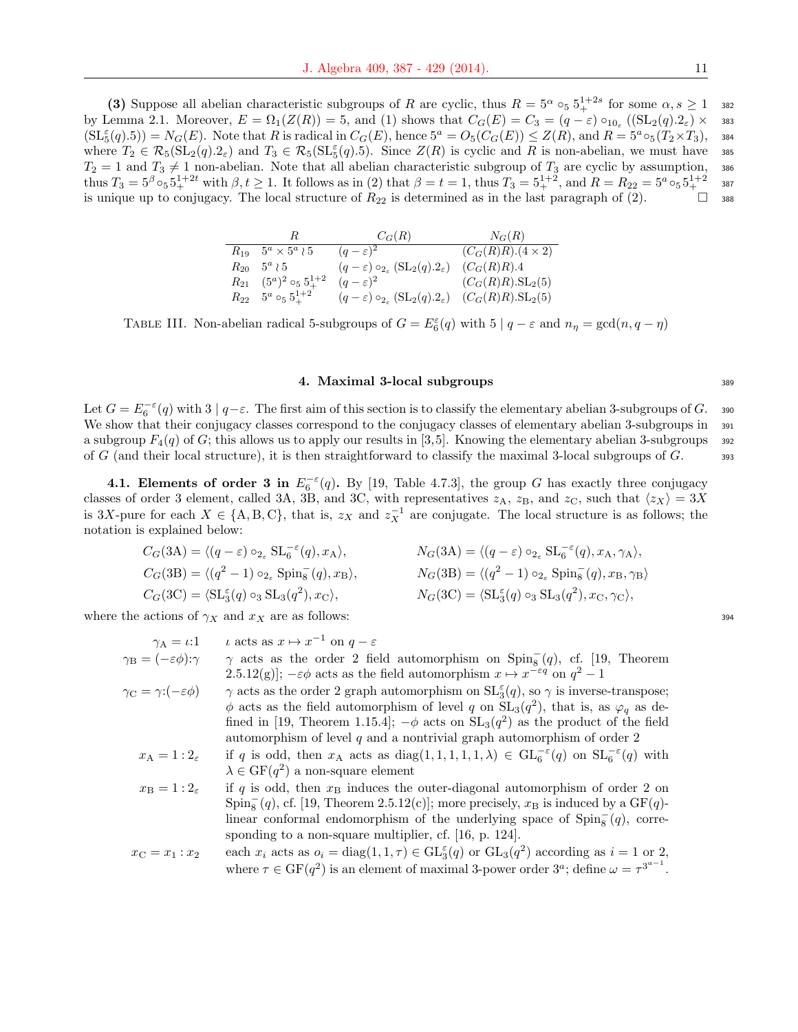(3) Suppose all abelian characteristic subgroups of R are cyclic, thus  $R = 5^{\alpha} \circ_5 5^{1+2s}_{+}$  for some  $\alpha, s \ge 1$  ass by Lemma 2.1. Moreover,  $E = \Omega_1(Z(R)) = 5$ , and (1) shows that  $C_G(E) = C_3 = (q - \varepsilon) \circ_{10_{\varepsilon}} ((SL_2(q).2_{\varepsilon}) \times \text{383})$  $(SL_5^{\varepsilon}(q).5)) = N_G(E)$ . Note that R is radical in  $C_G(E)$ , hence  $5^a = O_5(C_G(E)) \leq Z(R)$ , and  $R = 5^a \circ_5(T_2 \times T_3)$ , 384 where  $T_2 \in \mathcal{R}_5(\mathrm{SL}_2(q).2_\varepsilon)$  and  $T_3 \in \mathcal{R}_5(\mathrm{SL}_5(q).5)$ . Since  $Z(R)$  is cyclic and R is non-abelian, we must have 385  $T_2 = 1$  and  $T_3 \neq 1$  non-abelian. Note that all abelian characteristic subgroup of  $T_3$  are cyclic by assumption, 386 thus  $T_3 = 5^{\beta} \circ_5 5^{1+2t}$  with  $\beta, t \ge 1$ . It follows as in (2) that  $\beta = t = 1$ , thus  $T_3 = 5^{1+2}$ , and  $R = R_{22} = 5^a \circ_5 5^{1+2}$  387 is unique up to conjugacy. The local structure of  $R_{22}$  is determined as in the last paragraph of (2).  $\Box$  388

|                                                    | $C_G(R)$                                                                                                  | $N_G(R)$                         |
|----------------------------------------------------|-----------------------------------------------------------------------------------------------------------|----------------------------------|
| $R_{19}$ $5^a \times 5^a \wr 5$                    | $(q-\varepsilon)^2$                                                                                       | $(C_G(R)R)(4\times 2)$           |
| $R_{20}$ $5^a$ $\wr$ 5                             | $(q-\varepsilon) \circ_{2_{\varepsilon}} (\mathrm{SL}_2(q).2_{\varepsilon})$                              | $(C_G(R)R).4$                    |
| $R_{21} \quad (5^a)^2 \circ_5 5^{1+2}_+$           | $(q-\varepsilon)^2$                                                                                       | $(C_G(R)R)$ .SL <sub>2</sub> (5) |
| $R_{22}$ 5 <sup><i>a</i></sup> $\circ_5 5_+^{1+2}$ | $(q-\varepsilon) \circ_{2_{\varepsilon}} (\mathrm{SL}_2(q).2_{\varepsilon})$ $(C_G(R)R).\mathrm{SL}_2(5)$ |                                  |

TABLE III. Non-abelian radical 5-subgroups of  $G = E_6^{\varepsilon}(q)$  with  $5 | q - \varepsilon$  and  $n_\eta = \gcd(n, q - \eta)$ 

#### 4. Maximal 3-local subgroups 389

Let  $G = E_6^{-\varepsilon}(q)$  with  $3 | q-\varepsilon$ . The first aim of this section is to classify the elementary abelian 3-subgroups of  $G$ . 390 We show that their conjugacy classes correspond to the conjugacy classes of elementary abelian 3-subgroups in  $\frac{391}{2}$ a subgroup  $F_4(q)$  of G; this allows us to apply our results in [3,5]. Knowing the elementary abelian 3-subgroups 392 of G (and their local structure), it is then straightforward to classify the maximal 3-local subgroups of  $G$ .  $\qquad$  393

**4.1. Elements of order 3 in**  $E_6^{-\epsilon}(q)$ . By [19, Table 4.7.3], the group G has exactly three conjugacy classes of order 3 element, called 3A, 3B, and 3C, with representatives  $z_A$ ,  $z_B$ , and  $z_C$ , such that  $\langle z_X \rangle = 3X$ is 3X-pure for each  $X \in \{A, B, C\}$ , that is,  $z_X$  and  $z_X^{-1}$  are conjugate. The local structure is as follows; the notation is explained below:

$$
C_G(3A) = \langle (q - \varepsilon) \circ_{2_{\varepsilon}} SL_6^{-\varepsilon}(q), x_A \rangle, \qquad N_G(3A) = \langle (q - \varepsilon) \circ_{2_{\varepsilon}} SL_6^{-\varepsilon}(q), x_A, \gamma_A \rangle,
$$
  
\n
$$
C_G(3B) = \langle (q^2 - 1) \circ_{2_{\varepsilon}} Spin_8^-(q), x_B \rangle, \qquad N_G(3B) = \langle (q^2 - 1) \circ_{2_{\varepsilon}} Spin_8^-(q), x_B, \gamma_B \rangle
$$
  
\n
$$
C_G(3C) = \langle SL_3^{\varepsilon}(q) \circ_3 SL_3(q^2), x_C \rangle, \qquad N_G(3C) = \langle SL_3^{\varepsilon}(q) \circ_3 SL_3(q^2), x_C, \gamma_C \rangle,
$$

where the actions of  $\gamma_X$  and  $x_X$  are as follows: 394

| $\gamma_A = \iota:1$                                | $\iota$ acts as $x \mapsto x^{-1}$ on $q - \varepsilon$                                                                   |
|-----------------------------------------------------|---------------------------------------------------------------------------------------------------------------------------|
| $\gamma_{\rm B} = (-\varepsilon \phi) \cdot \gamma$ | $\gamma$ acts as the order 2 field automorphism on Spin <sub>8</sub> <sup>(q)</sup> , cf. [19, Theorem                    |
|                                                     | 2.5.12(g)]; $-\varepsilon \phi$ acts as the field automorphism $x \mapsto x^{-\varepsilon q}$ on $q^2 - 1$                |
| $\gamma_{\rm C} = \gamma \cdot (-\varepsilon \phi)$ | $\gamma$ acts as the order 2 graph automorphism on $SL_3^{\epsilon}(q)$ , so $\gamma$ is inverse-transpose;               |
|                                                     | $\phi$ acts as the field automorphism of level q on $SL_3(q^2)$ , that is, as $\varphi_q$ as de-                          |
|                                                     | fined in [19, Theorem 1.15.4]; $-\phi$ acts on $SL_3(q^2)$ as the product of the field                                    |
|                                                     | automorphism of level $q$ and a nontrivial graph automorphism of order 2                                                  |
| $x_A = 1:2_\epsilon$                                | if q is odd, then $x_A$ acts as diag(1,1,1,1,1, $\lambda$ ) $\in$ $GL_{6}^{-\epsilon}(q)$ on $SL_{6}^{-\epsilon}(q)$ with |
|                                                     | $\lambda \in \mathrm{GF}(q^2)$ a non-square element                                                                       |
| $x_{\rm B}=1:2_{\epsilon}$                          | if q is odd, then $x_B$ induces the outer-diagonal automorphism of order 2 on                                             |
|                                                     | $Spin_8^-(q)$ , cf. [19, Theorem 2.5.12(c)]; more precisely, $x_B$ is induced by a GF(q)-                                 |
|                                                     | linear conformal endomorphism of the underlying space of $Spin8-(q)$ , corre-                                             |
|                                                     | sponding to a non-square multiplier, cf. $[16, p. 124]$ .                                                                 |
| $x_{\rm C} = x_1 : x_2$                             | each $x_i$ acts as $o_i = diag(1, 1, \tau) \in GL_3^{\varepsilon}(q)$ or $GL_3(q^2)$ according as $i = 1$ or 2,           |
|                                                     | where $\tau \in \mathrm{GF}(q^2)$ is an element of maximal 3-power order $3^a$ ; define $\omega = \tau^{3^{a-1}}$ .       |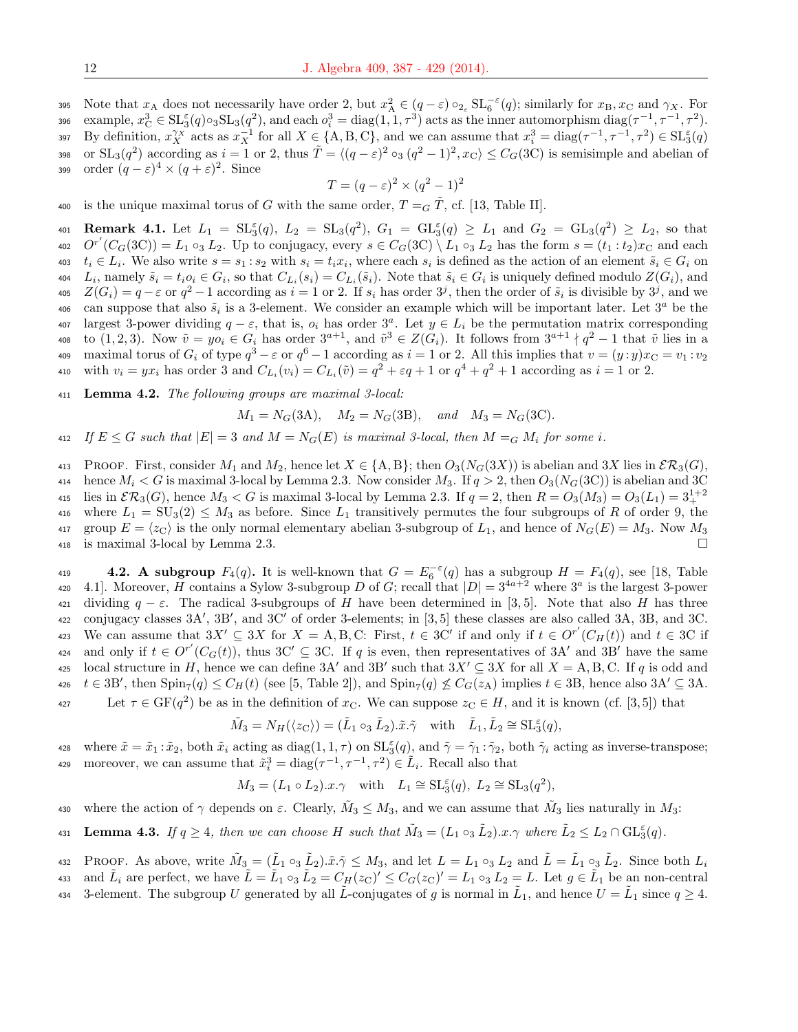395 Note that  $x_A$  does not necessarily have order 2, but  $x_A^2 \in (q - \varepsilon) \circ_{2_{\varepsilon}} SL_6^{-\varepsilon}(q)$ ; similarly for  $x_B, x_C$  and  $\gamma_X$ . For 396 example,  $x_C^3 \in \mathrm{SL}_3(q) \circ_3 \mathrm{SL}_3(q^2)$ , and each  $o_i^3 = \text{diag}(1, 1, \tau^3)$  acts as the inner automorphism  $\text{diag}(\tau^{-1}, \tau^{-1}, \tau^2)$ . 397 By definition,  $x_X^{\gamma_X}$  acts as  $x_X^{-1}$  for all  $X \in \{A, B, C\}$ , and we can assume that  $x_i^3 = \text{diag}(\tau^{-1}, \tau^{-1}, \tau^2) \in \text{SL}_3^{\varepsilon}(q)$ 398 or  $SL_3(q^2)$  according as  $i = 1$  or 2, thus  $\tilde{T} = \langle (q - \varepsilon)^2 \circ_3 (q^2 - 1)^2, x_C \rangle \leq C_G(3C)$  is semisimple and abelian of 399 order  $(q-\varepsilon)^4 \times (q+\varepsilon)^2$ . Since

$$
T = (q - \varepsilon)^2 \times (q^2 - 1)^2
$$

400 is the unique maximal torus of G with the same order,  $T = G \tilde{T}$ , cf. [13, Table II].

401 **Remark 4.1.** Let  $L_1 = SL_3^{\epsilon}(q)$ ,  $L_2 = SL_3(q^2)$ ,  $G_1 = GL_3^{\epsilon}(q) \ge L_1$  and  $G_2 = GL_3(q^2) \ge L_2$ , so that 402  $O^{r'}(C_G(3C)) = L_1 \circ_3 L_2$ . Up to conjugacy, every  $s \in C_G(3C) \setminus L_1 \circ_3 L_2$  has the form  $s = (t_1 : t_2)x_C$  and each 403  $t_i \in L_i$ . We also write  $s = s_1 : s_2$  with  $s_i = t_i x_i$ , where each  $s_i$  is defined as the action of an element  $\tilde{s}_i \in G_i$  on 404 L<sub>i</sub>, namely  $\tilde{s}_i = t_i o_i \in G_i$ , so that  $C_{L_i}(s_i) = C_{L_i}(\tilde{s}_i)$ . Note that  $\tilde{s}_i \in G_i$  is uniquely defined modulo  $Z(G_i)$ , and 405  $Z(G_i) = q - \varepsilon$  or  $q^2 - 1$  according as  $i = 1$  or 2. If  $s_i$  has order  $3^j$ , then the order of  $\tilde{s}_i$  is divisible by  $3^j$ , and we 406 can suppose that also  $\tilde{s}_i$  is a 3-element. We consider an example which will be important later. Let  $3^a$  be the 407 largest 3-power dividing  $q - ε$ , that is,  $o_i$  has order 3<sup>a</sup>. Let  $y ∈ L_i$  be the permutation matrix corresponding 408 to  $(1, 2, 3)$ . Now  $\tilde{v} = yo_i \in G_i$  has order  $3^{a+1}$ , and  $\tilde{v}^3 \in Z(G_i)$ . It follows from  $3^{a+1} \nmid q^2 - 1$  that  $\tilde{v}$  lies in a 409 maximal torus of  $G_i$  of type  $q^3 - \varepsilon$  or  $q^6 - 1$  according as  $i = 1$  or 2. All this implies that  $v = (y : y)x<sub>C</sub> = v<sub>1</sub> : v<sub>2</sub>$ 410 with  $v_i = yx_i$  has order 3 and  $C_{L_i}(v_i) = C_{L_i}(\tilde{v}) = q^2 + \varepsilon q + 1$  or  $q^4 + q^2 + 1$  according as  $i = 1$  or 2.

 $411$  Lemma 4.2. The following groups are maximal 3-local:

$$
M_1 = N_G(3A)
$$
,  $M_2 = N_G(3B)$ , and  $M_3 = N_G(3C)$ .

412 If  $E \leq G$  such that  $|E| = 3$  and  $M = N_G(E)$  is maximal 3-local, then  $M = G M_i$  for some i.

413 PROOF. First, consider  $M_1$  and  $M_2$ , hence let  $X \in \{A, B\}$ ; then  $O_3(N_G(3X))$  is abelian and 3X lies in  $\mathcal{ER}_3(G)$ , 414 hence  $M_i < G$  is maximal 3-local by Lemma 2.3. Now consider  $M_3$ . If  $q > 2$ , then  $O_3(N_G(3C))$  is abelian and 3C 415 lies in  $\mathcal{ER}_3(G)$ , hence  $M_3 < G$  is maximal 3-local by Lemma 2.3. If  $q = 2$ , then  $R = O_3(M_3) = O_3(L_1) = 3_+^{1+2}$ 416 where  $L_1 = SU_3(2) \leq M_3$  as before. Since  $L_1$  transitively permutes the four subgroups of R of order 9, the 417 group  $E = \langle z_C \rangle$  is the only normal elementary abelian 3-subgroup of  $L_1$ , and hence of  $N_G(E) = M_3$ . Now  $M_3$ <sup>418</sup> is maximal 3-local by Lemma 2.3.

4.2. A subgroup  $F_4(q)$ . It is well-known that  $G = E_6^{-\epsilon}(q)$  has a subgroup  $H = F_4(q)$ , see [18, Table 420 4.1. Moreover, H contains a Sylow 3-subgroup D of G; recall that  $|D| = 3^{4a+2}$  where  $3^a$  is the largest 3-power 421 dividing  $q - \varepsilon$ . The radical 3-subgroups of H have been determined in [3,5]. Note that also H has three  $422$  conjugacy classes  $3A'$ ,  $3B'$ , and  $3C'$  of order 3-elements; in  $[3,5]$  these classes are also called  $3A$ ,  $3B$ , and  $3C$ . 423 We can assume that  $3X' \subseteq 3X$  for  $X = A, B, C$ : First,  $t \in 3C'$  if and only if  $t \in O^{r'}(C_H(t))$  and  $t \in 3C$  if 424 and only if  $t \in O^{r'}(C_G(t))$ , thus 3C'  $\subseteq$  3C. If q is even, then representatives of 3A' and 3B' have the same 425 local structure in H, hence we can define  $3A'$  and  $3B'$  such that  $3X' \subseteq 3X$  for all  $X = A, B, C$ . If q is odd and 426  $t \in 3B'$ , then  $\text{Spin}_7(q) \leq C_H(t)$  (see [5, Table 2]), and  $\text{Spin}_7(q) \not\leq C_G(z_A)$  implies  $t \in 3B$ , hence also  $3A' \subseteq 3A$ .

Let  $\tau \in \mathrm{GF}(q^2)$  be as in the definition of  $x_{\mathrm{C}}$ . We can suppose  $z_{\mathrm{C}} \in H$ , and it is known (cf. [3,5]) that

$$
\tilde{M}_3=N_H(\langle z_\mathrm{C}\rangle)=(\tilde{L}_1\circ_3\tilde{L}_2).\tilde{x}.\tilde{\gamma}\quad\textrm{with}\quad\tilde{L}_1,\tilde{L}_2\cong \mathrm{SL}_3^\varepsilon(q),
$$

428 where  $\tilde{x} = \tilde{x}_1 : \tilde{x}_2$ , both  $\tilde{x}_i$  acting as diag(1, 1,  $\tau$ ) on  $\text{SL}_3^{\varepsilon}(q)$ , and  $\tilde{\gamma} = \tilde{\gamma}_1 : \tilde{\gamma}_2$ , both  $\tilde{\gamma}_i$  acting as inverse-transpose; 429 moreover, we can assume that  $\tilde{x}_i^3 = \text{diag}(\tau^{-1}, \tau^{-1}, \tau^2) \in \tilde{L}_i$ . Recall also that

 $M_3 = (L_1 \circ L_2).x.\gamma$  with  $L_1 \cong \mathrm{SL}_3^{\varepsilon}(q), L_2 \cong \mathrm{SL}_3(q^2),$ 

430 where the action of  $\gamma$  depends on  $\varepsilon$ . Clearly,  $\tilde{M}_3 \leq M_3$ , and we can assume that  $\tilde{M}_3$  lies naturally in  $M_3$ :

431 **Lemma 4.3.** If  $q \ge 4$ , then we can choose H such that  $\tilde{M}_3 = (L_1 \circ_3 \tilde{L}_2) . x . \gamma$  where  $\tilde{L}_2 \le L_2 \cap \mathrm{GL}_3^{\varepsilon}(q)$ .

432 PROOF. As above, write  $\tilde{M}_3 = (\tilde{L}_1 \circ_3 \tilde{L}_2) . \tilde{x} . \tilde{\gamma} \leq M_3$ , and let  $L = L_1 \circ_3 L_2$  and  $\tilde{L} = \tilde{L}_1 \circ_3 \tilde{L}_2$ . Since both  $L_i$ 

- 433 and  $\tilde{L}_i$  are perfect, we have  $\tilde{L} = \tilde{L}_1 \circ_3 \tilde{L}_2 = C_H(z_C)' \leq C_G(z_C)' = L_1 \circ_3 L_2 = L$ . Let  $g \in \tilde{L}_1$  be an non-central
- 434 3-element. The subgroup U generated by all  $\tilde{L}$ -conjugates of g is normal in  $\tilde{L}_1$ , and hence  $U = \tilde{L}_1$  since  $q \ge 4$ .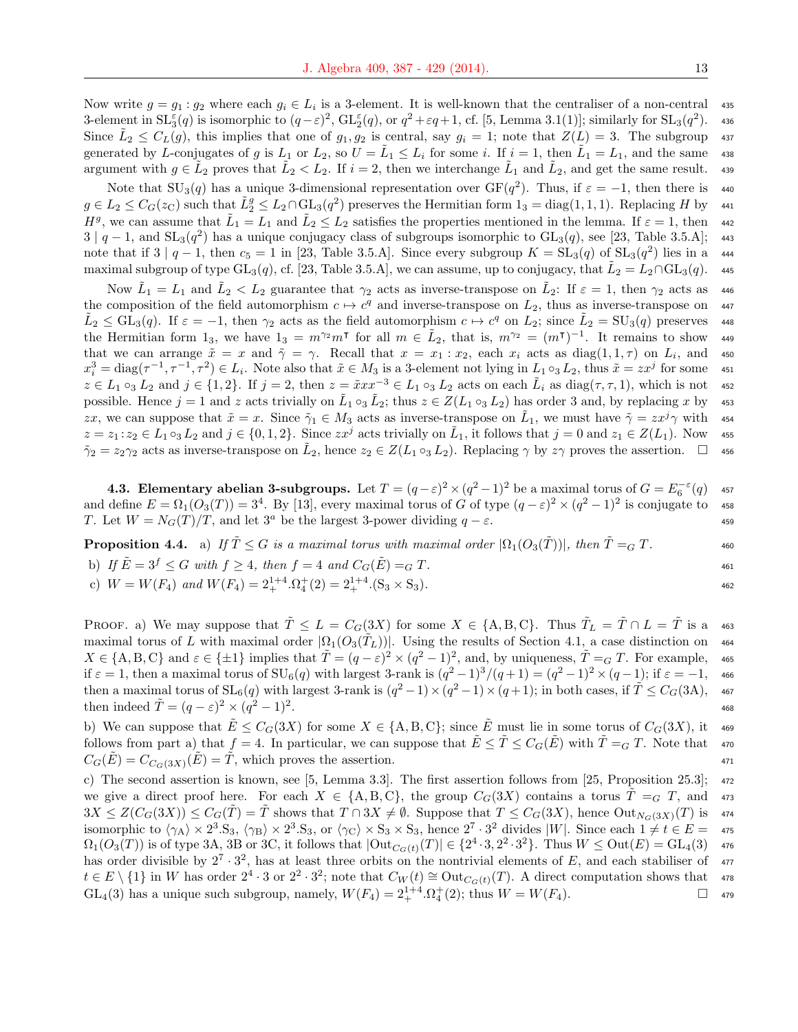Now write  $g = g_1 : g_2$  where each  $g_i \in L_i$  is a 3-element. It is well-known that the centraliser of a non-central 435 3-element in  $SL_3^{\varepsilon}(q)$  is isomorphic to  $(q-\varepsilon)^2$ ,  $GL_2^{\varepsilon}(q)$ , or  $q^2+\varepsilon q+1$ , cf. [5, Lemma 3.1(1)]; similarly for  $SL_3(q^2)$ ). <sup>436</sup> Since  $\tilde{L}_2 \leq C_L(g)$ , this implies that one of  $g_1, g_2$  is central, say  $g_i = 1$ ; note that  $Z(L) = 3$ . The subgroup 437 generated by L-conjugates of g is  $L_1$  or  $L_2$ , so  $U = \tilde{L}_1 \leq L_i$  for some i. If  $i = 1$ , then  $\tilde{L}_1 = L_1$ , and the same 438 argument with  $g \in \tilde{L}_2$  proves that  $\tilde{L}_2 < L_2$ . If  $i = 2$ , then we interchange  $\tilde{L}_1$  and  $\tilde{L}_2$ , and get the same result. 439

Note that  $SU_3(q)$  has a unique 3-dimensional representation over  $GF(q^2)$ . Thus, if  $\varepsilon = -1$ , then there is 440  $g \in L_2 \leq C_G(z_C)$  such that  $\tilde{L}_2^g \leq L_2 \cap GL_3(q^2)$  preserves the Hermitian form  $1_3 = \text{diag}(1,1,1)$ . Replacing H by 441  $H^g$ , we can assume that  $\tilde{L}_1 = L_1$  and  $\tilde{L}_2 \leq L_2$  satisfies the properties mentioned in the lemma. If  $\varepsilon = 1$ , then 442  $3 | q - 1$ , and  $SL_3(q^2)$  has a unique conjugacy class of subgroups isomorphic to  $GL_3(q)$ , see [23, Table 3.5.A]; 443 note that if  $3 | q-1$ , then  $c_5 = 1$  in [23, Table 3.5.A]. Since every subgroup  $K = SL_3(q)$  of  $SL_3(q^2)$  lies in a 444 maximal subgroup of type  $GL_3(q)$ , cf. [23, Table 3.5.A], we can assume, up to conjugacy, that  $\tilde{L}_2 = L_2 \cap GL_3(q)$ . 445

Now  $\tilde{L}_1 = L_1$  and  $\tilde{L}_2 < L_2$  guarantee that  $\gamma_2$  acts as inverse-transpose on  $\tilde{L}_2$ : If  $\varepsilon = 1$ , then  $\gamma_2$  acts as 446 the composition of the field automorphism  $c \mapsto c^q$  and inverse-transpose on  $L_2$ , thus as inverse-transpose on 447  $\tilde{L}_2 \leq \text{GL}_3(q)$ . If  $\varepsilon = -1$ , then  $\gamma_2$  acts as the field automorphism  $c \mapsto c^q$  on  $L_2$ ; since  $\tilde{L}_2 = \text{SU}_3(q)$  preserves 448 the Hermitian form 1<sub>3</sub>, we have  $1_3 = m^{\gamma_2} m^{\dagger}$  for all  $m \in \tilde{L}_2$ , that is,  $m^{\gamma_2} = (m^{\dagger})^{-1}$ . It remains to show 449 that we can arrange  $\tilde{x} = x$  and  $\tilde{\gamma} = \gamma$ . Recall that  $x = x_1 : x_2$ , each  $x_i$  acts as  $diag(1,1,\tau)$  on  $L_i$ , and 450  $x_i^3 = \text{diag}(\tau^{-1}, \tau^{-1}, \tau^2) \in L_i$ . Note also that  $\tilde{x} \in M_3$  is a 3-element not lying in  $L_1 \circ_3 L_2$ , thus  $\tilde{x} = zx^j$  for some 451  $z \in L_1 \circ_3 L_2$  and  $j \in \{1,2\}$ . If  $j = 2$ , then  $z = \tilde{x}xx^{-3} \in L_1 \circ_3 L_2$  acts on each  $\tilde{L}_i$  as  $diag(\tau, \tau, 1)$ , which is not 452 possible. Hence  $j = 1$  and z acts trivially on  $\tilde{L}_1 \circ_3 \tilde{L}_2$ ; thus  $z \in Z(L_1 \circ_3 L_2)$  has order 3 and, by replacing x by 453 zx, we can suppose that  $\tilde{x} = x$ . Since  $\tilde{\gamma}_1 \in M_3$  acts as inverse-transpose on  $\tilde{L}_1$ , we must have  $\tilde{\gamma} = zx^j \gamma$  with 454  $z = z_1 : z_2 \in L_1 \circ_3 L_2$  and  $j \in \{0, 1, 2\}$ . Since  $zx^j$  acts trivially on  $\tilde{L}_1$ , it follows that  $j = 0$  and  $z_1 \in Z(L_1)$ . Now 455  $\tilde{\gamma}_2 = z_2 \gamma_2$  acts as inverse-transpose on  $\tilde{L}_2$ , hence  $z_2 \in Z(L_1 \circ_3 L_2)$ . Replacing  $\gamma$  by  $z\gamma$  proves the assertion.  $\Box$  456

**4.3. Elementary abelian 3-subgroups.** Let  $T = (q - \varepsilon)^2 \times (q^2 - 1)^2$  be a maximal torus of  $G = E_6^{-\varepsilon}(q)$  457 and define  $E = \Omega_1(O_3(T)) = 3^4$ . By [13], every maximal torus of G of type  $(q - \varepsilon)^2 \times (q^2 - 1)^2$  is conjugate to 458 T. Let  $W = N_G(T)/T$ , and let  $3^a$  be the largest 3-power dividing  $q - \varepsilon$ .

**Proposition 4.4.** a) If  $\tilde{T} \leq G$  is a maximal torus with maximal order  $|\Omega_1(O_3(\tilde{T}))|$ , then  $\tilde{T} =_G T$ .

b) If 
$$
\tilde{E} = 3^f \leq G
$$
 with  $f \geq 4$ , then  $f = 4$  and  $C_G(\tilde{E}) =_G T$ .  
461

c)  $W = W(F_4)$  and  $W(F_4) = 2_+^{1+4} \cdot \Omega_4^+(2) = 2_+^{1+4} \cdot (S_3 \times S_3)$ .

PROOF. a) We may suppose that  $\tilde{T} \leq L = C_G(3X)$  for some  $X \in \{A, B, C\}$ . Thus  $\tilde{T}_L = \tilde{T} \cap L = \tilde{T}$  is a 463 maximal torus of L with maximal order  $|\Omega_1(O_3(T_L))|$ . Using the results of Section 4.1, a case distinction on 464  $X \in \{A, B, C\}$  and  $\varepsilon \in \{\pm 1\}$  implies that  $\tilde{T} = (q - \varepsilon)^2 \times (q^2 - 1)^2$ , and, by uniqueness,  $\tilde{T} =_G T$ . For example, 465 if  $\varepsilon = 1$ , then a maximal torus of  $SU_6(q)$  with largest 3-rank is  $(q^2 - 1)^3/(q + 1) = (q^2 - 1)^2 \times (q - 1)$ ; if  $\varepsilon = -1$ , 466 then a maximal torus of  $SL_6(q)$  with largest 3-rank is  $(q^2-1)\times(q^2-1)\times(q+1)$ ; in both cases, if  $\tilde{T} \leq C_G(3A)$ , 467 then indeed  $\tilde{T} = (q - \varepsilon)^2 \times (q^2 - 1)^2$  $\frac{468}{1000}$ 

b) We can suppose that  $\tilde{E} \leq C_G(3X)$  for some  $X \in \{A, B, C\}$ ; since  $\tilde{E}$  must lie in some torus of  $C_G(3X)$ , it 469 follows from part a) that  $f = 4$ . In particular, we can suppose that  $E \le T \le C<sub>G</sub>(E)$  with  $T = G T$ . Note that  $470$  $C_G(E) = C_{C_G(3X)}(E) = T$ , which proves the assertion. 471

c) The second assertion is known, see [5, Lemma 3.3]. The first assertion follows from [25, Proposition 25.3]; <sup>472</sup> we give a direct proof here. For each  $X \in \{A, B, C\}$ , the group  $C_G(3X)$  contains a torus  $\overline{T} =_G T$ , and 473  $3X \leq Z(C_G(3X)) \leq C_G(\tilde{T}) = \tilde{T}$  shows that  $T \cap 3X \neq \emptyset$ . Suppose that  $T \leq C_G(3X)$ , hence  $Out_{N_G(3X)}(T)$  is 474 isomorphic to  $\langle \gamma_A \rangle \times 2^3 \text{.}$  S<sub>3</sub>,  $\langle \gamma_B \rangle \times 2^3 \text{.}$  S<sub>3</sub>, or  $\langle \gamma_C \rangle \times S_3 \times S_3$ , hence  $2^7 \cdot 3^2$  divides |W|. Since each  $1 \neq t \in E = 475$  $\Omega_1(O_3(T))$  is of type 3A, 3B or 3C, it follows that  $|\text{Out}_{C_G(t)}(T)| \in \{2^4 \cdot 3, 2^2 \cdot 3^2\}$ . Thus  $W \leq \text{Out}(E) = \text{GL}_4(3)$  476 has order divisible by  $2^7 \cdot 3^2$ , has at least three orbits on the nontrivial elements of E, and each stabiliser of 477  $t \in E \setminus \{1\}$  in W has order  $2^4 \cdot 3$  or  $2^2 \cdot 3^2$ ; note that  $C_W(t) \cong \text{Out}_{C_G(t)}(T)$ . A direct computation shows that 478  $GL_4(3)$  has a unique such subgroup, namely,  $W(F_4) = 2_+^{1+4} \cdot \Omega_4^+(2)$ ; thus  $W = W(F_4)$ .  $\Box$  479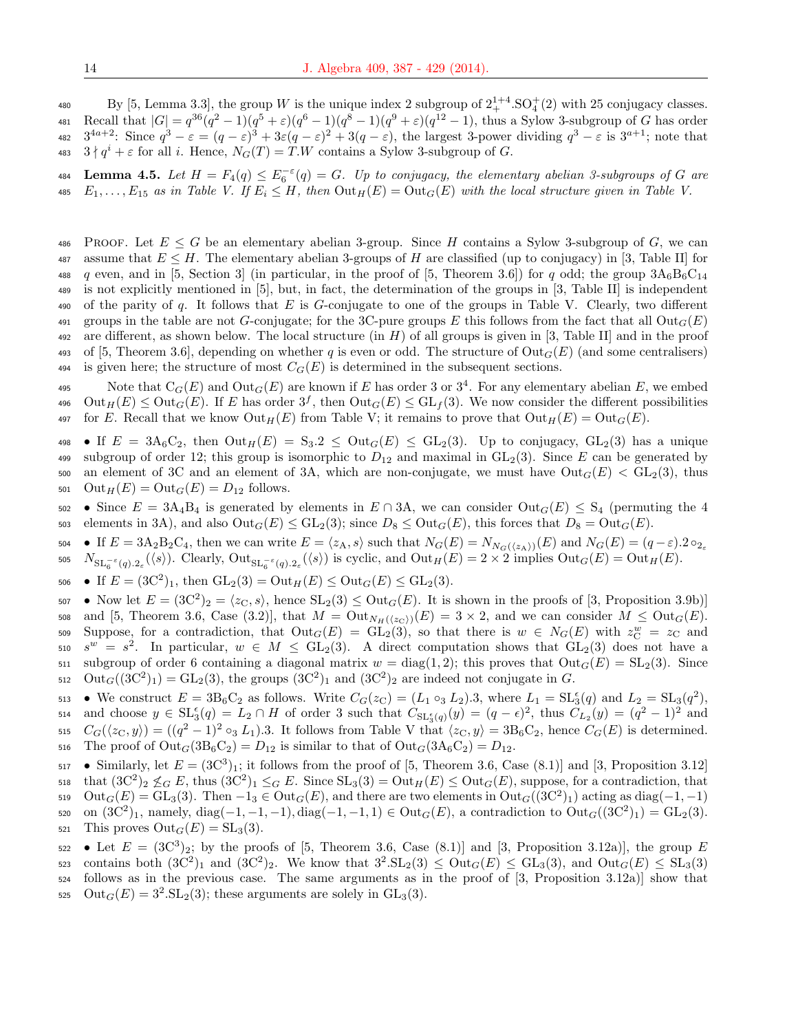480 By [5, Lemma 3.3], the group W is the unique index 2 subgroup of  $2^{1+4}_{+}$ .  $SO_4^+(2)$  with 25 conjugacy classes. 481 Recall that  $|G| = q^{36}(q^2-1)(q^5+\epsilon)(q^6-1)(q^8-1)(q^9+\epsilon)(q^{12}-1)$ , thus a Sylow 3-subgroup of G has order 482  $3^{4a+2}$ : Since  $q^3 - \varepsilon = (q - \varepsilon)^3 + 3\varepsilon(q - \varepsilon)^2 + 3(q - \varepsilon)$ , the largest 3-power dividing  $q^3 - \varepsilon$  is  $3^{a+1}$ ; note that 483  $3 \nmid q^i + \varepsilon$  for all i. Hence,  $N_G(T) = T.W$  contains a Sylow 3-subgroup of G.

484 Lemma 4.5. Let  $H = F_4(q) \leq E_6^{-\varepsilon}(q) = G$ . Up to conjugacy, the elementary abelian 3-subgroups of G are 485  $E_1, \ldots, E_{15}$  as in Table V. If  $E_i \leq H$ , then  $\text{Out}_H(E) = \text{Out}_G(E)$  with the local structure given in Table V.

486 PROOF. Let  $E \leq G$  be an elementary abelian 3-group. Since H contains a Sylow 3-subgroup of G, we can 487 assume that  $E \leq H$ . The elementary abelian 3-groups of H are classified (up to conjugacy) in [3, Table II] for 488 q even, and in [5, Section 3] (in particular, in the proof of [5, Theorem 3.6]) for q odd; the group  $3A_6B_6C_{14}$ <sup>489</sup> is not explicitly mentioned in [5], but, in fact, the determination of the groups in [3, Table II] is independent 490 of the parity of q. It follows that  $E$  is  $G$ -conjugate to one of the groups in Table V. Clearly, two different 491 groups in the table are not G-conjugate; for the 3C-pure groups E this follows from the fact that all  $Out_G(E)$ 492 are different, as shown below. The local structure (in  $H$ ) of all groups is given in [3, Table II] and in the proof 493 of [5, Theorem 3.6], depending on whether q is even or odd. The structure of  $\text{Out}_G(E)$  (and some centralisers) 494 is given here; the structure of most  $C_G(E)$  is determined in the subsequent sections.

495 Note that  $C_G(E)$  and  $Out_G(E)$  are known if E has order 3 or  $3^4$ . For any elementary abelian E, we embed 496 Out<sub>H</sub>(E)  $\leq$  Out<sub>G</sub>(E). If E has order  $3^f$ , then Out<sub>G</sub>(E)  $\leq$  GL<sub>f</sub>(3). We now consider the different possibilities 497 for E. Recall that we know  $\mathrm{Out}_H(E)$  from Table V; it remains to prove that  $\mathrm{Out}_H(E) = \mathrm{Out}_G(E)$ .

498 • If  $E = 3A_6C_2$ , then  $Out_H(E) = S_3.2 \le Out_G(E) \le GL_2(3)$ . Up to conjugacy,  $GL_2(3)$  has a unique 499 subgroup of order 12; this group is isomorphic to  $D_{12}$  and maximal in  $GL_2(3)$ . Since E can be generated by 500 an element of 3C and an element of 3A, which are non-conjugate, we must have  $Out_G(E) < GL_2(3)$ , thus 501  $\mathrm{Out}_H(E) = \mathrm{Out}_G(E) = D_{12}$  follows.

502 • Since  $E = 3A_4B_4$  is generated by elements in  $E \cap 3A$ , we can consider Out<sub>G</sub>(E) ≤ S<sub>4</sub> (permuting the 4 503 elements in 3A), and also  $\text{Out}_G(E) \leq \text{GL}_2(3)$ ; since  $D_8 \leq \text{Out}_G(E)$ , this forces that  $D_8 = \text{Out}_G(E)$ .

• If  $E = 3A_2B_2C_4$ , then we can write  $E = \langle z_A, s \rangle$  such that  $N_G(E) = N_{N_G(\langle z_A \rangle)}(E)$  and  $N_G(E) = (q - \varepsilon) .2 \circ_{2\varepsilon}$ 504 505  $N_{\mathrm{SL}_6^{-\varepsilon}(q).2_\varepsilon}(\langle s \rangle)$ . Clearly,  $\mathrm{Out}_{\mathrm{SL}_6^{-\varepsilon}(q).2_\varepsilon}(\langle s \rangle)$  is cyclic, and  $\mathrm{Out}_H(E) = 2 \times 2$  implies  $\mathrm{Out}_G(E) = \mathrm{Out}_H(E)$ .

506 • If  $E = (3C^2)_1$ , then  $GL_2(3) = Out_H(E) \le Out_G(E) \le GL_2(3)$ .

507 • Now let  $E = (3C^2)_2 = \langle z_C, s \rangle$ , hence  $SL_2(3) \leq Out_G(E)$ . It is shown in the proofs of [3, Proposition 3.9b)] 508 and [5, Theorem 3.6, Case (3.2)], that  $M = \text{Out}_{N_H(\langle z_C \rangle)}(E) = 3 \times 2$ , and we can consider  $M \leq \text{Out}_G(E)$ . 509 Suppose, for a contradiction, that  $Out_G(E) = \widetilde{GL}_2(3)$ , so that there is  $w \in N_G(E)$  with  $z^w_{\mathcal{C}} = z_{\mathcal{C}}$  and 510  $s^w = s^2$ . In particular,  $w \in M \le GL_2(3)$ . A direct computation shows that  $GL_2(3)$  does not have a 511 subgroup of order 6 containing a diagonal matrix  $w = \text{diag}(1, 2)$ ; this proves that  $\text{Out}_G(E) = \text{SL}_2(3)$ . Since  $_{512}$  Out<sub>G</sub>((3C<sup>2</sup>)<sub>1</sub>) = GL<sub>2</sub>(3), the groups (3C<sup>2</sup>)<sub>1</sub> and (3C<sup>2</sup>)<sub>2</sub> are indeed not conjugate in G.

513 • We construct  $E = 3B_6C_2$  as follows. Write  $C_G(z_C) = (L_1 \circ_3 L_2) .3$ , where  $L_1 = SL_3^{\epsilon}(q)$  and  $L_2 = SL_3(q^2)$ , 514 and choose  $y \in \mathrm{SL}_3^{\epsilon}(q) = L_2 \cap H$  of order 3 such that  $C_{\mathrm{SL}_3^{\epsilon}(q)}(y) = (q - \epsilon)^2$ , thus  $C_{L_2}(y) = (q^2 - 1)^2$  and 515  $C_G(\langle z_C, y \rangle) = ((q^2 - 1)^2 \circ_3 L_1).3$ . It follows from Table V that  $\langle z_C, y \rangle = 3B_6C_2$ , hence  $C_G(E)$  is determined. 516 The proof of  $Out_G(3B_6C_2) = D_{12}$  is similar to that of  $Out_G(3A_6C_2) = D_{12}$ .

517 • Similarly, let  $E = (3C^3)_1$ ; it follows from the proof of [5, Theorem 3.6, Case (8.1)] and [3, Proposition 3.12] 518 that  $(3C^2)_2 \nleq_G E$ , thus  $(3C^2)_1 \leq_G E$ . Since  $SL_3(3) = Out_H(E) \leq Out_G(E)$ , suppose, for a contradiction, that 519  $\text{Out}_G(E) = \text{GL}_3(3)$ . Then  $-1_3 \in \text{Out}_G(E)$ , and there are two elements in  $\text{Out}_G((3C^2)_1)$  acting as  $\text{diag}(-1,-1)$ 520 on  $(3C^2)_1$ , namely, diag(-1, -1, -1), diag(-1, -1, 1)  $\in$  Out<sub>G</sub>(E), a contradiction to Out<sub>G</sub>((3C<sup>2</sup>)<sub>1</sub>) = GL<sub>2</sub>(3). 521 This proves  $\text{Out}_G(E) = \text{SL}_3(3)$ .

 $\bullet$  Let  $E = (3C^3)_2$ ; by the proofs of [5, Theorem 3.6, Case (8.1)] and [3, Proposition 3.12a)], the group E  $\text{const.}$  contains both  $(3C^2)_1$  and  $(3C^2)_2$ . We know that  $3^2 \text{.SL}_2(3) \leq \text{Out}_G(E) \leq \text{GL}_3(3)$ , and  $\text{Out}_G(E) \leq \text{SL}_3(3)$ <sup>524</sup> follows as in the previous case. The same arguments as in the proof of [3, Proposition 3.12a)] show that 525 Out<sub>G</sub> $(E) = 3^2$ . SL<sub>2</sub>(3); these arguments are solely in GL<sub>3</sub>(3).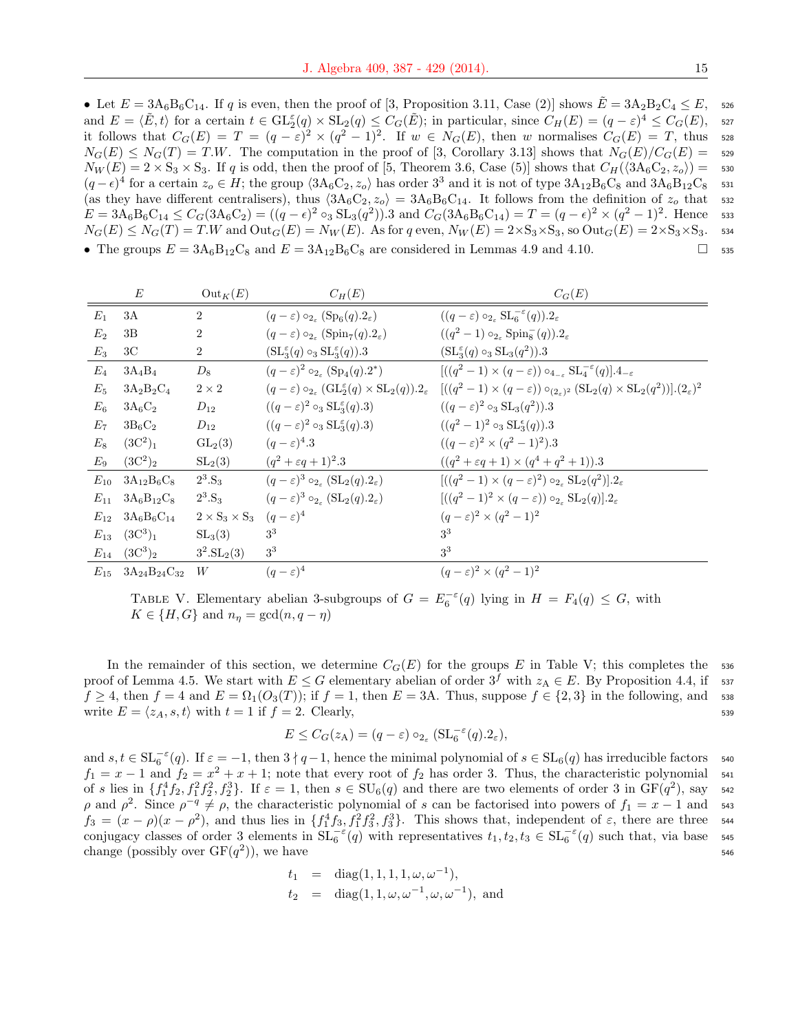• Let  $E = 3A_6B_6C_{14}$ . If q is even, then the proof of [3, Proposition 3.11, Case (2)] shows  $E = 3A_2B_2C_4 \leq E$ , 526 and  $E = \langle \tilde{E}, t \rangle$  for a certain  $t \in \mathrm{GL}_2^{\varepsilon}(q) \times \mathrm{SL}_2(q) \leq C_G(\tilde{E});$  in particular, since  $C_H(E) = (q - \varepsilon)^4 \leq C_G(E)$ , s27 it follows that  $C_G(E) = T = (q - \varepsilon)^2 \times (q^2 - 1)^2$ . If  $w \in N_G(E)$ , then w normalises  $C_G(E) = T$ , thus 528  $N_G(E) \leq N_G(T) = T.W$ . The computation in the proof of [3, Corollary 3.13] shows that  $N_G(E)/C_G(E) =$  529  $N_W(E) = 2 \times S_3 \times S_3$ . If q is odd, then the proof of [5, Theorem 3.6, Case (5)] shows that  $C_H(\langle 3A_6C_2, z_o \rangle) = 530$  $(q-\epsilon)^4$  for a certain  $z_o \in H$ ; the group  $\langle 3A_6C_2, z_o \rangle$  has order  $3^3$  and it is not of type  $3A_{12}B_6C_8$  and  $3A_6B_{12}C_8$  531 (as they have different centralisers), thus  $\langle 3A_6C_2, z_o \rangle = 3A_6B_6C_{14}$ . It follows from the definition of  $z_o$  that 532  $E = 3A_6B_6C_{14} \leq C_G(3A_6C_2) = ((q - \epsilon)^2 \circ_3 \text{SL}_3(q^2)).3 \text{ and } C_G(3A_6B_6C_{14}) = T = (q - \epsilon)^2 \times (q^2 - 1)^2.$  Hence 533  $N_G(E) \leq N_G(T) = T.W$  and  $Out_G(E) = N_W(E)$ . As for q even,  $N_W(E) = 2 \times S_3 \times S_3$ , so  $Out_G(E) = 2 \times S_3 \times S_3$ . 534 • The groups  $E = 3A_6B_{12}C_8$  and  $E = 3A_{12}B_6C_8$  are considered in Lemmas 4.9 and 4.10.

|             | E                                                           | $Out_K(E)$                                    | $C_H(E)$                                                                     | $C_G(E)$                                                                                                                                                                                                                                         |
|-------------|-------------------------------------------------------------|-----------------------------------------------|------------------------------------------------------------------------------|--------------------------------------------------------------------------------------------------------------------------------------------------------------------------------------------------------------------------------------------------|
| $E_1$       | 3A                                                          | $\overline{2}$                                | $(q-\varepsilon) \circ_{2_{\varepsilon}} (\mathrm{Sp}_6(q).2_{\varepsilon})$ | $((q-\varepsilon) \circ_{2_{\varepsilon}} \mathrm{SL}_{6}^{-\varepsilon}(q)).2_{\varepsilon}$                                                                                                                                                    |
| $E_2$       | 3B                                                          | $\overline{2}$                                | $(q-\varepsilon) \circ_{2_{\varepsilon}} (\text{Spin}_7(q).2_{\varepsilon})$ | $((q^2-1)\circ_{2_{\varepsilon}} {\rm Spin}_8^-(q)).2_{\varepsilon}$                                                                                                                                                                             |
| $E_3$       | 3 <sup>C</sup>                                              | $\overline{2}$                                | $(\mathrm{SL}_3^{\varepsilon}(q) \circ_3 \mathrm{SL}_3^{\varepsilon}(q)).3$  | $(\mathrm{SL}_3^{\varepsilon}(q) \circ_3 \mathrm{SL}_3(q^2)).3$                                                                                                                                                                                  |
| $E_4$       | $3A_4B_4$                                                   | $D_8$                                         | $(q-\varepsilon)^2 \circ_{2\varepsilon} (\mathrm{Sp}_4(q).2^*)$              | $[((q^2-1)\times(q-\varepsilon))\circ_{4-\varepsilon} SL_{4}^{-\varepsilon}(q)].4_{-\varepsilon}$                                                                                                                                                |
| $E_5$       | $3A_2B_2C_4$                                                | $2 \times 2$                                  |                                                                              | $(q-\varepsilon)\circ_{2_{\varepsilon}}(\mathrm{GL}_2^{\varepsilon}(q)\times \mathrm{SL}_2(q)).2_{\varepsilon} \quad [((q^2-1)\times(q-\varepsilon))\circ_{(2_{\varepsilon})^2}(\mathrm{SL}_2(q)\times \mathrm{SL}_2(q^2))].(2_{\varepsilon})^2$ |
| $E_{\rm 6}$ | $3A_6C_2$                                                   | $D_{12}$                                      | $((q - \varepsilon)^2 \circ_3 \text{SL}_3^{\varepsilon}(q).3)$               | $((q-\varepsilon)^2 \circ_3 SL_3(q^2)).3$                                                                                                                                                                                                        |
| $E_7$       | $3B_6C_2$                                                   | $D_{12}$                                      | $((q - \varepsilon)^2 \circ_3 \text{SL}_3^{\varepsilon}(q).3)$               | $((q^2-1)^2 \circ_3 SL_3^{\epsilon}(q)).3$                                                                                                                                                                                                       |
| $E_8$       | $(3C^2)_1$                                                  | $GL_2(3)$                                     | $(q-\varepsilon)^4.3$                                                        | $((q - \varepsilon)^2 \times (q^2 - 1)^2).3$                                                                                                                                                                                                     |
| $E_9$       | $(3C^2)_2$                                                  | SL <sub>2</sub> (3)                           | $(q^2 + \varepsilon q + 1)^2 \cdot 3$                                        | $((q^2 + \varepsilon q + 1) \times (q^4 + q^2 + 1)).3)$                                                                                                                                                                                          |
| $E_{10}$    | $3A_{12}B_6C_8$                                             | $2^3.S_3$                                     | $(q-\varepsilon)^3 \circ_{2\varepsilon} (\mathrm{SL}_2(q).2\varepsilon)$     | $[( (q^2-1) \times (q-\epsilon)^2) \circ_{2\epsilon} SL_2(q^2) ].2_{\epsilon}$                                                                                                                                                                   |
| $E_{11}$    | $3A_6B_{12}C_8$                                             | $2^3.S_3$                                     | $(q-\varepsilon)^3 \circ_{2_\varepsilon} (\mathrm{SL}_2(q).2_\varepsilon)$   | $[((q^2-1)^2 \times (q-\varepsilon)) \circ_{2_\varepsilon} SL_2(q)] \cdot 2_\varepsilon$                                                                                                                                                         |
| $E_{12}$    | $3A_6B_6C_{14}$                                             | $2 \times S_3 \times S_3$ $(q-\varepsilon)^4$ |                                                                              | $(q-\varepsilon)^2 \times (q^2-1)^2$                                                                                                                                                                                                             |
| $E_{13}$    | $(3C^3)_1$                                                  | $SL_3(3)$                                     | 3 <sup>3</sup>                                                               | 3 <sup>3</sup>                                                                                                                                                                                                                                   |
| $E_{14}$    | $(3C^3)_2$                                                  | $3^2.SL_2(3)$                                 | 3 <sup>3</sup>                                                               | 3 <sup>3</sup>                                                                                                                                                                                                                                   |
|             | $E_{15}$ 3A <sub>24</sub> B <sub>24</sub> C <sub>32</sub> W |                                               | $(q-\varepsilon)^4$                                                          | $(q-\varepsilon)^2 \times (q^2-1)^2$                                                                                                                                                                                                             |

TABLE V. Elementary abelian 3-subgroups of  $G = E_6^{-\epsilon}(q)$  lying in  $H = F_4(q) \leq G$ , with  $K \in \{H, G\}$  and  $n_{\eta} = \gcd(n, q - \eta)$ 

In the remainder of this section, we determine  $C_G(E)$  for the groups E in Table V; this completes the 536 proof of Lemma 4.5. We start with  $E \leq G$  elementary abelian of order  $3^f$  with  $z_A \in E$ . By Proposition 4.4, if  $\sim$  537  $f \geq 4$ , then  $f = 4$  and  $E = \Omega_1(O_3(T))$ ; if  $f = 1$ , then  $E = 3A$ . Thus, suppose  $f \in \{2,3\}$  in the following, and 538 write  $E = \langle z_A, s, t \rangle$  with  $t = 1$  if  $f = 2$ . Clearly, 539

$$
E \leq C_G(z_A) = (q - \varepsilon) \circ_{2_{\varepsilon}} (\mathrm{SL}_6^{-\varepsilon}(q).2_{\varepsilon}),
$$

and  $s, t \in SL_6^{-\varepsilon}(q)$ . If  $\varepsilon = -1$ , then  $3 \nmid q-1$ , hence the minimal polynomial of  $s \in SL_6(q)$  has irreducible factors 540  $f_1 = x - 1$  and  $f_2 = x^2 + x + 1$ ; note that every root of  $f_2$  has order 3. Thus, the characteristic polynomial 541 of s lies in  $\{f_1^4 f_2, f_1^2 f_2^2, f_2^3\}$ . If  $\varepsilon = 1$ , then  $s \in SU_6(q)$  and there are two elements of order 3 in  $GF(q^2)$ , say 542 ρ and  $ρ^2$ . Since  $ρ^{-q} ≠ ρ$ , the characteristic polynomial of s can be factorised into powers of  $f_1 = x - 1$  and 543  $f_3 = (x - \rho)(x - \rho^2)$ , and thus lies in  $\{f_1^4 f_3, f_1^2 f_3^2, f_3^3\}$ . This shows that, independent of  $\varepsilon$ , there are three 544 conjugacy classes of order 3 elements in  $SL_6^{-\varepsilon}(q)$  with representatives  $t_1, t_2, t_3 \in SL_6^{-\varepsilon}(q)$  such that, via base 545 change (possibly over  $GF(q^2)$ ), we have  $546$ 

$$
t_1 = \text{diag}(1, 1, 1, 1, \omega, \omega^{-1}),
$$
  
\n
$$
t_2 = \text{diag}(1, 1, \omega, \omega^{-1}, \omega, \omega^{-1}), \text{ and}
$$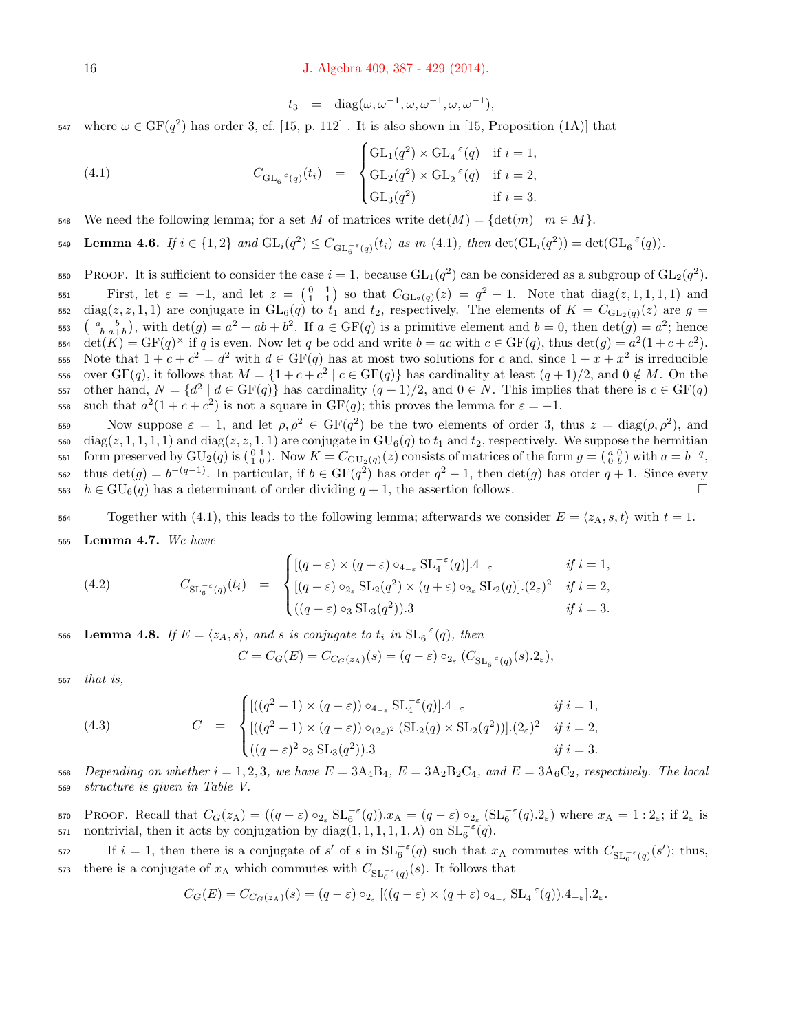$t_3 = \text{diag}(\omega, \omega^{-1}, \omega, \omega^{-1}, \omega, \omega^{-1}),$ 

547 where  $\omega \in \mathrm{GF}(q^2)$  has order 3, cf. [15, p. 112]. It is also shown in [15, Proposition (1A)] that

(4.1) 
$$
C_{\mathrm{GL}_{6}^{-\varepsilon}(q)}(t_{i}) = \begin{cases} \mathrm{GL}_{1}(q^{2}) \times \mathrm{GL}_{4}^{-\varepsilon}(q) & \text{if } i = 1, \\ \mathrm{GL}_{2}(q^{2}) \times \mathrm{GL}_{2}^{-\varepsilon}(q) & \text{if } i = 2, \\ \mathrm{GL}_{3}(q^{2}) & \text{if } i = 3. \end{cases}
$$

548 We need the following lemma; for a set M of matrices write  $\det(M) = {\det(m) \mid m \in M}$ .

**Lemma 4.6.** If 
$$
i \in \{1,2\}
$$
 and  $GL_i(q^2) \leq C_{GL_6^{-\epsilon}(q)}(t_i)$  as in (4.1), then  $\det(GL_i(q^2)) = \det(GL_6^{-\epsilon}(q))$ .

550 PROOF. It is sufficient to consider the case  $i = 1$ , because  $GL_1(q^2)$  can be considered as a subgroup of  $GL_2(q^2)$ . First, let  $\varepsilon = -1$ , and let  $z = \begin{pmatrix} 0 & -1 \\ 1 & -1 \end{pmatrix}$  so that  $C_{GL_2(q)}(z) = q^2 - 1$ . Note that  $diag(z, 1, 1, 1, 1)$  and 552 diag( $z, z, 1, 1$ ) are conjugate in  $GL_6(q)$  to  $t_1$  and  $t_2$ , respectively. The elements of  $K = C_{GL_2(q)}(z)$  are  $g =$  $\begin{pmatrix} a & b \\ -b & a+b \end{pmatrix}$ , with  $\det(g) = a^2 + ab + b^2$ . If  $a \in \text{GF}(q)$  is a primitive element and  $b = 0$ , then  $\det(g) = a^2$ ; hence 554  $\det(K) = \mathrm{GF}(q)^{\times}$  if q is even. Now let q be odd and write  $b = ac$  with  $c \in \mathrm{GF}(q)$ , thus  $\det(g) = a^2(1 + c + c^2)$ . 555 Note that  $1+c+c^2 = d^2$  with  $d \in GF(q)$  has at most two solutions for c and, since  $1+x+x^2$  is irreducible 556 over  $GF(q)$ , it follows that  $M = \{1 + c + c^2 \mid c \in GF(q)\}\$  has cardinality at least  $(q+1)/2$ , and  $0 \notin M$ . On the 557 other hand,  $N = \{d^2 | d \in GF(q)\}\$ has cardinality  $(q+1)/2$ , and  $0 \in N$ . This implies that there is  $c \in GF(q)$ 558 such that  $a^2(1+c+c^2)$  is not a square in GF(q); this proves the lemma for  $\varepsilon = -1$ .

559 Now suppose  $\varepsilon = 1$ , and let  $\rho, \rho^2 \in \text{GF}(q^2)$  be the two elements of order 3, thus  $z = \text{diag}(\rho, \rho^2)$ , and 560 diag(z, 1, 1, 1, 1) and diag(z, z, 1, 1) are conjugate in  $GU_6(q)$  to  $t_1$  and  $t_2$ , respectively. We suppose the hermitian 561 form preserved by  $\text{GU}_2(q)$  is  $\left(\begin{smallmatrix} 0 & 1 \\ 1 & 0 \end{smallmatrix}\right)$ . Now  $K = C_{\text{GU}_2(q)}(z)$  consists of matrices of the form  $g = \left(\begin{smallmatrix} a & 0 \\ 0 & b \end{smallmatrix}\right)$  with  $a = b^{-q}$ , <sup>562</sup> thus  $\det(g) = b^{-(q-1)}$ . In particular, if  $b \in \mathrm{GF}(q^2)$  has order  $q^2 - 1$ , then  $\det(g)$  has order  $q + 1$ . Since every  $h \in \mathrm{GU}_6(q)$  has a determinant of order dividing  $q+1$ , the assertion follows.

564 Together with (4.1), this leads to the following lemma; afterwards we consider  $E = \langle z_A, s, t \rangle$  with  $t = 1$ .

 $565$  Lemma 4.7. We have

(4.2) 
$$
C_{\mathrm{SL}_{6}^{-\epsilon}(q)}(t_{i}) = \begin{cases} [(q-\varepsilon) \times (q+\varepsilon) \circ_{4_{-\varepsilon}} \mathrm{SL}_{4}^{-\epsilon}(q)].4_{-\varepsilon} & \text{if } i=1, \\ [(q-\varepsilon) \circ_{2_{\varepsilon}} \mathrm{SL}_{2}(q^{2}) \times (q+\varepsilon) \circ_{2_{\varepsilon}} \mathrm{SL}_{2}(q)].(2_{\varepsilon})^{2} & \text{if } i=2, \\ ((q-\varepsilon) \circ_{3} \mathrm{SL}_{3}(q^{2})).3 & \text{if } i=3. \end{cases}
$$

566 Lemma 4.8. If  $E = \langle z_A, s \rangle$ , and s is conjugate to  $t_i$  in  $\mathrm{SL}_6^{-\varepsilon}(q)$ , then

$$
C = C_G(E) = C_{C_G(z_A)}(s) = (q - \varepsilon) \circ_{2_{\varepsilon}} (C_{\mathrm{SL}_6^{-\varepsilon}(q)}(s).2_{\varepsilon}),
$$

<sup>567</sup> that is,

(4.3) 
$$
C = \begin{cases} [((q^2 - 1) \times (q - \varepsilon)) \circ_{4_{-\varepsilon}} SL_{4}^{-\varepsilon}(q)].4_{-\varepsilon} & \text{if } i = 1, \\ [((q^2 - 1) \times (q - \varepsilon)) \circ_{(2_{\varepsilon})^2} (SL_{2}(q) \times SL_{2}(q^{2}))].(2_{\varepsilon})^2 & \text{if } i = 2, \\ ((q - \varepsilon)^2 \circ_{3} SL_{3}(q^{2})).3 & \text{if } i = 3. \end{cases}
$$

568 Depending on whether  $i = 1, 2, 3$ , we have  $E = 3A_4B_4$ ,  $E = 3A_2B_2C_4$ , and  $E = 3A_6C_2$ , respectively. The local <sup>569</sup> structure is given in Table V.

570 PROOF. Recall that  $C_G(z_A) = ((q - \varepsilon) \circ_{2_{\varepsilon}} SL_6^{-\varepsilon}(q)) \cdot x_A = (q - \varepsilon) \circ_{2_{\varepsilon}} (SL_6^{-\varepsilon}(q) \cdot 2_{\varepsilon})$  where  $x_A = 1 : 2_{\varepsilon}$ ; if  $2_{\varepsilon}$  is 571 nontrivial, then it acts by conjugation by  $diag(1,1,1,1,1,\lambda)$  on  $SL_6^{-\varepsilon}(q)$ .

If  $i = 1$ , then there is a conjugate of s' of s in  $SL_6^{-\epsilon}(q)$  such that  $x_A$  commutes with  $C_{SL_6^{-\epsilon}(q)}(s')$ ; thus, <sup>573</sup> there is a conjugate of  $x_A$  which commutes with  $C_{\mathrm{SL}_6^{-\varepsilon}(q)}(s)$ . It follows that

$$
C_G(E) = C_{C_G(z_A)}(s) = (q - \varepsilon) \circ_{2_{\varepsilon}} [(q - \varepsilon) \times (q + \varepsilon) \circ_{4_{-\varepsilon}} \mathrm{SL}_4^{-\varepsilon}(q)).4_{-\varepsilon}] .2_{\varepsilon}.
$$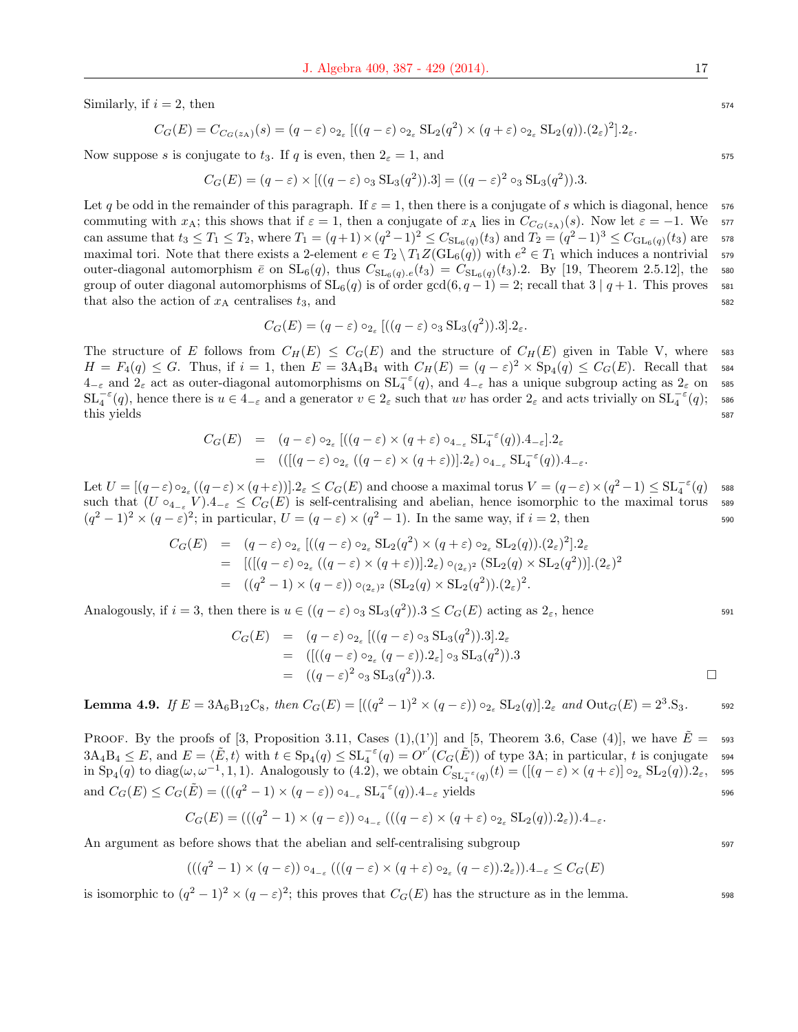Similarly, if  $i = 2$ , then  $574$ 

$$
C_G(E) = C_{C_G(z_A)}(s) = (q - \varepsilon) \circ_{2_{\varepsilon}} [(q - \varepsilon) \circ_{2_{\varepsilon}} SL_2(q^2) \times (q + \varepsilon) \circ_{2_{\varepsilon}} SL_2(q)).(2_{\varepsilon})^2].2_{\varepsilon}.
$$

Now suppose s is conjugate to  $t_3$ . If q is even, then  $2\varepsilon = 1$ , and 575

$$
C_G(E) = (q - \varepsilon) \times [((q - \varepsilon) \circ_3 \text{SL}_3(q^2)).3] = ((q - \varepsilon)^2 \circ_3 \text{SL}_3(q^2)).3.
$$

Let q be odd in the remainder of this paragraph. If  $\varepsilon = 1$ , then there is a conjugate of s which is diagonal, hence 576 commuting with  $x_A$ ; this shows that if  $\varepsilon = 1$ , then a conjugate of  $x_A$  lies in  $C_{C_G(z_A)}(s)$ . Now let  $\varepsilon = -1$ . We 577 can assume that  $t_3 \le T_1 \le T_2$ , where  $T_1 = (q+1) \times (q^2-1)^2 \le C_{SL_6(q)}(t_3)$  and  $T_2 = (q^2-1)^3 \le C_{GL_6(q)}(t_3)$  are 578 maximal tori. Note that there exists a 2-element  $e \in T_2 \setminus T_1 Z(\text{GL}_6(q))$  with  $e^2 \in T_1$  which induces a nontrivial 579 outer-diagonal automorphism  $\bar{e}$  on  $SL_6(q)$ , thus  $C_{SL_6(q),e}(t_3) = C_{SL_6(q)}(t_3)$ . By [19, Theorem 2.5.12], the 580 group of outer diagonal automorphisms of  $SL_6(q)$  is of order  $gcd(6, q-1) = 2$ ; recall that  $3 | q+1$ . This proves 581 that also the action of  $x_A$  centralises  $t_3$ , and  $\qquad \qquad$  582

$$
C_G(E) = (q - \varepsilon) \circ_{2_{\varepsilon}} [(q - \varepsilon) \circ_3 \text{SL}_3(q^2)).3].2_{\varepsilon}.
$$

The structure of E follows from  $C_H(E) \leq C_G(E)$  and the structure of  $C_H(E)$  given in Table V, where 583  $H = F_4(q) \leq G$ . Thus, if  $i = 1$ , then  $E = 3A_4B_4$  with  $C_H(E) = (q - \varepsilon)^2 \times Sp_4(q) \leq C_G(E)$ . Recall that 584  $4_{-\varepsilon}$  and  $2_{\varepsilon}$  act as outer-diagonal automorphisms on  $SL_4^{-\varepsilon}(q)$ , and  $4_{-\varepsilon}$  has a unique subgroup acting as  $2_{\varepsilon}$  on ses  $\operatorname{SL}_4^{-\varepsilon}(q)$ , hence there is  $u \in 4_{-\varepsilon}$  and a generator  $v \in 2_{\varepsilon}$  such that uv has order  $2_{\varepsilon}$  and acts trivially on  $\operatorname{SL}_4^{-\varepsilon}(q)$ ; sso this yields 587

$$
C_G(E) = (q - \varepsilon) \circ_{2_{\varepsilon}} [(q - \varepsilon) \times (q + \varepsilon) \circ_{4_{-\varepsilon}} SL_{4}^{-\varepsilon}(q)).4_{-\varepsilon}].2_{\varepsilon}
$$
  
= 
$$
(([(q - \varepsilon) \circ_{2_{\varepsilon}} ((q - \varepsilon) \times (q + \varepsilon))].2_{\varepsilon}) \circ_{4_{-\varepsilon}} SL_{4}^{-\varepsilon}(q)).4_{-\varepsilon}.
$$

Let  $U = [(q - \varepsilon) \circ_{2_{\varepsilon}} ((q - \varepsilon) \times (q + \varepsilon))].2_{\varepsilon} \leq C_G(E)$  and choose a maximal torus  $V = (q - \varepsilon) \times (q^2 - 1) \leq SL_4^{-\varepsilon}(q)$  sss such that  $(U \circ_{4_{-\varepsilon}} V).4_{-\varepsilon} \leq C_G(E)$  is self-centralising and abelian, hence isomorphic to the maximal torus 589  $(q^2-1)^2 \times (q-\varepsilon)^2$ ; in particular,  $U = (q-\varepsilon) \times (q^2-1)$ . In the same way, if  $i=2$ , then 590

$$
C_G(E) = (q - \varepsilon) \circ_{2_{\varepsilon}} [(q - \varepsilon) \circ_{2_{\varepsilon}} SL_2(q^2) \times (q + \varepsilon) \circ_{2_{\varepsilon}} SL_2(q)) \cdot (2_{\varepsilon})^2] \cdot 2_{\varepsilon}
$$
  
\n
$$
= [([(q - \varepsilon) \circ_{2_{\varepsilon}} ((q - \varepsilon) \times (q + \varepsilon))]).2_{\varepsilon}) \circ_{(2_{\varepsilon})^2} (SL_2(q) \times SL_2(q^2))].(2_{\varepsilon})^2
$$
  
\n
$$
= ((q^2 - 1) \times (q - \varepsilon)) \circ_{(2_{\varepsilon})^2} (SL_2(q) \times SL_2(q^2)).(2_{\varepsilon})^2.
$$

Analogously, if  $i = 3$ , then there is  $u \in ((q - \varepsilon) \circ_3 SL_3(q^2))$ .  $3 \leq C_G(E)$  acting as  $2_{\varepsilon}$ , hence 591

$$
C_G(E) = (q - \varepsilon) \circ_{2_{\varepsilon}} [(q - \varepsilon) \circ_3 \text{SL}_3(q^2)).3].2_{\varepsilon}
$$
  
= 
$$
([(q - \varepsilon) \circ_{2_{\varepsilon}} (q - \varepsilon)).2_{\varepsilon}] \circ_3 \text{SL}_3(q^2)).3
$$
  
= 
$$
((q - \varepsilon)^2 \circ_3 \text{SL}_3(q^2)).3.
$$

**Lemma 4.9.** If 
$$
E = 3A_6B_{12}C_8
$$
, then  $C_G(E) = \left[ \left( (q^2 - 1)^2 \times (q - \varepsilon) \right) \circ_{2_{\varepsilon}} SL_2(q) \right] \cdot 2_{\varepsilon}$  and  $\text{Out}_G(E) = 2^3 \cdot S_3$ .

**PROOF.** By the proofs of [3, Proposition 3.11, Cases  $(1),(1')$ ] and [5, Theorem 3.6, Case  $(4)$ ], we have  $\overline{E} = -593$  $3A_4B_4 \leq E$ , and  $E = \langle \tilde{E}, t \rangle$  with  $t \in Sp_4(q) \leq SL_4^{-\varepsilon}(q) = O^{r'}(C_G(\tilde{E}))$  of type 3A; in particular, t is conjugate 594 in  $\text{Sp}_4(q)$  to  $\text{diag}(\omega, \omega^{-1}, 1, 1)$ . Analogously to (4.2), we obtain  $C_{\text{SL}_4^{-\epsilon}(q)}(t) = ([(q-\varepsilon) \times (q+\varepsilon)] \circ_{2_\varepsilon} \text{SL}_2(q)).2_\varepsilon$ , sss and  $C_G(E) \leq C_G(\tilde{E}) = (((q^2 - 1) \times (q - \varepsilon)) \circ_{4-\varepsilon} SL_4^{-\varepsilon}(q)).4_{-\varepsilon}$  yields 596

$$
C_G(E) = (((q^2 - 1) \times (q - \varepsilon)) \circ_{4_{-\varepsilon}} (((q - \varepsilon) \times (q + \varepsilon) \circ_{2_{\varepsilon}} SL_2(q)).2_{\varepsilon})).4_{-\varepsilon}.
$$

An argument as before shows that the abelian and self-centralising subgroup 597

$$
(((q2-1)\times(q-\varepsilon))\circ_{4_{-\varepsilon}}(((q-\varepsilon)\times(q+\varepsilon)\circ_{2_{\varepsilon}}(q-\varepsilon)).2_{\varepsilon})).4_{-\varepsilon}\leq C_{G}(E)
$$

is isomorphic to  $(q^2 - 1)^2 \times (q - \varepsilon)^2$ ; this proves that  $C_G(E)$  has the structure as in the lemma.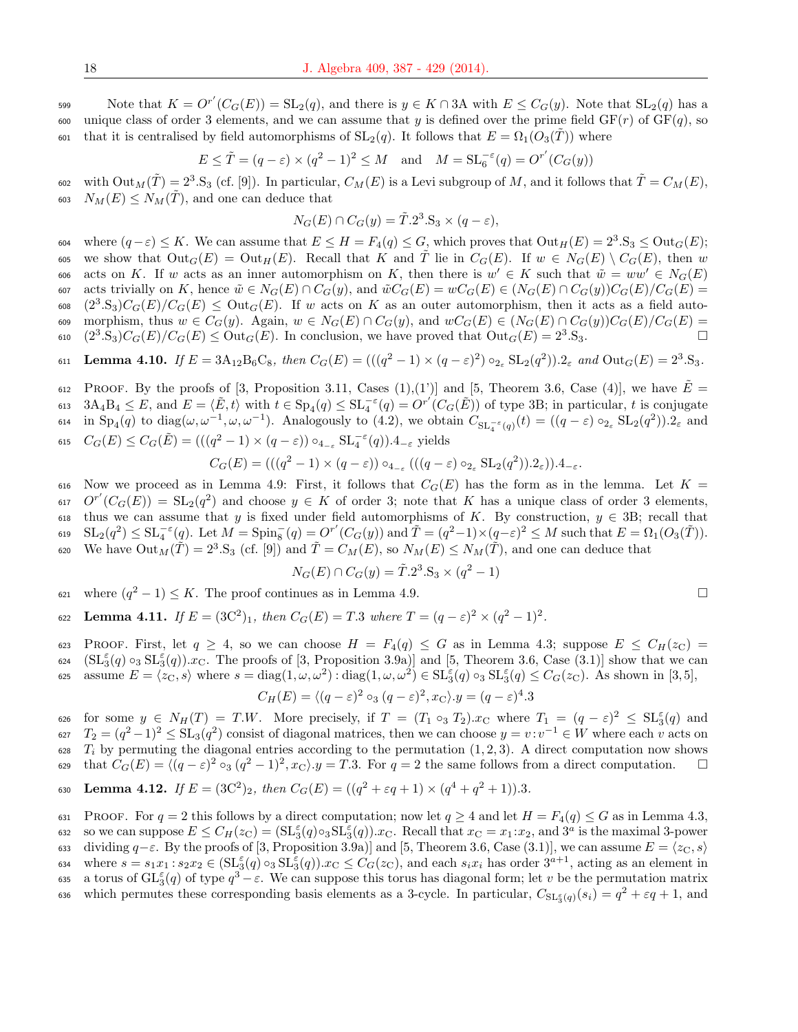599 Note that  $K = O^{r'}(C_G(E)) = SL_2(q)$ , and there is  $y \in K \cap 3A$  with  $E \leq C_G(y)$ . Note that  $SL_2(q)$  has a 600 unique class of order 3 elements, and we can assume that y is defined over the prime field  $GF(r)$  of  $GF(q)$ , so 601 that it is centralised by field automorphisms of  $SL_2(q)$ . It follows that  $E = \Omega_1(O_3(\tilde{T}))$  where

$$
E \le \tilde{T} = (q - \varepsilon) \times (q^2 - 1)^2 \le M \quad \text{and} \quad M = \operatorname{SL}_{6}^{-\varepsilon}(q) = O^{r'}(C_G(y))
$$

602 with  $\text{Out}_M(\tilde{T}) = 2^3 \text{.}$  S<sub>3</sub> (cf. [9]). In particular,  $C_M(E)$  is a Levi subgroup of M, and it follows that  $\tilde{T} = C_M(E)$ , 603  $N_M(E) \leq N_M(\tilde{T})$ , and one can deduce that

$$
N_G(E) \cap C_G(y) = \tilde{T} \cdot 2^3 \cdot S_3 \times (q - \varepsilon),
$$

604 where  $(q - \varepsilon) \le K$ . We can assume that  $E \le H = F_4(q) \le G$ , which proves that  $Out_H(E) = 2^3 \text{.}$  S<sub>3</sub> ≤ Out<sub>G</sub>(E); 605 we show that  $\text{Out}_G(E) = \text{Out}_H(E)$ . Recall that K and  $\tilde{T}$  lie in  $C_G(E)$ . If  $w \in N_G(E) \setminus C_G(E)$ , then w 606 acts on K. If w acts as an inner automorphism on K, then there is  $w' \in K$  such that  $\tilde{w} = ww' \in N_G(E)$ 607 acts trivially on K, hence  $\tilde{w} \in N_G(E) \cap C_G(y)$ , and  $\tilde{w}C_G(E) = wC_G(E) \in (N_G(E) \cap C_G(y))C_G(E)/C_G(E)$ 608  $(2^3 \text{.}S_3)C_G(E)/C_G(E) \leq \text{Out}_G(E)$ . If w acts on K as an outer automorphism, then it acts as a field auto-609 morphism, thus  $w \in C_G(y)$ . Again,  $w \in N_G(E) \cap C_G(y)$ , and  $wC_G(E) \in (N_G(E) \cap C_G(y))C_G(E)/C_G(E)$ 610  $(2^3 \cdot S_3)C_G(E)/C_G(E) \leq Out_G(E)$ . In conclusion, we have proved that  $Out_G(E) = 2^3 \cdot S_3$ .

611 Lemma 4.10. If 
$$
E = 3A_{12}B_6C_8
$$
, then  $C_G(E) = (((q^2 - 1) \times (q - \varepsilon)^2) \circ_{2_{\varepsilon}} SL_2(q^2)) \cdot 2_{\varepsilon}$  and  $Out_G(E) = 2^3 \cdot S_3$ .

612 PROOF. By the proofs of [3, Proposition 3.11, Cases  $(1),(1')$ ] and [5, Theorem 3.6, Case  $(4)$ ], we have  $E =$ 613  $3A_4B_4 \leq E$ , and  $E = \langle \tilde{E}, t \rangle$  with  $t \in \mathrm{Sp}_4(q) \leq \mathrm{SL}_4^{-\varepsilon}(q) = O^{r'}(C_G(\tilde{E}))$  of type 3B; in particular, t is conjugate 614 in  $\text{Sp}_4(q)$  to  $\text{diag}(\omega, \omega^{-1}, \omega, \omega^{-1})$ . Analogously to (4.2), we obtain  $C_{\text{SL}_4^{-\epsilon}(q)}(t) = ((q - \varepsilon) \circ_{2_{\varepsilon}} \text{SL}_2(q^2))$ .  $2_{\varepsilon}$  and 615  $C_G(E) \leq C_G(\tilde{E}) = (((q^2 - 1) \times (q - \varepsilon)) \circ_{4_{-\varepsilon}} SL_4^{-\varepsilon}(q)).4_{-\varepsilon}$  yields

$$
C_G(E) = (((q^2 - 1) \times (q - \varepsilon)) \circ_{4-\varepsilon} (((q - \varepsilon) \circ_{2_{\varepsilon}} SL_2(q^2)).2_{\varepsilon})).4_{-\varepsilon}.
$$

616 Now we proceed as in Lemma 4.9: First, it follows that  $C_G(E)$  has the form as in the lemma. Let  $K =$ 617  $O^{r'}(C_G(E)) = SL_2(q^2)$  and choose  $y \in K$  of order 3; note that K has a unique class of order 3 elements, 618 thus we can assume that y is fixed under field automorphisms of K. By construction,  $y \in 3B$ ; recall that 619  $\mathrm{SL}_2(q^2) \leq \mathrm{SL}_4^{-\varepsilon}(q)$ . Let  $M = \mathrm{Spin}_8^-(q) = O^{r'}(C_G(y))$  and  $\tilde{T} = (q^2-1) \times (q-\varepsilon)^2 \leq M$  such that  $E = \Omega_1(O_3(\tilde{T})).$ 620 We have  $Out_M(\tilde{T}) = 2^3 \text{.}$  S<sub>3</sub> (cf. [9]) and  $\tilde{T} = C_M(E)$ , so  $N_M(E) \le N_M(\tilde{T})$ , and one can deduce that

$$
N_G(E) \cap C_G(y) = \tilde{T} \cdot 2^3 \cdot S_3 \times (q^2 - 1)
$$

621 where  $(q^2 - 1) \leq K$ . The proof continues as in Lemma 4.9.

622 **Lemma 4.11.** If  $E = (3C^2)_1$ , then  $C_G(E) = T.3$  where  $T = (q - \varepsilon)^2 \times (q^2 - 1)^2$ .

623 PROOF. First, let  $q \geq 4$ , so we can choose  $H = F_4(q) \leq G$  as in Lemma 4.3; suppose  $E \leq C_H(z_C)$  $(SL_3^{\varepsilon}(q) \circ_3 SL_3^{\varepsilon}(q)).x_C$ . The proofs of [3, Proposition 3.9a)] and [5, Theorem 3.6, Case (3.1)] show that we can  $\alpha$ <sub>525</sub> assume  $E = \langle z_C, s \rangle$  where  $s = \text{diag}(1, \omega, \omega^2)$ :  $\text{diag}(1, \omega, \omega^2) \in \text{SL}_3^{\varepsilon}(q) \circ_3 \text{SL}_3^{\varepsilon}(q) \leq C_G(z_C)$ . As shown in [3,5],

$$
C_H(E) = \langle (q - \varepsilon)^2 \circ_3 (q - \varepsilon)^2, x_{\rm C} \rangle \cdot y = (q - \varepsilon)^4 \cdot 3
$$

626 for some  $y \in N_H(T) = T.W$ . More precisely, if  $T = (T_1 \circ_3 T_2).x_C$  where  $T_1 = (q - \varepsilon)^2 \leq \text{SL}_3^{\varepsilon}(q)$  and  $T_2 = (q^2 - 1)^2 \leq SL_3(q^2)$  consist of diagonal matrices, then we can choose  $y = v : v^{-1} \in W$  where each v acts on 628  $T_i$  by permuting the diagonal entries according to the permutation  $(1, 2, 3)$ . A direct computation now shows 629 that  $C_G(E) = \sqrt{(q-\varepsilon)^2} \circ_3 (q^2-1)^2$ ,  $x_C$ ,  $y = T.3$ . For  $q=2$  the same follows from a direct computation.

630 Lemma 4.12. If 
$$
E = (3C^2)_2
$$
, then  $C_G(E) = ((q^2 + \varepsilon q + 1) \times (q^4 + q^2 + 1)) \cdot 3$ .

631 PROOF. For  $q = 2$  this follows by a direct computation; now let  $q \ge 4$  and let  $H = F_4(q) \le G$  as in Lemma 4.3, 632 so we can suppose  $E \leq C_H(z_C) = (\mathrm{SL}_3^{\varepsilon}(q) \circ_3 \mathrm{SL}_3^{\varepsilon}(q)) . x_C$ . Recall that  $x_C = x_1 : x_2$ , and  $3^a$  is the maximal 3-power 633 dividing  $q-\varepsilon$ . By the proofs of [3, Proposition 3.9a)] and [5, Theorem 3.6, Case (3.1)], we can assume  $E = \langle z_C, s \rangle$ 634 where  $s = s_1x_1$ :  $s_2x_2 \in (\mathrm{SL}_3^{\varepsilon}(q) \circ_3 \mathrm{SL}_3^{\varepsilon}(q))$ .  $x_{\mathrm{C}} \leq C_G(z_{\mathrm{C}})$ , and each  $s_ix_i$  has order  $3^{a+1}$ , acting as an element in  $\alpha$ <sub>55</sub> a torus of GL<sub>5</sub><sup>(</sup>q) of type  $q^3 - \varepsilon$ . We can suppose this torus has diagonal form; let v be the permutation matrix 636 which permutes these corresponding basis elements as a 3-cycle. In particular,  $C_{\text{SL}_3^{\varepsilon}(q)}(s_i) = q^2 + \varepsilon q + 1$ , and

$$
\Box
$$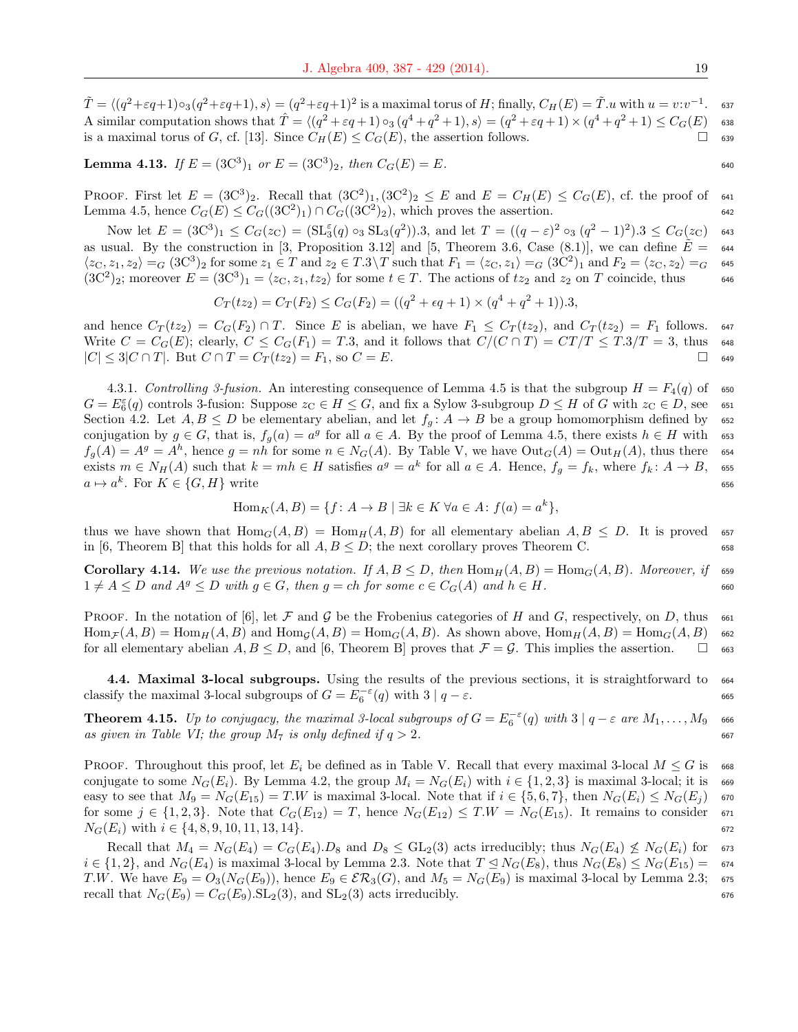$\tilde{T} = \langle (q^2 + \varepsilon q + 1) \circ_3(q^2 + \varepsilon q + 1), s \rangle = (q^2 + \varepsilon q + 1)^2$  is a maximal torus of H; finally,  $C_H(E) = \tilde{T}.u$  with  $u = v:v^{-1}$ . <sup>637</sup> A similar computation shows that  $\hat{T} = \langle (q^2 + \varepsilon q + 1) \circ_3 (q^4 + q^2 + 1), s \rangle = (q^2 + \varepsilon q + 1) \times (q^4 + q^2 + 1) \leq C_G(E)$  638 is a maximal torus of G, cf. [13]. Since  $C_H(E) \leq C_G(E)$ , the assertion follows.  $\Box$  639

**Lemma 4.13.** If  $E = (3C^3)_1$  or  $E = (3C^3)_2$ , then  $C_G(E) = E$ .

PROOF. First let  $E = (3C^3)_2$ . Recall that  $(3C^2)_1$ ,  $(3C^2)_2 \le E$  and  $E = C_H(E) \le C_G(E)$ , cf. the proof of 641 Lemma 4.5, hence  $C_G(E) \leq C_G((3C^2)_1) \cap C_G((3C^2)_2)$ , which proves the assertion.

Now let  $E = (3C^3)_1 \leq C_G(z_C) = (\mathrm{SL}_3^{\varepsilon}(q) \circ_3 \mathrm{SL}_3(q^2)).3$ , and let  $T = ((q - \varepsilon)^2 \circ_3 (q^2 - 1)^2).3 \leq C_G(z_C)$  643 as usual. By the construction in [3, Proposition 3.12] and [5, Theorem 3.6, Case (8.1)], we can define  $\tilde{E} = 644$  $\langle z_C, z_1, z_2 \rangle =_G (3C^3)_2$  for some  $z_1 \in T$  and  $z_2 \in T.3 \setminus T$  such that  $F_1 = \langle z_C, z_1 \rangle =_G (3C^2)_1$  and  $F_2 = \langle z_C, z_2 \rangle =_G$  645  $(3C^2)_2$ ; moreover  $E = (3C^3)_1 = \langle z_C, z_1, tz_2 \rangle$  for some  $t \in T$ . The actions of  $tz_2$  and  $z_2$  on T coincide, thus 646

$$
C_T(tz_2) = C_T(F_2) \le C_G(F_2) = ((q^2 + \epsilon q + 1) \times (q^4 + q^2 + 1)).3,
$$

and hence  $C_T(tz_2) = C_G(F_2) \cap T$ . Since E is abelian, we have  $F_1 \leq C_T(tz_2)$ , and  $C_T(tz_2) = F_1$  follows. 647 Write  $C = C_G(E)$ ; clearly,  $C \leq C_G(F_1) = T.3$ , and it follows that  $C/(C \cap T) = CT/T \leq T.3/T = 3$ , thus 648  $|C| \leq 3|C \cap T|$ . But  $C \cap T = C_T(tz_2) = F_1$ , so  $C = E$ .  $\Box$  649

4.3.1. Controlling 3-fusion. An interesting consequence of Lemma 4.5 is that the subgroup  $H = F_4(q)$  of 650  $G = E_6^{\varepsilon}(q)$  controls 3-fusion: Suppose  $z_C \in H \leq G$ , and fix a Sylow 3-subgroup  $D \leq H$  of G with  $z_C \in D$ , see 651 Section 4.2. Let  $A, B \leq D$  be elementary abelian, and let  $f<sub>g</sub>$ :  $A \to B$  be a group homomorphism defined by 652 conjugation by  $g \in G$ , that is,  $f_g(a) = a^g$  for all  $a \in A$ . By the proof of Lemma 4.5, there exists  $h \in H$  with 653  $f_g(A) = A^g = A^h$ , hence  $g = nh$  for some  $n \in N_G(A)$ . By Table V, we have  $Out_G(A) = Out_H(A)$ , thus there 654 exists  $m \in N_H(A)$  such that  $k = mh \in H$  satisfies  $a^g = a^k$  for all  $a \in A$ . Hence,  $f_g = f_k$ , where  $f_k: A \to B$ ,  $\epsilon$ ss  $a \mapsto a^k$ . For  $K \in \{G, H\}$  write 656

$$
\operatorname{Hom}_K(A, B) = \{ f \colon A \to B \mid \exists k \in K \,\forall a \in A \colon f(a) = a^k \},
$$

thus we have shown that  $\text{Hom}_G(A, B) = \text{Hom}_H(A, B)$  for all elementary abelian  $A, B \leq D$ . It is proved 657 in [6, Theorem B] that this holds for all  $A, B \leq D$ ; the next corollary proves Theorem C. 658

**Corollary 4.14.** We use the previous notation. If  $A, B \leq D$ , then  $\text{Hom}_{H}(A, B) = \text{Hom}_{G}(A, B)$ . Moreover, if  $\infty$  $1 \neq A \leq D$  and  $A^g \leq D$  with  $g \in G$ , then  $g = ch$  for some  $c \in C_G(A)$  and  $h \in H$ .

PROOF. In the notation of [6], let F and G be the Frobenius categories of H and G, respectively, on D, thus 661  $\text{Hom}_{\mathcal{F}}(A, B) = \text{Hom}_{H}(A, B)$  and  $\text{Hom}_{\mathcal{G}}(A, B) = \text{Hom}_{G}(A, B)$ . As shown above,  $\text{Hom}_{H}(A, B) = \text{Hom}_{G}(A, B)$  662 for all elementary abelian  $A, B \leq D$ , and [6, Theorem B] proves that  $\mathcal{F} = \mathcal{G}$ . This implies the assertion.  $\square$  663

4.4. Maximal 3-local subgroups. Using the results of the previous sections, it is straightforward to 664 classify the maximal 3-local subgroups of  $G = E_6^{-\varepsilon}(q)$  with  $3 | q - \varepsilon$ . 665

**Theorem 4.15.** Up to conjugacy, the maximal 3-local subgroups of  $G = E_6^{-\varepsilon}(q)$  with  $3 | q-\varepsilon$  are  $M_1, \ldots, M_9$  666 as given in Table VI; the group  $M_7$  is only defined if  $q > 2$ .

PROOF. Throughout this proof, let  $E_i$  be defined as in Table V. Recall that every maximal 3-local  $M \leq G$  is 668 conjugate to some  $N_G(E_i)$ . By Lemma 4.2, the group  $M_i = N_G(E_i)$  with  $i \in \{1, 2, 3\}$  is maximal 3-local; it is 669 easy to see that  $M_9 = N_G(E_{15}) = T.W$  is maximal 3-local. Note that if  $i \in \{5, 6, 7\}$ , then  $N_G(E_i) \leq N_G(E_i)$  670 for some  $j \in \{1, 2, 3\}$ . Note that  $C_G(E_{12}) = T$ , hence  $N_G(E_{12}) \leq T.W = N_G(E_{15})$ . It remains to consider 671  $N_G(E_i)$  with  $i \in \{4, 8, 9, 10, 11, 13, 14\}.$ 

Recall that  $M_4 = N_G(E_4) = C_G(E_4) \cdot D_8$  and  $D_8 \leq GL_2(3)$  acts irreducibly; thus  $N_G(E_4) \nleq N_G(E_i)$  for 673  $i \in \{1,2\}$ , and  $N_G(E_4)$  is maximal 3-local by Lemma 2.3. Note that  $T \leq N_G(E_8)$ , thus  $N_G(E_8) \leq N_G(E_{15}) = 674$ T.W. We have  $E_9 = O_3(N_G(E_9))$ , hence  $E_9 \in \mathcal{ER}_3(G)$ , and  $M_5 = N_G(E_9)$  is maximal 3-local by Lemma 2.3; 675 recall that  $N_G(E_9) = C_G(E_9)$ . SL<sub>2</sub>(3), and SL<sub>2</sub>(3) acts irreducibly. 676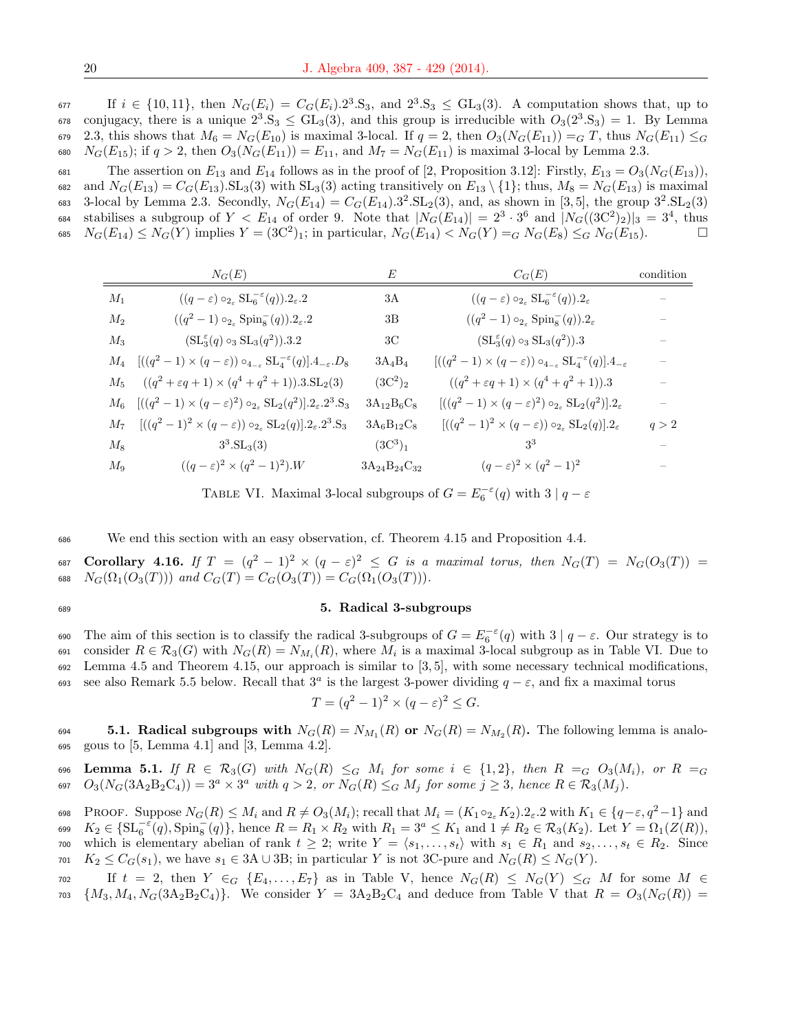$\text{If } i \in \{10, 11\}, \text{ then } N_G(E_i) = C_G(E_i) \cdot 2^3 \cdot S_3$ , and  $2^3 \cdot S_3 \leq GL_3(3)$ . A computation shows that, up to  $\sigma$ <sup>8</sup> conjugacy, there is a unique  $2^3 \text{.} S_3 \leq \text{GL}_3(3)$ , and this group is irreducible with  $O_3(2^3 \text{.} S_3) = 1$ . By Lemma 679 2.3, this shows that  $M_6 = N_G(E_{10})$  is maximal 3-local. If  $q = 2$ , then  $O_3(N_G(E_{11})) = G T$ , thus  $N_G(E_{11}) \leq G$ 680  $N_G(E_{15})$ ; if  $q > 2$ , then  $O_3(N_G(E_{11})) = E_{11}$ , and  $M_7 = N_G(E_{11})$  is maximal 3-local by Lemma 2.3.

681 The assertion on  $E_{13}$  and  $E_{14}$  follows as in the proof of [2, Proposition 3.12]: Firstly,  $E_{13} = O_3(N_G(E_{13}))$ , 682 and  $N_G(E_{13}) = C_G(E_{13})$ . SL<sub>3</sub>(3) with SL<sub>3</sub>(3) acting transitively on  $E_{13} \setminus \{1\}$ ; thus,  $M_8 = N_G(E_{13})$  is maximal 683 3-local by Lemma 2.3. Secondly,  $N_G(E_{14}) = C_G(E_{14})$ .  $3^2$ .  $SL_2(3)$ , and, as shown in [3,5], the group  $3^2$ .  $SL_2(3)$ 684 stabilises a subgroup of  $Y < E_{14}$  of order 9. Note that  $|N_G(E_{14})| = 2^3 \cdot 3^6$  and  $|N_G((3C^2)_2)|_3 = 3^4$ , thus 685  $N_G(E_{14}) \le N_G(Y)$  implies  $Y = (3C^2)_1$ ; in particular,  $N_G(E_{14}) < N_G(Y) =_G N_G(E_8) \le G N_G(E_{15})$ .

|       | $N_G(E)$                                                                                                               | E                     | $C_G(E)$                                                                                              | condition |
|-------|------------------------------------------------------------------------------------------------------------------------|-----------------------|-------------------------------------------------------------------------------------------------------|-----------|
| $M_1$ | $((q-\varepsilon) \circ_{2_{\varepsilon}} \mathrm{SL}_{6}^{-\varepsilon}(q)).2_{\varepsilon}.2$                        | 3A                    | $((q-\varepsilon) \circ_{2_{\varepsilon}} \mathrm{SL}_{6}^{-\varepsilon}(q)).2_{\varepsilon}$         |           |
| $M_2$ | $((q^2-1)\circ_{2_{\varepsilon}}\mathrm{Spin}_8^-(q)).2_{\varepsilon}.2$                                               | 3B                    | $((q^2-1)\circ_{2_\varepsilon} \text{Spin}_8^-(q)).2_\varepsilon$                                     |           |
| $M_3$ | $(SL_3^{\epsilon}(q) \circ_3 SL_3(q^2)).3.2$                                                                           | ЗC                    | $(SL_3^{\varepsilon}(q) \circ_3 SL_3(q^2)).3$                                                         |           |
|       | $M_4 \quad [((q^2-1)\times(q-\varepsilon))\circ_{4-\varepsilon} \mathrm{SL}_4^{-\varepsilon}(q)].4_{-\varepsilon}.D_8$ | $3A_4B_4$             | $[((q^2-1)\times(q-\varepsilon))\circ_{4-\varepsilon} {\rm SL}_4^{-\varepsilon}(q)].4_{-\varepsilon}$ |           |
| $M_5$ | $((q^2 + \varepsilon q + 1) \times (q^4 + q^2 + 1)).3 \text{SL}_2(3)$                                                  | $(3C^2)_2$            | $((q^2 + \varepsilon q + 1) \times (q^4 + q^2 + 1)).3)$                                               |           |
|       | $M_6 \quad [((q^2-1) \times (q-\epsilon)^2) \circ_{2_{\epsilon}} SL_2(q^2)].2_{\epsilon}.2^3.S_3$                      | $3A_{12}B_6C_8$       | $[((q^2-1)\times(q-\varepsilon)^2)\circ_{2_{\varepsilon}}\mathrm{SL}_2(q^2)].2_{\varepsilon}$         |           |
|       | $M_7$ $[(q^2-1)^2 \times (q-\varepsilon)) \circ_{2_{\varepsilon}} SL_2(q)] \cdot 2_{\varepsilon} \cdot 2^3 \cdot S_3$  | $3A_6B_{12}C_8$       | $[( (q^2-1)^2 \times (q-\varepsilon)) \circ_{2_{\varepsilon}} SL_2(q)] \cdot 2_{\varepsilon}$         | q > 2     |
| $M_8$ | $3^3.SL_3(3)$                                                                                                          | $(3C^3)_1$            | 33                                                                                                    |           |
| $M_9$ | $((q-\varepsilon)^2 \times (q^2-1)^2)$ .W                                                                              | $3A_{24}B_{24}C_{32}$ | $(q-\varepsilon)^2 \times (q^2-1)^2$                                                                  |           |

TABLE VI. Maximal 3-local subgroups of  $G = E_6^{-\varepsilon}(q)$  with  $3 | q - \varepsilon$ 

<sup>686</sup> We end this section with an easy observation, cf. Theorem 4.15 and Proposition 4.4.

687 Corollary 4.16. If  $T = (q^2 - 1)^2 \times (q - \varepsilon)^2 \leq G$  is a maximal torus, then  $N_G(T) = N_G(O_3(T)) =$ 688  $N_G(\Omega_1(O_3(T)))$  and  $C_G(T) = C_G(O_3(T)) = C_G(\Omega_1(O_3(T))).$ 

#### <sup>689</sup> 5. Radical 3-subgroups

690 The aim of this section is to classify the radical 3-subgroups of  $G = E_6^{-\varepsilon}(q)$  with  $3 | q - \varepsilon$ . Our strategy is to 691 consider  $R \in \mathcal{R}_3(G)$  with  $N_G(R) = N_{M_i}(R)$ , where  $M_i$  is a maximal 3-local subgroup as in Table VI. Due to 692 Lemma 4.5 and Theorem 4.15, our approach is similar to  $[3, 5]$ , with some necessary technical modifications, 693 see also Remark 5.5 below. Recall that  $3^a$  is the largest 3-power dividing  $q - \varepsilon$ , and fix a maximal torus

$$
T = (q^2 - 1)^2 \times (q - \varepsilon)^2 \le G.
$$

694 **5.1. Radical subgroups with**  $N_G(R) = N_{M_1}(R)$  or  $N_G(R) = N_{M_2}(R)$ . The following lemma is analo-<sup>695</sup> gous to [5, Lemma 4.1] and [3, Lemma 4.2].

696 Lemma 5.1. If  $R \in \mathcal{R}_3(G)$  with  $N_G(R) \leq_G M_i$  for some  $i \in \{1,2\}$ , then  $R =_G O_3(M_i)$ , or  $R =_G$ 697  $O_3(N_G(3A_2B_2C_4)) = 3^a \times 3^a$  with  $q > 2$ , or  $N_G(R) \leq_G M_j$  for some  $j \geq 3$ , hence  $R \in \mathcal{R}_3(M_j)$ .

698 PROOF. Suppose  $N_G(R) \leq M_i$  and  $R \neq O_3(M_i)$ ; recall that  $M_i = (K_1 \circ_{2\epsilon} K_2) . 2_{\epsilon} . 2$  with  $K_1 \in \{q-\epsilon, q^2-1\}$  and  $K_2 \in \{\text{SL}_6^{-\varepsilon}(q), \text{Spin}_8^{-}(q)\},\$ hence  $R = R_1 \times R_2$  with  $R_1 = 3^a \le K_1$  and  $1 \ne R_2 \in \mathcal{R}_3(K_2)$ . Let  $Y = \Omega_1(Z(R)),$  which is elementary abelian of rank  $t \geq 2$ ; write  $Y = \langle s_1, \ldots, s_t \rangle$  with  $s_1 \in R_1$  and  $s_2, \ldots, s_t \in R_2$ . Since  $K_2 \leq C_G(s_1)$ , we have  $s_1 \in 3A \cup 3B$ ; in particular Y is not 3C-pure and  $N_G(R) \leq N_G(Y)$ .

 $702$  If  $t = 2$ , then  $Y \in_G \{E_4, \ldots, E_7\}$  as in Table V, hence  $N_G(R) \leq N_G(Y) \leq_G M$  for some  $M \in G$  $703 \{M_3, M_4, N_G(3A_2B_2C_4)\}.$  We consider  $Y = 3A_2B_2C_4$  and deduce from Table V that  $R = O_3(N_G(R))$ 

 $\bar{z}$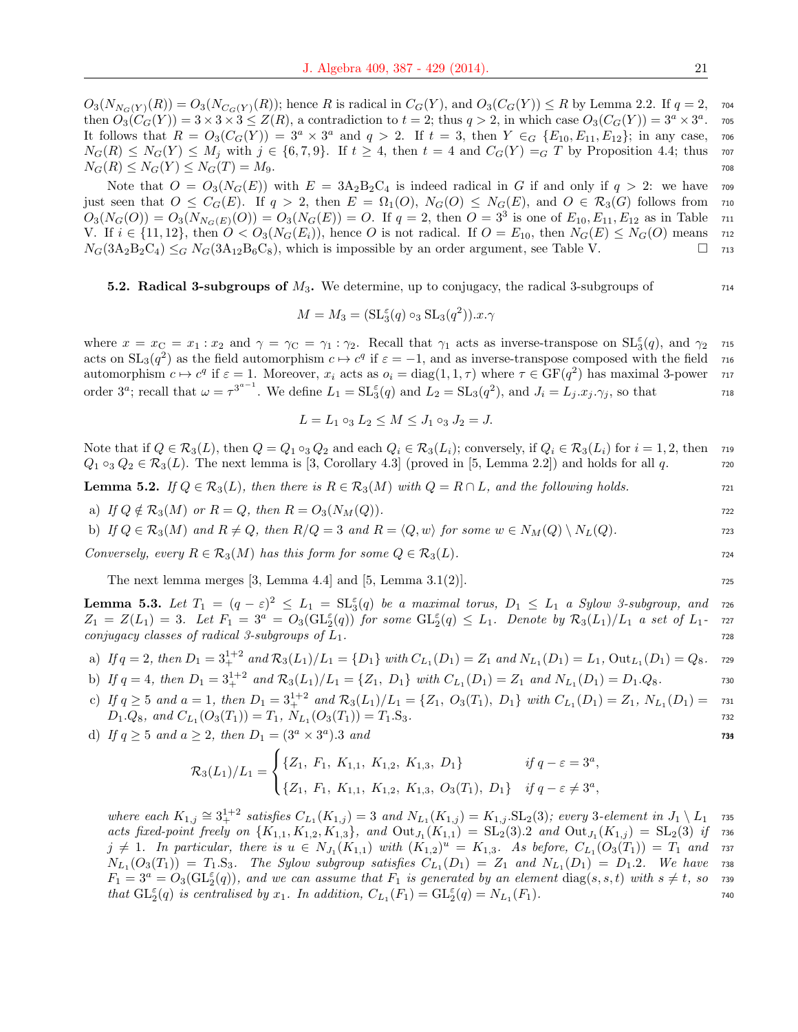$O_3(N_{N_G(Y)}(R)) = O_3(N_{C_G(Y)}(R))$ ; hence R is radical in  $C_G(Y)$ , and  $O_3(C_G(Y)) \le R$  by Lemma 2.2. If  $q = 2$ , 704 then  $O_3(C_G(Y)) = 3 \times 3 \times 3 \leq Z(R)$ , a contradiction to  $t = 2$ ; thus  $q > 2$ , in which case  $O_3(C_G(Y)) = 3^a \times 3^a$ . <sup>705</sup> It follows that  $R = O_3(C_G(Y)) = 3^a \times 3^a$  and  $q > 2$ . If  $t = 3$ , then  $Y \in G$   $\{E_{10}, E_{11}, E_{12}\}$ ; in any case, 706  $N_G(R) \leq N_G(Y) \leq M_j$  with  $j \in \{6, 7, 9\}$ . If  $t \geq 4$ , then  $t = 4$  and  $C_G(Y) = G T$  by Proposition 4.4; thus 707  $N_G(R) \le N_G(Y) \le N_G(T) = M_9.$ 

Note that  $O = O_3(N_G(E))$  with  $E = 3A_2B_2C_4$  is indeed radical in G if and only if  $q > 2$ : we have 709 just seen that  $O \leq C_G(E)$ . If  $q > 2$ , then  $E = \Omega_1(O), N_G(O) \leq N_G(E)$ , and  $O \in \mathcal{R}_3(G)$  follows from 710  $O_3(N_G(O)) = O_3(N_{N_G(E)}(O)) = O_3(N_G(E)) = O.$  If  $q = 2$ , then  $O = 3^3$  is one of  $E_{10}, E_{11}, E_{12}$  as in Table 711 V. If  $i \in \{11, 12\}$ , then  $O < O_3(N_G(E_i))$ , hence O is not radical. If  $O = E_{10}$ , then  $N_G(E) \leq N_G(O)$  means 712  $N_G(3A_2B_2C_4) \leq_G N_G(3A_{12}B_6C_8)$ , which is impossible by an order argument, see Table V.  $\square$  713

## **5.2. Radical 3-subgroups of**  $M_3$ **.** We determine, up to conjugacy, the radical 3-subgroups of  $144$

$$
M = M_3 = (\mathrm{SL}_3^{\varepsilon}(q) \circ_3 \mathrm{SL}_3(q^2)).x.\gamma
$$

where  $x = x_C = x_1 : x_2$  and  $\gamma = \gamma_C = \gamma_1 : \gamma_2$ . Recall that  $\gamma_1$  acts as inverse-transpose on  $\mathrm{SL}_3^{\varepsilon}(q)$ , and  $\gamma_2$  zis acts on  $SL_3(q^2)$  as the field automorphism  $c \mapsto c^q$  if  $\varepsilon = -1$ , and as inverse-transpose composed with the field 716 automorphism  $c \mapsto c^q$  if  $\varepsilon = 1$ . Moreover,  $x_i$  acts as  $o_i = \text{diag}(1, 1, \tau)$  where  $\tau \in \text{GF}(q^2)$  has maximal 3-power  $\tau$ order  $3^a$ ; recall that  $\omega = \tau^{3^{a-1}}$ . We define  $L_1 = SL_3(q)$  and  $L_2 = SL_3(q^2)$ , and  $J_i = L_j.x_j.\gamma_j$ , so that 718

$$
L = L_1 \circ_3 L_2 \le M \le J_1 \circ_3 J_2 = J.
$$

Note that if  $Q \in \mathcal{R}_3(L)$ , then  $Q = Q_1 \circ_3 Q_2$  and each  $Q_i \in \mathcal{R}_3(L_i)$ ; conversely, if  $Q_i \in \mathcal{R}_3(L_i)$  for  $i = 1, 2$ , then 719  $Q_1 \circ_3 Q_2 \in \mathcal{R}_3(L)$ . The next lemma is [3, Corollary 4.3] (proved in [5, Lemma 2.2]) and holds for all q. 720

**Lemma 5.2.** If  $Q \in \mathcal{R}_3(L)$ , then there is  $R \in \mathcal{R}_3(M)$  with  $Q = R \cap L$ , and the following holds.

a) If 
$$
Q \notin \mathcal{R}_3(M)
$$
 or  $R = Q$ , then  $R = O_3(N_M(Q))$ .

b) If  $Q \in \mathcal{R}_3(M)$  and  $R \neq Q$ , then  $R/Q = 3$  and  $R = \langle Q, w \rangle$  for some  $w \in N_M(Q) \setminus N_L(Q)$ . 723

Conversely, every  $R \in \mathcal{R}_3(M)$  has this form for some  $Q \in \mathcal{R}_3(L)$ .  $\hspace{1cm}$  724

The next lemma merges  $[3, \text{Lemma } 4.4]$  and  $[5, \text{Lemma } 3.1(2)].$ 

**Lemma 5.3.** Let  $T_1 = (q - \varepsilon)^2 \le L_1 = \mathrm{SL}_3^{\varepsilon}(q)$  be a maximal torus,  $D_1 \le L_1$  a Sylow 3-subgroup, and 726  $Z_1 = Z(L_1) = 3.$  Let  $F_1 = 3^a = O_3(\mathrm{GL}_2^{\varepsilon}(q))$  for some  $\mathrm{GL}_2^{\varepsilon}(q) \leq L_1.$  Denote by  $\mathcal{R}_3(L_1)/L_1$  a set of  $L_1$ - 727  $conjugacy \ classes \ of \ radical \ 3-subgroups \ of \ L_1.$ 

a) If 
$$
q = 2
$$
, then  $D_1 = 3_+^{1+2}$  and  $\mathcal{R}_3(L_1)/L_1 = \{D_1\}$  with  $C_{L_1}(D_1) = Z_1$  and  $N_{L_1}(D_1) = L_1$ ,  $Out_{L_1}(D_1) = Q_8$ .

b) If 
$$
q = 4
$$
, then  $D_1 = 3_+^{1+2}$  and  $\mathcal{R}_3(L_1)/L_1 = \{Z_1, D_1\}$  with  $C_{L_1}(D_1) = Z_1$  and  $N_{L_1}(D_1) = D_1 \cdot Q_8$ .

c) If  $q \ge 5$  and  $a = 1$ , then  $D_1 = 3_+^{1+2}$  and  $\mathcal{R}_3(L_1)/L_1 = \{Z_1, O_3(T_1), D_1\}$  with  $C_{L_1}(D_1) = Z_1$ ,  $N_{L_1}(D_1) = 731$  $D_1 \cdot Q_8$ , and  $C_{L_1}(O_3(T_1)) = T_1$ ,  $N_{L_1}(O_3(T_1)) = T_1 \cdot S_3$ .

d) If  $q \ge 5$  and  $a \ge 2$ , then  $D_1 = (3^a \times 3^a) \cdot 3$  and

$$
\mathcal{R}_3(L_1)/L_1 = \begin{cases} \{Z_1, F_1, K_{1,1}, K_{1,2}, K_{1,3}, D_1\} & \text{if } q - \varepsilon = 3^a, \\ \{Z_1, F_1, K_{1,1}, K_{1,2}, K_{1,3}, O_3(T_1), D_1\} & \text{if } q - \varepsilon \neq 3^a, \end{cases}
$$

where each  $K_{1,j} \cong 3^{1+2}_+$  satisfies  $C_{L_1}(K_{1,j}) = 3$  and  $N_{L_1}(K_{1,j}) = K_{1,j}$ .  $SL_2(3)$ ; every 3-element in  $J_1 \setminus L_1$  735 acts fixed-point freely on  $\{K_{1,1}, K_{1,2}, K_{1,3}\}$ , and  $\text{Out}_{J_1}(K_{1,1}) = \text{SL}_2(3).2$  and  $\text{Out}_{J_1}(K_{1,j}) = \text{SL}_2(3)$  if 736  $j \neq 1$ . In particular, there is  $u \in N_{J_1}(K_{1,1})$  with  $(K_{1,2})^u = K_{1,3}$ . As before,  $C_{L_1}(O_3(T_1)) = T_1$  and rsm  $N_{L_1}(O_3(T_1)) = T_1.S_3$ . The Sylow subgroup satisfies  $C_{L_1}(D_1) = Z_1$  and  $N_{L_1}(D_1) = D_1.2$ . We have 738  $F_1 = 3^a = O_3(\mathrm{GL}_2^{\varepsilon}(q))$ , and we can assume that  $F_1$  is generated by an element  $\text{diag}(s, s, t)$  with  $s \neq t$ , so  $\tau$ that  $\mathrm{GL}_2^{\varepsilon}(q)$  is centralised by  $x_1$ . In addition,  $C_{L_1}(F_1) = \mathrm{GL}_2^{\varepsilon}(q) = N_{L_1}(F_1)$ .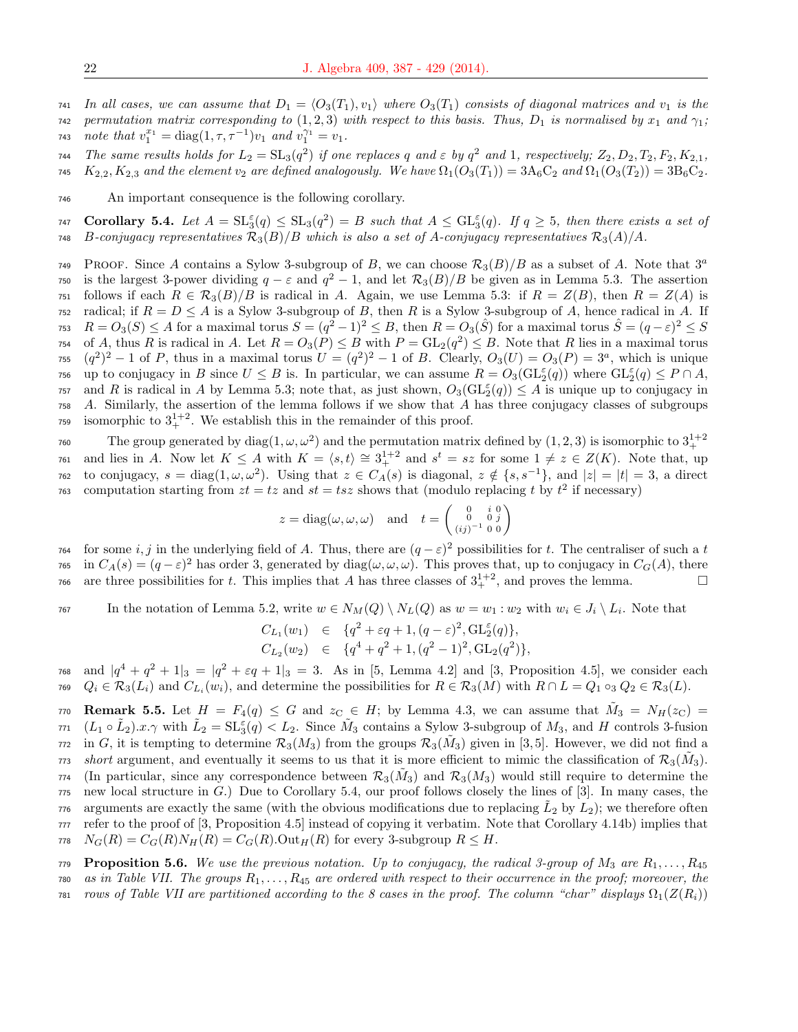741 In all cases, we can assume that  $D_1 = \langle O_3(T_1), v_1 \rangle$  where  $O_3(T_1)$  consists of diagonal matrices and  $v_1$  is the

742 permutation matrix corresponding to  $(1, 2, 3)$  with respect to this basis. Thus,  $D_1$  is normalised by  $x_1$  and  $\gamma_1$ ; 743 *note that*  $v_1^{x_1} = \text{diag}(1, \tau, \tau^{-1})v_1$  *and*  $v_1^{\gamma_1} = v_1$ .

744 The same results holds for  $L_2 = SL_3(q^2)$  if one replaces q and  $\varepsilon$  by  $q^2$  and 1, respectively;  $Z_2, D_2, T_2, F_2, K_{2,1}$ , 745  $K_{2,2}, K_{2,3}$  and the element  $v_2$  are defined analogously. We have  $\Omega_1(O_3(T_1)) = 3A_6C_2$  and  $\Omega_1(O_3(T_2)) = 3B_6C_2$ .

<sup>746</sup> An important consequence is the following corollary.

747 Corollary 5.4. Let  $A = SL_3^{\varepsilon}(q) \leq SL_3(q^2) = B$  such that  $A \leq GL_3^{\varepsilon}(q)$ . If  $q \geq 5$ , then there exists a set of 748 B-conjugacy representatives  $\mathcal{R}_3(B)/B$  which is also a set of A-conjugacy representatives  $\mathcal{R}_3(A)/A$ .

PROOF. Since A contains a Sylow 3-subgroup of B, we can choose  $\mathcal{R}_3(B)/B$  as a subset of A. Note that  $3^a$ 749 <sup>750</sup> is the largest 3-power dividing  $q - \varepsilon$  and  $q^2 - 1$ , and let  $\mathcal{R}_3(B)/B$  be given as in Lemma 5.3. The assertion  $751$  follows if each  $R \in \mathcal{R}_3(B)/B$  is radical in A. Again, we use Lemma 5.3: if  $R = Z(B)$ , then  $R = Z(A)$  is  $752$  radical; if  $R = D \leq A$  is a Sylow 3-subgroup of B, then R is a Sylow 3-subgroup of A, hence radical in A. If  $R = O_3(S) \leq A$  for a maximal torus  $S = (q^2 - 1)^2 \leq B$ , then  $R = O_3(\hat{S})$  for a maximal torus  $\hat{S} = (q - \varepsilon)^2 \leq S$ 754 of A, thus R is radical in A. Let  $R = O_3(P) \le B$  with  $P = GL_2(q^2) \le B$ . Note that R lies in a maximal torus  $(q^2)^2 - 1$  of P, thus in a maximal torus  $U = (q^2)^2 - 1$  of B. Clearly,  $O_3(U) = O_3(P) = 3^a$ , which is unique 756 up to conjugacy in B since  $U \leq B$  is. In particular, we can assume  $R = O_3(\mathrm{GL}_2^{\varepsilon}(q))$  where  $\mathrm{GL}_2^{\varepsilon}(q) \leq P \cap A$ ,  $\sigma$ <sub>757</sub> and R is radical in A by Lemma 5.3; note that, as just shown,  $O_3(\mathrm{GL}_2^{\varepsilon}(q)) \leq A$  is unique up to conjugacy in <sup>758</sup> A. Similarly, the assertion of the lemma follows if we show that A has three conjugacy classes of subgroups  $\sigma_{\text{F}}$  isomorphic to  $3^{1+2}_+$ . We establish this in the remainder of this proof.

The group generated by  $diag(1, \omega, \omega^2)$  and the permutation matrix defined by  $(1, 2, 3)$  is isomorphic to  $3^{1+2}_+$  $\alpha$ <sub>761</sub> and lies in A. Now let  $K \leq A$  with  $K = \langle s, t \rangle \cong 3^{1+2}_+$  and  $s^t = sz$  for some  $1 \neq z \in Z(K)$ . Note that, up <sup>762</sup> to conjugacy,  $s = diag(1, \omega, \omega^2)$ . Using that  $z \in C_A(s)$  is diagonal,  $z \notin \{s, s^{-1}\}$ , and  $|z| = |t| = 3$ , a direct  $\tau$ <sup>53</sup> computation starting from  $zt = tz$  and  $st = tsz$  shows that (modulo replacing t by  $t^2$  if necessary)

$$
z = diag(\omega, \omega, \omega) \text{ and } t = \begin{pmatrix} 0 & i & 0 \\ 0 & 0 & j \\ (ij)^{-1} & 0 & 0 \end{pmatrix}
$$

764 for some i, j in the underlying field of A. Thus, there are  $(q - \varepsilon)^2$  possibilities for t. The centraliser of such a t <sup>765</sup> in  $C_A(s) = (q - \varepsilon)^2$  has order 3, generated by  $diag(\omega, \omega, \omega)$ . This proves that, up to conjugacy in  $C_G(A)$ , there  $\sigma$ <sub>766</sub> are three possibilities for t. This implies that A has three classes of  $3^{1+2}_+$ , and proves the lemma.

In the notation of Lemma 5.2, write  $w \in N_M(Q) \setminus N_L(Q)$  as  $w = w_1 : w_2$  with  $w_i \in J_i \setminus L_i$ . Note that

$$
C_{L_1}(w_1) \in \{q^2 + \varepsilon q + 1, (q - \varepsilon)^2, GL_2^{\varepsilon}(q)\},
$$
  
\n
$$
C_{L_2}(w_2) \in \{q^4 + q^2 + 1, (q^2 - 1)^2, GL_2(q^2)\},
$$

768 and  $|q^4 + q^2 + 1|_3 = |q^2 + \varepsilon q + 1|_3 = 3$ . As in [5, Lemma 4.2] and [3, Proposition 4.5], we consider each 769  $Q_i \in \mathcal{R}_3(L_i)$  and  $C_{L_i}(w_i)$ , and determine the possibilities for  $R \in \mathcal{R}_3(M)$  with  $R \cap L = Q_1 \circ_3 Q_2 \in \mathcal{R}_3(L)$ .

770 Remark 5.5. Let  $H = F_4(q) \leq G$  and  $z_C \in H$ ; by Lemma 4.3, we can assume that  $\tilde{M}_3 = N_H(z_C)$  $\tilde{L}_{1}$  ( $L_{1} \circ \tilde{L}_{2}$ ).  $x.\gamma$  with  $\tilde{L}_{2} = SL_{3}^{\varepsilon}(q) < L_{2}$ . Since  $\tilde{M}_{3}$  contains a Sylow 3-subgroup of  $M_{3}$ , and H controls 3-fusion  $\pi$ <sup>2</sup> in G, it is tempting to determine  $\mathcal{R}_3(M_3)$  from the groups  $\mathcal{R}_3(M_3)$  given in [3,5]. However, we did not find a  $\tau$  short argument, and eventually it seems to us that it is more efficient to mimic the classification of  $\mathcal{R}_3(M_3)$ .  $\pi$ <sup>4</sup> (In particular, since any correspondence between  $\mathcal{R}_3(M_3)$  and  $\mathcal{R}_3(M_3)$  would still require to determine the  $775$  new local structure in  $G$ .) Due to Corollary 5.4, our proof follows closely the lines of [3]. In many cases, the arguments are exactly the same (with the obvious modifications due to replacing  $\tilde{L}_2$  by  $L_2$ ); we therefore often <sup>777</sup> refer to the proof of [3, Proposition 4.5] instead of copying it verbatim. Note that Corollary 4.14b) implies that  $T^{78}$   $N_G(R) = C_G(R)N_H(R) = C_G(R)$ . Out  $H(R)$  for every 3-subgroup  $R \leq H$ .

**Proposition 5.6.** We use the previous notation. Up to conjugacy, the radical 3-group of  $M_3$  are  $R_1, \ldots, R_{45}$  $780$  as in Table VII. The groups  $R_1, \ldots, R_{45}$  are ordered with respect to their occurrence in the proof; moreover, the  $781$  rows of Table VII are partitioned according to the 8 cases in the proof. The column "char" displays  $\Omega_1(Z(R_i))$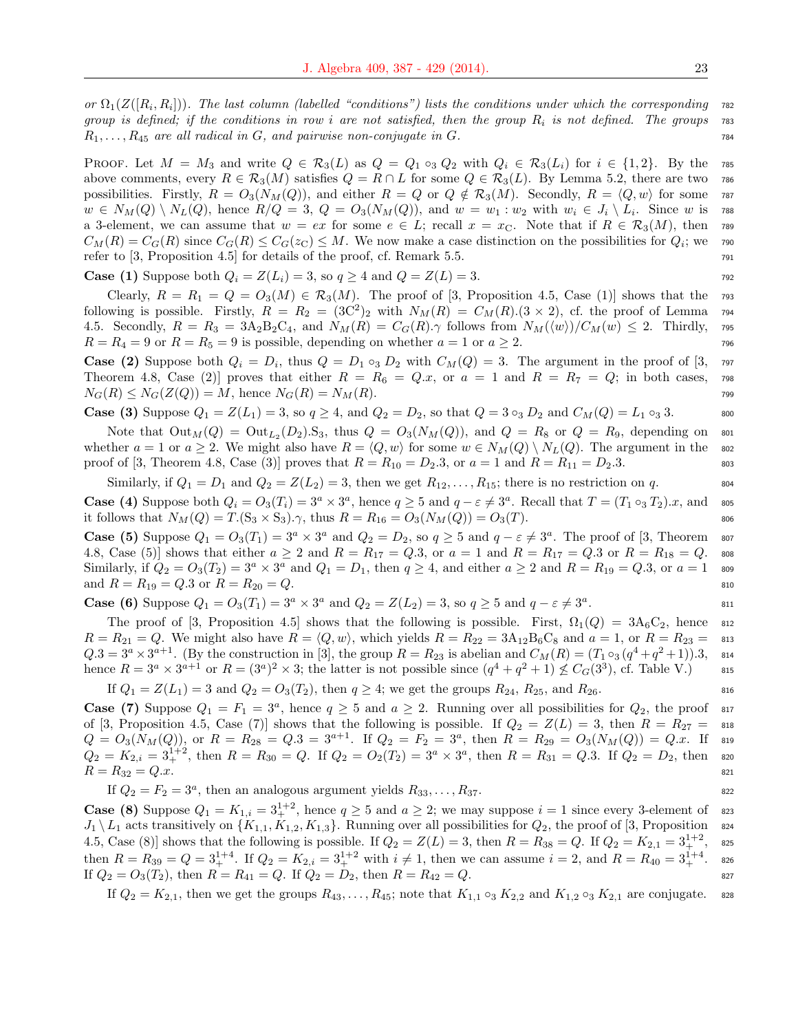or  $\Omega_1(Z([R_i,R_i]))$ . The last column (labelled "conditions") lists the conditions under which the corresponding  $\tau$ group is defined; if the conditions in row i are not satisfied, then the group  $R_i$  is not defined. The groups  $\tau$ ss  $R_1, \ldots, R_{45}$  are all radical in G, and pairwise non-conjugate in G.  $\ldots$ 

PROOF. Let  $M = M_3$  and write  $Q \in \mathcal{R}_3(L)$  as  $Q = Q_1 \circ_3 Q_2$  with  $Q_i \in \mathcal{R}_3(L_i)$  for  $i \in \{1,2\}$ . By the 785 above comments, every  $R \in \mathcal{R}_3(M)$  satisfies  $Q = R \cap L$  for some  $Q \in \mathcal{R}_3(L)$ . By Lemma 5.2, there are two 786 possibilities. Firstly,  $R = O_3(N_M(Q))$ , and either  $R = Q$  or  $Q \notin \mathcal{R}_3(M)$ . Secondly,  $R = \langle Q, w \rangle$  for some 787  $w \in N_M(Q) \setminus N_L(Q)$ , hence  $R/Q = 3$ ,  $Q = O_3(N_M(Q))$ , and  $w = w_1 : w_2$  with  $w_i \in J_i \setminus L_i$ . Since w is 788 a 3-element, we can assume that  $w = ex$  for some  $e \in L$ ; recall  $x = x<sub>C</sub>$ . Note that if  $R \in \mathcal{R}_3(M)$ , then 789  $C_M(R) = C_G(R)$  since  $C_G(R) \leq C_G(z_G) \leq M$ . We now make a case distinction on the possibilities for  $Q_i$ ; we root refer to  $[3,$  Proposition 4.5 for details of the proof, cf. Remark 5.5.  $\blacksquare$ 

**Case (1)** Suppose both  $Q_i = Z(L_i) = 3$ , so  $q \ge 4$  and  $Q = Z(L) = 3$ .

Clearly,  $R = R_1 = Q = O_3(M) \in \mathcal{R}_3(M)$ . The proof of [3, Proposition 4.5, Case (1)] shows that the 793 following is possible. Firstly,  $R = R_2 = (3C^2)_2$  with  $N_M(R) = C_M(R)(3 \times 2)$ , cf. the proof of Lemma 794 4.5. Secondly,  $R = R_3 = 3A_2B_2C_4$ , and  $N_M(R) = C_G(R) \gamma$  follows from  $N_M(\langle w \rangle)/C_M(w) \leq 2$ . Thirdly, 795  $R = R_4 = 9$  or  $R = R_5 = 9$  is possible, depending on whether  $a = 1$  or  $a \ge 2$ .

**Case (2)** Suppose both  $Q_i = D_i$ , thus  $Q = D_1 \circ_3 D_2$  with  $C_M(Q) = 3$ . The argument in the proof of [3, 797] Theorem 4.8, Case (2) proves that either  $R = R_6 = Q.x$ , or  $a = 1$  and  $R = R_7 = Q$ ; in both cases, 798  $N_G(R) \leq N_G(Z(Q)) = M$ , hence  $N_G(R) = N_M(R)$ . 799

Case (3) Suppose 
$$
Q_1 = Z(L_1) = 3
$$
, so  $q \ge 4$ , and  $Q_2 = D_2$ , so that  $Q = 3 \circ_3 D_2$  and  $C_M(Q) = L_1 \circ_3 3$ .

Note that  $Out_M(Q) = Out_{L_2}(D_2)$ . S<sub>3</sub>, thus  $Q = O_3(N_M(Q))$ , and  $Q = R_8$  or  $Q = R_9$ , depending on som whether  $a = 1$  or  $a \ge 2$ . We might also have  $R = \langle Q, w \rangle$  for some  $w \in N_M(Q) \setminus N_L(Q)$ . The argument in the soz proof of [3, Theorem 4.8, Case (3)] proves that  $R = R_{10} = D_2.3$ , or  $a = 1$  and  $R = R_{11} = D_2.3$ .

Similarly, if  $Q_1 = D_1$  and  $Q_2 = Z(L_2) = 3$ , then we get  $R_{12}, \ldots, R_{15}$ ; there is no restriction on q.

**Case** (4) Suppose both  $Q_i = O_3(T_i) = 3^a \times 3^a$ , hence  $q \ge 5$  and  $q - \varepsilon \ne 3^a$ . Recall that  $T = (T_1 \circ_3 T_2) \cdot x$ , and sos it follows that  $N_M(Q) = T(S_3 \times S_3) \gamma$ , thus  $R = R_{16} = O_3(N_M(Q)) = O_3(T)$ .

**Case (5)** Suppose  $Q_1 = O_3(T_1) = 3^a \times 3^a$  and  $Q_2 = D_2$ , so  $q \ge 5$  and  $q - \varepsilon \ne 3^a$ . The proof of [3, Theorem 807 4.8, Case (5)] shows that either  $a \ge 2$  and  $R = R_{17} = Q.3$ , or  $a = 1$  and  $R = R_{17} = Q.3$  or  $R = R_{18} = Q.$  sos Similarly, if  $Q_2 = O_3(T_2) = 3^a \times 3^a$  and  $Q_1 = D_1$ , then  $q \ge 4$ , and either  $a \ge 2$  and  $R = R_{19} = Q.3$ , or  $a = 1$  sos and  $R = R_{19} = Q.3$  or  $R = R_{20} = Q.$  810

**Case (6)** Suppose  $Q_1 = O_3(T_1) = 3^a \times 3^a$  and  $Q_2 = Z(L_2) = 3$ , so  $q \ge 5$  and  $q - \varepsilon \ne 3^a$ . <sup>811</sup>

The proof of [3, Proposition 4.5] shows that the following is possible. First,  $\Omega_1(Q) = 3A_6C_2$ , hence 812  $R = R_{21} = Q$ . We might also have  $R = \langle Q, w \rangle$ , which yields  $R = R_{22} = 3A_{12}B_6C_8$  and  $a = 1$ , or  $R = R_{23} = 813$  $Q.3 = 3^a \times 3^{a+1}$ . (By the construction in [3], the group  $R = R_{23}$  is abelian and  $C_M(R) = (T_1 \circ_3 (q^4 + q^2 + 1)).3,$  814 hence  $R = 3^a \times 3^{a+1}$  or  $R = (3^a)^2 \times 3$ ; the latter is not possible since  $(q^4 + q^2 + 1) \nleq C_G(3^3)$ , cf. Table V.) ass

If  $Q_1 = Z(L_1) = 3$  and  $Q_2 = O_3(T_2)$ , then  $q \ge 4$ ; we get the groups  $R_{24}$ ,  $R_{25}$ , and  $R_{26}$ .

**Case (7)** Suppose  $Q_1 = F_1 = 3^a$ , hence  $q \ge 5$  and  $a \ge 2$ . Running over all possibilities for  $Q_2$ , the proof 817 of [3, Proposition 4.5, Case (7)] shows that the following is possible. If  $Q_2 = Z(L) = 3$ , then  $R = R_{27} = 818$  $Q = O_3(N_M(Q)),$  or  $R = R_{28} = Q.3 = 3^{a+1}$ . If  $Q_2 = F_2 = 3^a$ , then  $R = R_{29} = O_3(N_M(Q)) = Q.x$ . If 819  $Q_2 = K_{2,i} = 3^{1+2}_+$ , then  $R = R_{30} = Q$ . If  $Q_2 = O_2(T_2) = 3^a \times 3^a$ , then  $R = R_{31} = Q.3$ . If  $Q_2 = D_2$ , then s20  $R = R_{32} = Q.x.$  821

If  $Q_2 = F_2 = 3^a$ , then an analogous argument yields  $R_{33}, \ldots, R_{37}$ .

**Case (8)** Suppose  $Q_1 = K_{1,i} = 3^{1+2}_+$ , hence  $q \ge 5$  and  $a \ge 2$ ; we may suppose  $i = 1$  since every 3-element of ass  $J_1 \setminus L_1$  acts transitively on  $\{K_{1,1}, K_{1,2}, K_{1,3}\}\.$  Running over all possibilities for  $Q_2$ , the proof of [3, Proposition 824 4.5, Case (8)] shows that the following is possible. If  $Q_2 = Z(L) = 3$ , then  $R = R_{38} = Q$ . If  $Q_2 = K_{2,1} = 3^{1+2}_+$ , ass then  $R = R_{39} = Q = 3_+^{1+4}$ . If  $Q_2 = K_{2,i} = 3_+^{1+2}$  with  $i \neq 1$ , then we can assume  $i = 2$ , and  $R = R_{40} = 3_+^{1+4}$ . ass If  $Q_2 = O_3(T_2)$ , then  $R = R_{41} = Q$ . If  $Q_2 = D_2$ , then  $R = R_{42} = Q$ .

If  $Q_2 = K_{2,1}$ , then we get the groups  $R_{43}, \ldots, R_{45}$ ; note that  $K_{1,1} \circ_3 K_{2,2}$  and  $K_{1,2} \circ_3 K_{2,1}$  are conjugate. s28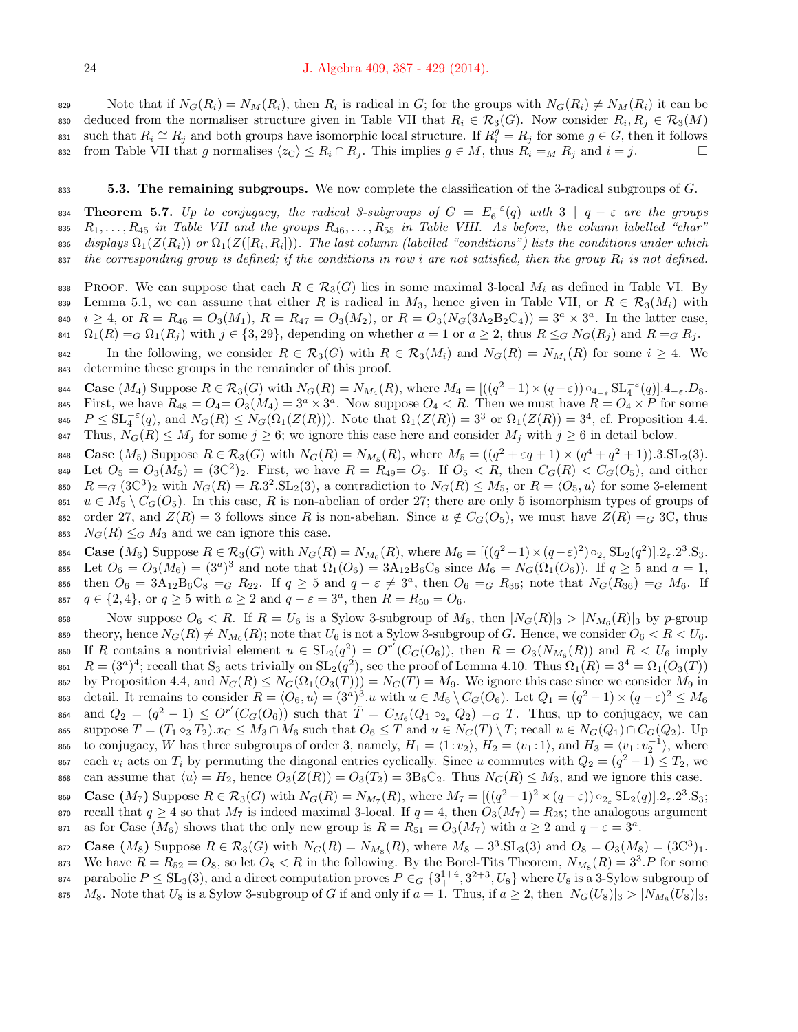Note that if  $N_G(R_i) = N_M(R_i)$ , then  $R_i$  is radical in G; for the groups with  $N_G(R_i) \neq N_M(R_i)$  it can be aso deduced from the normaliser structure given in Table VII that  $R_i \in \mathcal{R}_3(G)$ . Now consider  $R_i, R_j \in \mathcal{R}_3(M)$ such that  $R_i \cong R_j$  and both groups have isomorphic local structure. If  $R_i^g = R_j$  for some  $g \in G$ , then it follows 832 from Table VII that g normalises  $\langle z_C \rangle \leq R_i \cap R_j$ . This implies  $g \in M$ , thus  $R_i =_M R_j$  and  $i = j$ .

#### $833$  5.3. The remaining subgroups. We now complete the classification of the 3-radical subgroups of G.

**Theorem 5.7.** Up to conjugacy, the radical 3-subgroups of  $G = E_6^{-\epsilon}(q)$  with  $3 | q - \epsilon$  are the groups 835  $R_1, \ldots, R_{45}$  in Table VII and the groups  $R_{46}, \ldots, R_{55}$  in Table VIII. As before, the column labelled "char"  $_3$ ss displays  $\Omega_1(Z(R_i))$  or  $\Omega_1(Z([R_i,R_i]))$ . The last column (labelled "conditions") lists the conditions under which  $s_{37}$  the corresponding group is defined; if the conditions in row i are not satisfied, then the group  $R_i$  is not defined.

838 PROOF. We can suppose that each  $R \in \mathcal{R}_3(G)$  lies in some maximal 3-local  $M_i$  as defined in Table VI. By 839 Lemma 5.1, we can assume that either R is radical in  $M_3$ , hence given in Table VII, or  $R \in \mathcal{R}_3(M_i)$  with  $i \geq 4$ , or  $R = R_{46} = O_3(M_1)$ ,  $R = R_{47} = O_3(M_2)$ , or  $R = O_3(N_G(3A_2B_2C_4)) = 3^a \times 3^a$ . In the latter case, 841  $\Omega_1(R) = G \Omega_1(R_j)$  with  $j \in \{3, 29\}$ , depending on whether  $a = 1$  or  $a \geq 2$ , thus  $R \leq_G N_G(R_j)$  and  $R = G R_j$ .

842 In the following, we consider  $R \in \mathcal{R}_3(G)$  with  $R \in \mathcal{R}_3(M_i)$  and  $N_G(R) = N_{M_i}(R)$  for some  $i \geq 4$ . We <sup>843</sup> determine these groups in the remainder of this proof.

844 **Case**  $(M_4)$  Suppose  $R \in \mathcal{R}_3(G)$  with  $N_G(R) = N_{M_4}(R)$ , where  $M_4 = [((q^2 - 1) \times (q - \varepsilon)) \circ_{4_{-\varepsilon}} SL_4^{-\varepsilon}(q)].$   $4_{-\varepsilon}.D_8$ . 845 First, we have  $R_{48} = Q_4 = Q_3(M_4) = 3^a \times 3^a$ . Now suppose  $Q_4 < R$ . Then we must have  $R = Q_4 \times P$  for some  $S_{46}$   $P \leq SL_4^{-\varepsilon}(q)$ , and  $N_G(R) \leq N_G(\Omega_1(Z(R)))$ . Note that  $\Omega_1(Z(R)) = 3^3$  or  $\Omega_1(Z(R)) = 3^4$ , cf. Proposition 4.4. 847 Thus,  $N_G(R) \leq M_j$  for some  $j \geq 6$ ; we ignore this case here and consider  $M_j$  with  $j \geq 6$  in detail below.

**Case**  $(M_5)$  Suppose  $R \in \mathcal{R}_3(G)$  with  $N_G(R) = N_{M_5}(R)$ , where  $M_5 = ((q^2 + \varepsilon q + 1) \times (q^4 + q^2 + 1)) \cdot 3 \cdot SL_2(3)$ . 849 Let  $O_5 = O_3(M_5) = (3C^2)_2$ . First, we have  $R = R_{49} = O_5$ . If  $O_5 < R$ , then  $C_G(R) < C_G(O_5)$ , and either  $R = G (3C^3)_2$  with  $N_G(R) = R \cdot 3^2 \cdot SL_2(3)$ , a contradiction to  $N_G(R) \leq M_5$ , or  $R = \langle O_5, u \rangle$  for some 3-element  $u \in M_5 \setminus C_G(O_5)$ . In this case, R is non-abelian of order 27; there are only 5 isomorphism types of groups of 852 order 27, and  $Z(R) = 3$  follows since R is non-abelian. Since  $u \notin C_G(O_5)$ , we must have  $Z(R) = G(3C)$ , thus  $N_G(R) \leq_G M_3$  and we can ignore this case.

854 **Case**  $(M_6)$  Suppose  $R \in \mathcal{R}_3(G)$  with  $N_G(R) = N_{M_6}(R)$ , where  $M_6 = [((q^2-1) \times (q-\varepsilon)^2) \circ_{2_{\varepsilon}} SL_2(q^2)] \cdot 2_{\varepsilon} \cdot 2^3 \cdot S_3$ . 855 Let  $O_6 = O_3(M_6) = (3^a)^3$  and note that  $\Omega_1(O_6) = 3A_{12}B_6C_8$  since  $M_6 = N_G(\Omega_1(O_6))$ . If  $q \ge 5$  and  $a = 1$ , 856 then  $O_6 = 3A_{12}B_6C_8 = G R_{22}$ . If  $q \geq 5$  and  $q - \varepsilon \neq 3^a$ , then  $O_6 = G R_{36}$ ; note that  $N_G(R_{36}) = G R_6$ . If 857  $q \in \{2, 4\}$ , or  $q \ge 5$  with  $a \ge 2$  and  $q - \varepsilon = 3^a$ , then  $R = R_{50} = O_6$ .

858 Now suppose  $O_6 < R$ . If  $R = U_6$  is a Sylow 3-subgroup of  $M_6$ , then  $|N_G(R)|_3 > |N_{M_6}(R)|_3$  by p-group  $\text{sup} \ \text{there} \ N_G(R) \neq N_{M_6}(R);$  note that  $U_6$  is not a Sylow 3-subgroup of G. Hence, we consider  $O_6 < R < U_6.$ 860 If R contains a nontrivial element  $u \in SL_2(q^2) = O^{r'}(C_G(O_6))$ , then  $R = O_3(N_{M_6}(R))$  and  $R < U_6$  imply <sup>861</sup>  $R = (3^a)^4$ ; recall that S<sub>3</sub> acts trivially on  $SL_2(q^2)$ , see the proof of Lemma 4.10. Thus  $\Omega_1(R) = 3^4 = \Omega_1(O_3(T))$ 862 by Proposition 4.4, and  $N_G(R) \leq N_G(\Omega_1(O_3(T))) = N_G(T) = M_9$ . We ignore this case since we consider  $M_9$  in <sup>863</sup> detail. It remains to consider  $R = \langle O_6, u \rangle = (3^a)^3.u$  with  $u \in M_6 \setminus C_G(O_6)$ . Let  $Q_1 = (q^2 - 1) \times (q - \varepsilon)^2 \le M_6$  $a_{64}$  and  $Q_2 = (q^2 - 1) \leq O^{r'}(C_G(O_6))$  such that  $\tilde{T} = C_{M_6}(Q_1 \circ_{2_{\epsilon}} Q_2) = G T$ . Thus, up to conjugacy, we can 865 suppose  $T = (T_1 \circ_3 T_2).x_C \leq M_3 \cap M_6$  such that  $O_6 \leq T$  and  $u \in N_G(T) \setminus T$ ; recall  $u \in N_G(Q_1) \cap C_G(Q_2)$ . Up 866 to conjugacy, W has three subgroups of order 3, namely,  $H_1 = \langle 1 : v_2 \rangle$ ,  $H_2 = \langle v_1 : 1 \rangle$ , and  $H_3 = \langle v_1 : v_2^{-1} \rangle$ , where each  $v_i$  acts on  $T_i$  by permuting the diagonal entries cyclically. Since u commutes with  $Q_2 = (q^2 - 1) \le T_2$ , we 868 can assume that  $\langle u \rangle = H_2$ , hence  $O_3(Z(R)) = O_3(T_2) = 3B_6C_2$ . Thus  $N_G(R) \leq M_3$ , and we ignore this case.

869 **Case**  $(M_7)$  Suppose  $R \in \mathcal{R}_3(G)$  with  $N_G(R) = N_{M_7}(R)$ , where  $M_7 = [((q^2-1)^2 \times (q-\varepsilon)) \circ_{2_\varepsilon} SL_2(q)] \cdot 2_\varepsilon \cdot 2^3 \cdot S_3;$ 870 recall that  $q \ge 4$  so that  $M_7$  is indeed maximal 3-local. If  $q = 4$ , then  $O_3(M_7) = R_{25}$ ; the analogous argument  $a_{51}$  as for Case  $(M_6)$  shows that the only new group is  $R = R_{51} = O_3(M_7)$  with  $a \geq 2$  and  $q - \varepsilon = 3^a$ .

872 **Case**  $(M_8)$  Suppose  $R \in \mathcal{R}_3(G)$  with  $N_G(R) = N_{M_8}(R)$ , where  $M_8 = 3^3$ . SL<sub>3</sub>(3) and  $O_8 = O_3(M_8) = (3C^3)_1$ . 873 We have  $R = R_{52} = O_8$ , so let  $O_8 < R$  in the following. By the Borel-Tits Theorem,  $N_{M_8}(R) = 3^3.P$  for some <sup>874</sup> parabolic  $P \le SL_3(3)$ , and a direct computation proves  $P \in G$   $\{3_+^{1+4}, 3^{2+3}, U_8\}$  where  $U_8$  is a 3-Sylow subgroup of

875  $M_8$ . Note that  $U_8$  is a Sylow 3-subgroup of G if and only if  $a = 1$ . Thus, if  $a \geq 2$ , then  $|N_G(U_8)|_3 > |N_{M_8}(U_8)|_3$ ,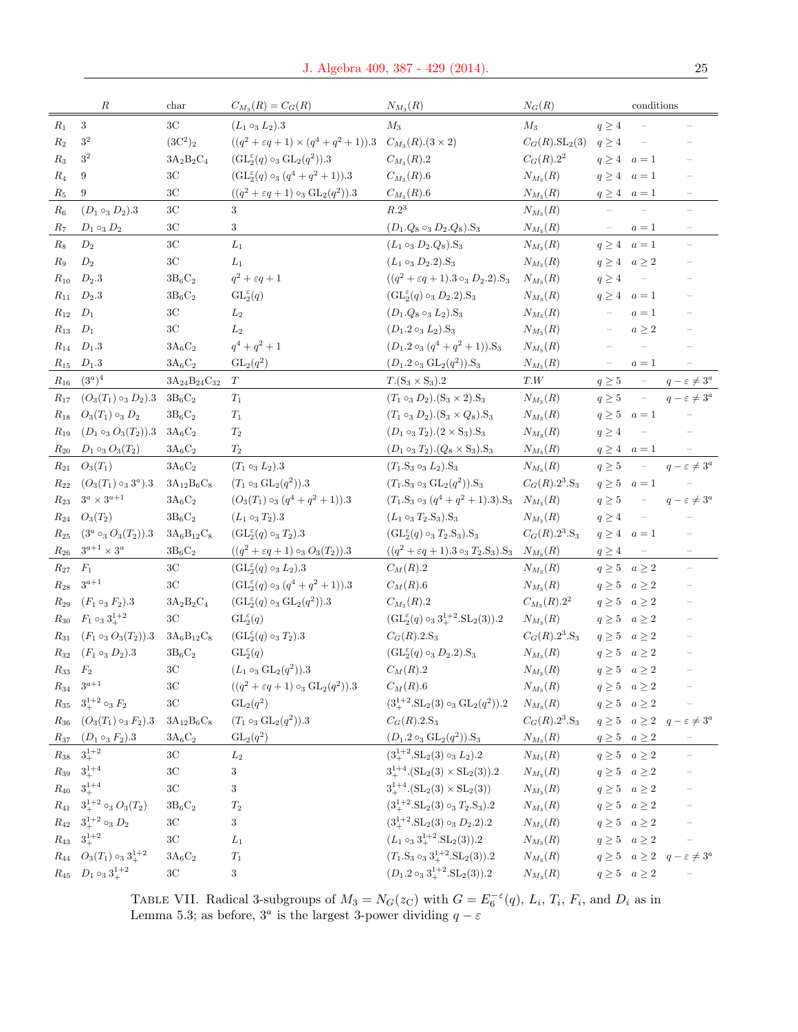|                    | R                                                   | char                                    | $C_{M_3}(R) = C_G(R)$                                                                | $N_{M_3}(R)$                                                                    | $N_G(R)$                                             |                           | conditions                      |                                                                                             |
|--------------------|-----------------------------------------------------|-----------------------------------------|--------------------------------------------------------------------------------------|---------------------------------------------------------------------------------|------------------------------------------------------|---------------------------|---------------------------------|---------------------------------------------------------------------------------------------|
| $R_1$              | $\sqrt{3}$                                          | 3 <sup>C</sup>                          | $(L_1 \circ_3 L_2).3$                                                                | $M_3$                                                                           | $M_3$                                                | $q\geq 4$                 |                                 |                                                                                             |
| $R_2$              | $3^2\,$                                             | $(3C^2)_2$                              | $((q^2 + \varepsilon q + 1) \times (q^4 + q^2 + 1)).3 \quad C_{M_3}(R).(3 \times 2)$ |                                                                                 | $C_G(R).SL_2(3)$                                     | $q\geq 4$                 | $\overline{\phantom{a}}$        |                                                                                             |
| $R_3$              | $3^2\,$                                             | $3A_2B_2C_4$                            | $(GL_2^{\varepsilon}(q) \circ_3 GL_2(q^2)).3$                                        | $C_{M_3}(R).2$                                                                  | $C_G(R).2^2$                                         | $q \geq 4$ $a=1$          |                                 |                                                                                             |
| $R_4$              | 9                                                   | $3\mathrm{C}$                           | $(GL_2^{\varepsilon}(q) \circ_3 (q^4+q^2+1)).3$                                      | $C_{M_3}(R).6$                                                                  | $N_{M_3}(R)$                                         | $q \geq 4$ $a=1$          |                                 |                                                                                             |
| $R_5$              | 9                                                   | $3\mathrm{C}$                           | $((q^2 + \varepsilon q + 1) \circ_3 \mathrm{GL}_2(q^2)).3$                           | $C_{M_3}(R).6$                                                                  | $\mathcal{N}_{M_3}(\mathbb{R})$                      | $q \geq 4$ $a=1$          |                                 |                                                                                             |
| $R_6$              | $(D_1 \circ_3 D_2).3$                               | 3 <sup>C</sup>                          | 3                                                                                    | R.2 <sup>3</sup>                                                                | $N_{M_3}(R)$                                         |                           |                                 |                                                                                             |
| $R_7$              | $D_1 \circ_3 D_2$                                   | $3\mathrm{C}$                           | 3                                                                                    | $(D_1.Q_8 \circ_3 D_2.Q_8).S_3$                                                 | $N_{M_3}(R)$                                         |                           | $a=1$                           | $\overline{\phantom{m}}$                                                                    |
| $R_8$              | $D_2$                                               | $3\mathrm{C}$                           | ${\cal L}_1$                                                                         | $(L_1 \circ_3 D_2 \cdot Q_8) \cdot S_3$                                         | $N_{M_3}(R)$                                         |                           | $q \geq 4$ $a=1$                |                                                                                             |
| $R_9$              | $D_2$                                               | 3C                                      | $L_1$                                                                                | $(L_1 \circ_3 D_2.2).$ S <sub>3</sub>                                           | $N_{M_3}(R)$                                         | $q \geq 4 \quad a \geq 2$ |                                 |                                                                                             |
| $R_{10}$           | $D_2.3$                                             | $3B_6C_2$                               | $q^2+\varepsilon q+1$                                                                | $((q^2 + \varepsilon q + 1).3 \circ_3 D_2.2).S_3$                               | $N_{M_3}(R)$                                         | $q \geq 4$                | $\mathcal{C}=\mathcal{C}$       |                                                                                             |
| $R_{11}$           | $D_2.3$                                             | $3B_6C_2$                               | $\mathrm{GL}_2^{\varepsilon}(q)$                                                     | $(GL_2^{\varepsilon}(q) \circ_3 D_2.2).S_3$                                     | $N_{M_3}(R)$                                         | $q \geq 4$ $a=1$          |                                 |                                                                                             |
| $R_{12}$           | $D_1$                                               | $3\mathrm{C}$                           | $L_2$                                                                                | $(D_1.Q_8 \circ_3 L_2).S_3$                                                     | $N_{M_3}(R)$                                         | $\equiv$                  | $a=1$                           | $\qquad \qquad -$                                                                           |
| $R_{13}$           | $D_1$                                               | $3\mathrm{C}$                           | $L_2$                                                                                | $(D_1.2 \circ_3 L_2).S_3$                                                       | $N_{M_3}(R)$                                         | $\overline{\phantom{a}}$  | $a\geq 2$                       |                                                                                             |
| $R_{14}$           | $D_1.3$                                             | $3{\rm A}_6{\rm C}_2$                   | $q^4 + q^2 + 1$                                                                      | $(D_1.2 \circ_3 (q^4+q^2+1)).S_3$                                               | $N_{M_3}(R)$                                         |                           |                                 |                                                                                             |
| $R_{15}$           | $D_1.3$                                             | $3A_6C_2$                               | $GL_2(q^2)$                                                                          | $(D_1.2 \circ_3 GL_2(q^2)).S_3$                                                 | $N_{M_3}(R)$                                         | $\overline{\phantom{0}}$  | $a=1$                           |                                                                                             |
| $R_{16}$           | $(3^a)^4$                                           | $3A_{24}B_{24}C_{32}$                   | T                                                                                    | $T.(S_3 \times S_3).2$                                                          | $T.W$                                                | $q\geq 5$                 | $\equiv$                        | $q-\varepsilon \neq 3^a$                                                                    |
| $R_{17}$           | $(O_3(T_1) \circ_3 D_2).3$                          | $3B_6C_2$                               | $T_1$                                                                                | $(T_1 \circ_3 D_2) . (S_3 \times 2) . S_3$                                      | $N_{M_3}(R)$                                         | $q \geq 5$                | $\equiv$                        | $q-\varepsilon \neq 3^a$                                                                    |
| $R_{18}$           | $O_3(T_1) \circ_3 D_2$                              | $3B_6C_2$                               | $\mathcal{T}_1$                                                                      | $(T_1 \circ_3 D_2) \cdot (S_3 \times Q_8) \cdot S_3$                            | $N_{M_3}(R)$                                         |                           | $q\geq 5 \quad a=1$             |                                                                                             |
| $R_{19}$           | $(D_1 \circ_3 O_3(T_2)).3$                          | $3A_6C_2$                               | $T_2$                                                                                | $(D_1 \circ_3 T_2) \cdot (2 \times S_3) \cdot S_3$                              | $N_{M_3}(R)$                                         | $q \geq 4$                | $\overline{\phantom{a}}$        |                                                                                             |
|                    | $R_{20}$ $D_1 \circ_3 O_3(T_2)$                     | $3A_6C_2$                               | $\mathcal{T}_2$                                                                      | $(D_1 \circ_3 T_2) \cdot (Q_8 \times S_3) \cdot S_3$                            | $N_{M_3}(R)$                                         | $q \geq 4$ $a=1$          |                                 |                                                                                             |
| $R_{21}$           | $O_3(T_1)$                                          | $3A_6C_2$                               | $(T_1 \circ_3 L_2).3$                                                                | $(T_1.S_3 \circ_3 L_2).S_3$                                                     | $N_{M_3}(R)$                                         | $q\geq 5$                 | $\equiv$                        | $q-\varepsilon \neq 3^a$                                                                    |
| $R_{22}$           | $(O_3(T_1)\circ_3 3^a).3$                           | $3A_{12}B_6C_8$                         | $(T_1 \circ_3 GL_2(q^2)).3$                                                          | $(T_1.S_3 \circ_3 GL_2(q^2)).S_3$                                               | $C_G(R).2^3.S_3$                                     |                           | $q \geq 5$ $a=1$                |                                                                                             |
| $R_{23}$           | $3^a \times 3^{a+1}$                                | $3A_6C_2$                               | $(O_3(T_1) \circ_3 (q^4 + q^2 + 1)).3$                                               | $(T_1.S_3 \circ_3 (q^4+q^2+1).3).S_3$                                           | $N_{M_3}(R)$                                         | $q \geq 5$                | $\mathcal{C}=\mathcal{C}$       | $q-\varepsilon\neq 3^a$                                                                     |
| $R_{24}$           | $O_3(T_2)$                                          | $3B_6C_2$                               | $(L_1 \circ_3 T_2).3$                                                                | $(L_1 \circ_3 T_2.S_3).S_3$                                                     | $N_{M_3}(R)$                                         | $q\geq 4$                 | $\overline{\phantom{a}}$        |                                                                                             |
|                    | $R_{25}$ $(3^a \circ_3 O_3(T_2)).3$                 | $3A_6B_{12}C_8$                         | $(GL_2^{\varepsilon}(q) \circ_3 T_2).3$                                              | $(GL_2^{\varepsilon}(q) \circ_3 T_2.S_3).S_3$                                   | $C_G(R).2^3.S_3$                                     | $q \geq 4$ $a=1$          |                                 |                                                                                             |
| $R_{26}$           | $3^{a+1}\times 3^a$                                 | $3B_6C_2$                               | $((q^2 + \varepsilon q + 1) \circ_3 O_3(T_2)).3$                                     | $((q^2 + \varepsilon q + 1).3 \circ_3 T_2.S_3).S_3$ $N_{M_3}(R)$                |                                                      | $q \geq 4$                | $\hspace{0.1mm}-\hspace{0.1mm}$ | $\overline{\phantom{a}}$                                                                    |
| $\mathcal{R}_{27}$ | $F_1$                                               | $3\mathrm{C}$                           | $(GL_2^{\varepsilon}(q) \circ_3 L_2).3$                                              | $C_M(R).2$                                                                      | $N_{M_3}(R)$                                         |                           | $q \geq 5 \quad a \geq 2$       | $\bar{ }$                                                                                   |
| $R_{28}$           | $3^{a+1}$                                           | 3 <sub>C</sub>                          | $(GL_2^{\epsilon}(q) \circ_3 (q^4+q^2+1)).3$                                         | $C_M(R).6$                                                                      | $N_{M_3}(R)$                                         |                           | $q \geq 5 \quad a \geq 2$       |                                                                                             |
| $R_{29}$           | $(F_1 \circ_3 F_2).3$                               | $3\mathrm{A}_2\mathrm{B}_2\mathrm{C}_4$ | $(GL_2^{\varepsilon}(q) \circ_3 GL_2(q^2)).3$                                        | $C_{M_3}(R).2$                                                                  | $C_{M_3}(R).2^2$                                     |                           | $q \geq 5 \quad a \geq 2$       |                                                                                             |
| $R_{30}$           | $F_1 \circ_3 3_+^{1+2}$                             | $3\mathrm{C}$                           | $\mathrm{GL}_2^{\varepsilon}(q)$                                                     | $(\mathrm{GL}_2^\varepsilon(q) \circ_3 3_+^{1+2} .\mathrm{SL}_2(3)).2$          | $N_{M_3}(R)$                                         |                           | $q \geq 5 \quad a \geq 2$       |                                                                                             |
| $R_{31}$           | $(F_1 \circ_3 O_3(T_2)).3$                          | $3A_6B_{12}C_8$                         | $(GL_2^{\varepsilon}(q) \circ_3 T_2).3$                                              | $C_G(R).2.S_3$                                                                  | $C_G(R).2^3.S_3$                                     |                           | $q \geq 5 \quad a \geq 2$       |                                                                                             |
| $R_{32}$           | $(F_1 \circ_3 D_2).3$                               | $3B_6C_2$                               | $\mathrm{GL}_2^{\varepsilon}(q)$                                                     | $(GL_2^{\varepsilon}(q) \circ_3 D_2.2).S_3$                                     | $N_{M_3}(R)$                                         | $q \geq 5 \quad a \geq 2$ |                                 | $\overline{\phantom{a}}$                                                                    |
| $R_{33}$ $F_2$     |                                                     | $3\mathrm{C}$                           | $(L_1 \circ_3 GL_2(q^2)).3$                                                          | $C_M(R).2$                                                                      | $N_{M_3}(R)$                                         |                           | $q \geq 5 \quad a \geq 2$       | $\overline{\phantom{a}}$                                                                    |
|                    | $R_{34} \quad 3^{a+1}$                              | 3 <sub>C</sub>                          | $((q^2 + \varepsilon q + 1) \circ_3 \mathrm{GL}_2(q^2)).3$                           | $C_M(R)$ .6                                                                     | $N_{M_3}(R)$                                         |                           | $q \geq 5 \quad a \geq 2$       |                                                                                             |
|                    | $R_{35}$ $3_+^{1+2}$ $\circ_3 F_2$                  | 3 <sub>C</sub>                          | $GL_2(q^2)$                                                                          | $(3^{1+2}_{+}.\mathrm{SL}_2(3) \circ_3 \mathrm{GL}_2(q^2)).2$                   | $N_{M_3}(R) \qquad \quad \  q \geq 5 \quad a \geq 2$ |                           |                                 |                                                                                             |
|                    | $R_{36}$ $(O_3(T_1) \circ_3 F_2).3$ $3A_{12}B_6C_8$ |                                         | $(T_1 \circ_3 GL_2(q^2)).3$                                                          | $C_G(R).2.S_3$                                                                  | $C_G(R).2^3.S_3$                                     |                           |                                 | $q \geq 5 \quad a \geq 2 \quad q - \varepsilon \neq 3^a$                                    |
|                    | $R_{37}$ $(D_1 \circ_3 F_2).3$                      | $3A_6C_2$                               | $GL_2(q^2)$                                                                          | $(D_1.2 \circ_3 GL_2(q^2)).S_3$                                                 | $N_{M_3}(R)$                                         |                           | $q\geq 5 \quad a\geq 2$         |                                                                                             |
|                    | $R_{38} \quad 3^{1+2}_+$                            | 3C                                      | $L_2$                                                                                | $(3^{1+2}_+ \text{SL}_2(3) \circ_3 L_2).2$                                      | $N_{M_3}(R)$                                         |                           | $q \geq 5 \quad a \geq 2$       |                                                                                             |
|                    | $R_{39}$ $3^{1+4}_{+}$                              | 3C                                      | 3                                                                                    | $3^{1+4}_{+}$ . $(SL_2(3) \times SL_2(3))$ . 2                                  | $N_{M_3}(R)$                                         |                           | $q \geq 5 \quad a \geq 2$       |                                                                                             |
|                    | $R_{40}$ $3^{1+4}_{+}$                              | $3\mathrm{C}$                           | 3                                                                                    | $3^{1+4}_+$ . $(SL_2(3) \times SL_2(3))$                                        | $N_{M_3}(R)$                                         |                           |                                 | $q \ge 5$ $a \ge 2$<br>$q \ge 5$ $a \ge 2$<br>$q \ge 5$ $a \ge 2$<br>$q \ge 5$<br>$a \ge 2$ |
|                    | $R_{41}$ $3^{1+2}_{+}$ $\circ_3 O_3(T_2)$           | $3B_6C_2$                               | $T_2$                                                                                | $(3^{1+2}_{+}$ SL <sub>2</sub> (3) $\circ_3$ T <sub>2</sub> .S <sub>3</sub> ).2 | $N_{M_3}(R)$                                         |                           |                                 |                                                                                             |
|                    | $R_{42}$ $3^{1+2}_{+}$ $\circ_3$ $D_2$              | $3\mathrm{C}$                           | 3                                                                                    | $(3^{1+2}_{+}$ SL <sub>2</sub> (3) $\circ_3$ D <sub>2</sub> .2).2               | $N_{M_3}(R)$                                         |                           |                                 |                                                                                             |
|                    | $R_{43}$ $3^{1+2}_{+}$                              | 3C                                      | ${\cal L}_1$                                                                         | $(L_1 \circ_3 3_+^{1+2}.SL_2(3)).2$                                             | $N_{M_3}(R)$                                         |                           | $q \geq 5 \quad a \geq 2$       |                                                                                             |
|                    | $R_{44}$ $O_3(T_1) \circ_3 3_+^{1+2}$               | $3A_6C_2$                               | $T_1$                                                                                | $(T_1.S_3 \circ_3 3_+^{1+2}.SL_2(3)).2$                                         | $N_{M_3}(R)$                                         |                           |                                 | $q \geq 5$ $a \geq 2$ $q - \varepsilon \neq 3^a$                                            |
|                    | $R_{45}$ $D_1 \circ_3 3_+^{1+2}$                    | 3C                                      | 3                                                                                    | $(D_1.2 \circ_3 3_+^{1+2}.SL_2(3)).2$                                           | $N_{M_3}(R)$                                         |                           | $q \geq 5 \quad a \geq 2$       |                                                                                             |
|                    |                                                     |                                         |                                                                                      |                                                                                 |                                                      |                           |                                 |                                                                                             |

TABLE VII. Radical 3-subgroups of  $M_3 = N_G(z_C)$  with  $G = E_6^{-\varepsilon}(q)$ ,  $L_i$ ,  $T_i$ ,  $F_i$ , and  $D_i$  as in Lemma 5.3; as before,  $3^a$  is the largest 3-power dividing  $q - \varepsilon$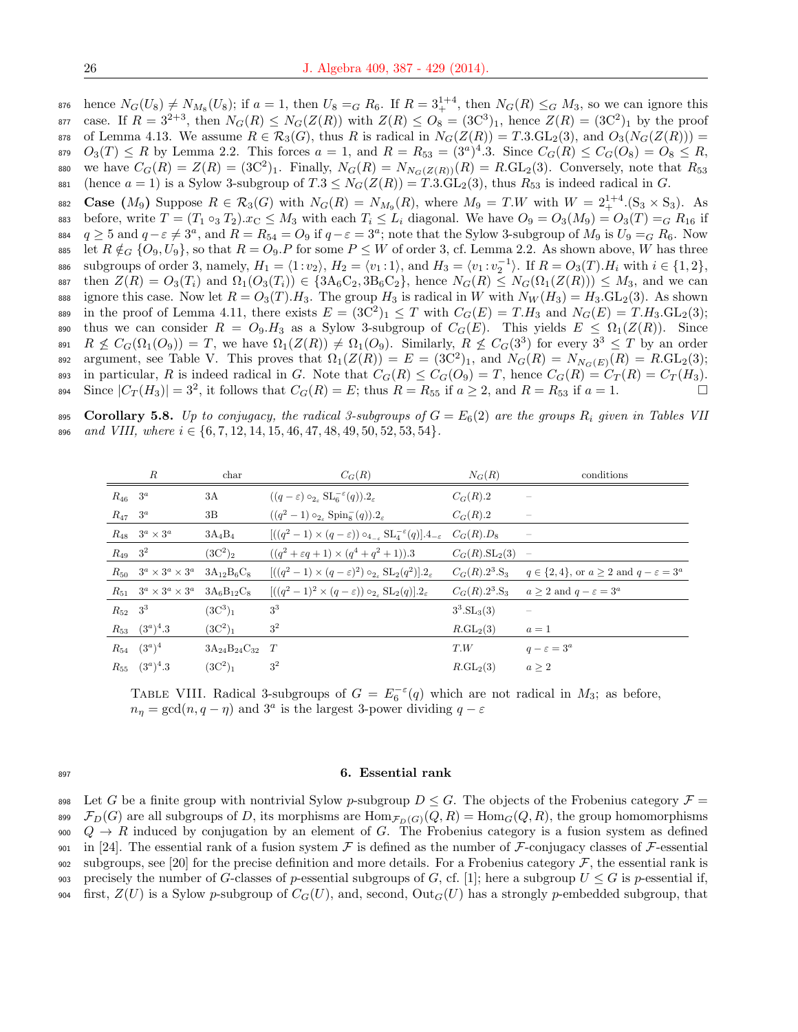$\ker$  hence  $N_G(U_8) \neq N_{M_8}(U_8)$ ; if  $a = 1$ , then  $U_8 = G R_6$ . If  $R = 3_+^{1+4}$ , then  $N_G(R) \leq_G M_3$ , so we can ignore this s77 case. If  $R = 3^{2+3}$ , then  $N_G(R) \le N_G(Z(R))$  with  $Z(R) \le O_8 = (3C^3)_1$ , hence  $Z(R) = (3C^2)_1$  by the proof 878 of Lemma 4.13. We assume  $R \in \mathcal{R}_3(G)$ , thus R is radical in  $N_G(Z(R)) = T.3 \cdot \text{GL}_2(3)$ , and  $O_3(N_G(Z(R))) =$ 879  $O_3(T) \le R$  by Lemma 2.2. This forces  $a = 1$ , and  $R = R_{53} = (3^a)^4.3$ . Since  $C_G(R) \le C_G(O_8) = O_8 \le R$ , 880 we have  $C_G(R) = Z(R) = (3C^2)_1$ . Finally,  $N_G(R) = N_{N_G(Z(R))}(R) = R \cdot GL_2(3)$ . Conversely, note that  $R_{53}$ 881 (hence  $a = 1$ ) is a Sylow 3-subgroup of  $T.3 \leq N_G(Z(R)) = T.3.\overline{GL}_2(3)$ , thus  $R_{53}$  is indeed radical in G.

882 Case  $(M_9)$  Suppose  $R \in \mathcal{R}_3(G)$  with  $N_G(R) = N_{M_9}(R)$ , where  $M_9 = T.W$  with  $W = 2_+^{1+4}$ .  $(S_3 \times S_3)$ . As 883 before, write  $T = (T_1 \circ_3 T_2).x_C \leq M_3$  with each  $T_i \leq L_i$  diagonal. We have  $O_9 = O_3(M_9) = O_3(T) = G R_{16}$  if  $q \geq 5$  and  $q-\varepsilon \neq 3^a$ , and  $R = R_{54} = O_9$  if  $q-\varepsilon = 3^a$ ; note that the Sylow 3-subgroup of  $M_9$  is  $U_9 = G R_6$ . Now 885 let  $R \notin_G \{O_9, U_9\}$ , so that  $R = O_9$ . P for some  $P \leq W$  of order 3, cf. Lemma 2.2. As shown above, W has three 886 subgroups of order 3, namely,  $H_1 = \langle 1 : v_2 \rangle$ ,  $H_2 = \langle v_1 : 1 \rangle$ , and  $H_3 = \langle v_1 : v_2^{-1} \rangle$ . If  $R = O_3(T)$ . H<sub>i</sub> with  $i \in \{1, 2\}$ , 887 then  $Z(R) = O_3(T_i)$  and  $\Omega_1(O_3(T_i)) \in \{3A_6C_2, 3B_6C_2\}$ , hence  $N_G(R) \leq N_G(\Omega_1(Z(R))) \leq M_3$ , and we can 888 ignore this case. Now let  $R = O_3(T)$ . The group  $H_3$  is radical in W with  $N_W(H_3) = H_3$ . GL<sub>2</sub>(3). As shown 889 in the proof of Lemma 4.11, there exists  $E = (3C^2)_1 \leq T$  with  $C_G(E) = T.H_3$  and  $N_G(E) = T.H_3$ .  $GL_2(3)$ ; 890 thus we can consider  $R = O_9.H_3$  as a Sylow 3-subgroup of  $C_G(E)$ . This yields  $E \le \Omega_1(Z(R))$ . Since 891  $R \nleq C_G(\Omega_1(O_9)) = T$ , we have  $\Omega_1(Z(R)) \neq \Omega_1(O_9)$ . Similarly,  $R \nleq C_G(3^3)$  for every  $3^3 \leq T$  by an order argument, see Table V. This proves that  $\Omega_1(Z(R)) = E = (3C^2)_1$ , and  $N_G(R) = N_{N_G(E)}(R) = R \cdot GL_2(3)$ ; 893 in particular, R is indeed radical in G. Note that  $C_G(R) \leq C_G(O_9) = T$ , hence  $C_G(R) = C_T(R) = C_T(H_3)$ . Since  $|C_T(H_3)| = 3^2$ , it follows that  $C_G(R) = E$ ; thus  $R = R_{55}$  if  $a \geq 2$ , and  $R = R_{53}$  if  $a = 1$ .

895 Corollary 5.8. Up to conjugacy, the radical 3-subgroups of  $G = E_6(2)$  are the groups  $R_i$  given in Tables VII 896 and VIII, where  $i \in \{6, 7, 12, 14, 15, 46, 47, 48, 49, 50, 52, 53, 54\}.$ 

|                         | $\boldsymbol{R}$                     | char                    | $C_G(R)$                                                                                                   | $N_G(R)$           | conditions                                                   |
|-------------------------|--------------------------------------|-------------------------|------------------------------------------------------------------------------------------------------------|--------------------|--------------------------------------------------------------|
| $R_{46}$ 3 <sup>a</sup> |                                      | 3A                      | $((q-\varepsilon) \circ_{2_{\varepsilon}} \mathrm{SL}_{6}^{-\varepsilon}(q)).2_{\varepsilon}$              | $C_G(R).2$         |                                                              |
| $R_{47}$ 3 <sup>a</sup> |                                      | 3B                      | $((q^2-1)\circ_{2_{\varepsilon}} {\rm Spin}_8^-(q)).2_{\varepsilon}$                                       | $C_G(R).2$         |                                                              |
|                         | $R_{48}$ $3^a \times 3^a$            | $3A_4B_4$               | $[((q^2-1)\times(q-\varepsilon))\circ_{4-\varepsilon} \mathrm{SL}_{4}^{-\varepsilon}(q)].4_{-\varepsilon}$ | $C_G(R).D_8$       |                                                              |
| $R_{49}$ 3 <sup>2</sup> |                                      | $(3C^2)_2$              | $((q^2 + \varepsilon q + 1) \times (q^4 + q^2 + 1)).3)$                                                    | $C_G(R).SL_2(3)$   | $\hspace{0.1mm}-\hspace{0.1mm}$                              |
|                         | $R_{50}$ $3^a \times 3^a \times 3^a$ | $3A_{12}B_6C_8$         | $[((q^2-1)\times(q-\varepsilon)^2)\circ_{2_{\varepsilon}}\mathrm{SL}_2(q^2)].2_{\varepsilon}$              | $C_G(R).2^3.S_3$   | $q \in \{2, 4\}$ , or $a \geq 2$ and $q - \varepsilon = 3^a$ |
|                         | $R_{51}$ $3^a \times 3^a \times 3^a$ | $3A_6B_{12}C_8$         | $[(\sqrt{q^2-1})^2 \times (q-\varepsilon)) \circ_{2} SL_2(q)].2\varepsilon$                                | $C_G(R).2^3.S_3$   | $a \geq 2$ and $q - \varepsilon = 3^a$                       |
|                         | $R_{52}$ 3 <sup>3</sup>              | $(3C^3)_1$              | 3 <sup>3</sup>                                                                                             | $3^3.SL_3(3)$      |                                                              |
|                         | $R_{53}$ $(3^a)^4.3$                 | $(3C^2)_1$              | 3 <sup>2</sup>                                                                                             | $R_{\cdot}GL_2(3)$ | $a=1$                                                        |
|                         | $R_{54}$ $(3^a)^4$                   | $3A_{24}B_{24}C_{32}$ T |                                                                                                            | T.W                | $q-\varepsilon=3^a$                                          |
|                         | $R_{55}$ $(3^a)^4.3$                 | $(3C^2)_1$              | $3^2$                                                                                                      | $R_{\cdot}GL_2(3)$ | a > 2                                                        |
|                         |                                      |                         |                                                                                                            |                    |                                                              |

TABLE VIII. Radical 3-subgroups of  $G = E_6^{-\epsilon}(q)$  which are not radical in  $M_3$ ; as before,  $n_{\eta} = \gcd(n, q - \eta)$  and  $3^a$  is the largest 3-power dividing  $q - \varepsilon$ 

#### <sup>897</sup> 6. Essential rank

898 Let G be a finite group with nontrivial Sylow p-subgroup  $D \leq G$ . The objects of the Frobenius category  $\mathcal{F} =$ 899  $\mathcal{F}_D(G)$  are all subgroups of D, its morphisms are  $\text{Hom}_{\mathcal{F}_D(G)}(Q, R) = \text{Hom}_G(Q, R)$ , the group homomorphisms 900  $Q \rightarrow R$  induced by conjugation by an element of G. The Frobenius category is a fusion system as defined 901 in [24]. The essential rank of a fusion system  $\mathcal F$  is defined as the number of  $\mathcal F$ -conjugacy classes of  $\mathcal F$ -essential 902 subgroups, see [20] for the precise definition and more details. For a Frobenius category  $\mathcal F$ , the essential rank is 903 precisely the number of G-classes of p-essential subgroups of G, cf. [1]; here a subgroup  $U \leq G$  is p-essential if, 904 first,  $Z(U)$  is a Sylow p-subgroup of  $C_G(U)$ , and, second,  $Out_G(U)$  has a strongly p-embedded subgroup, that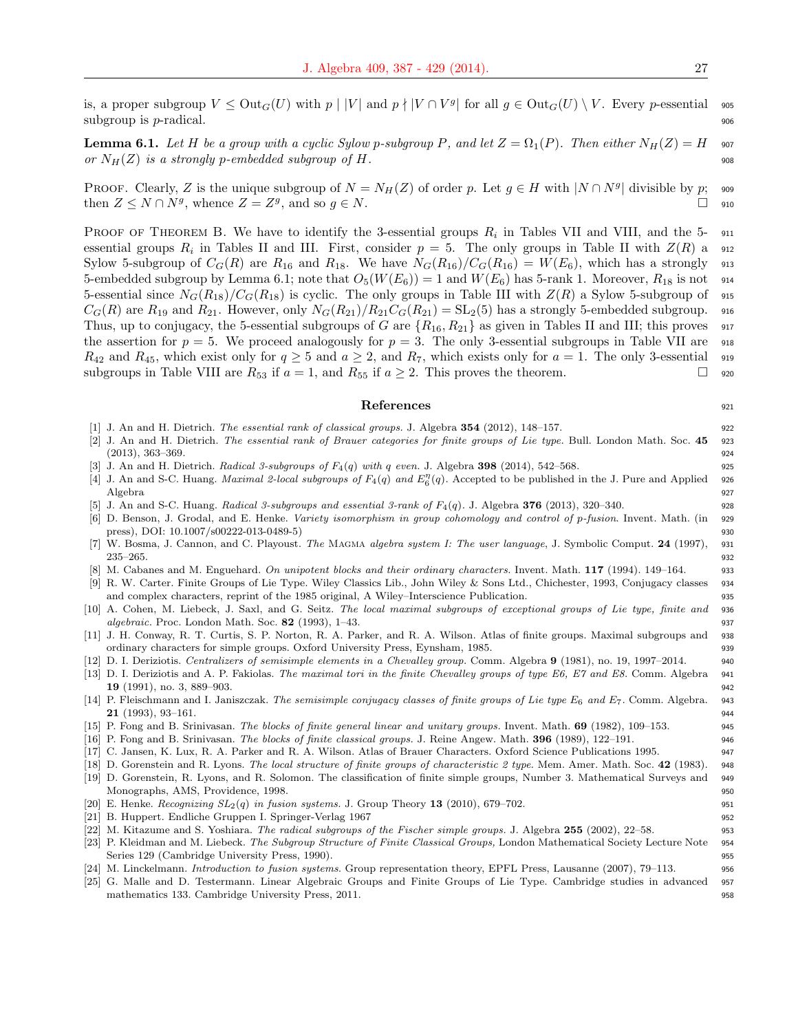is, a proper subgroup  $V \leq \text{Out}_G(U)$  with  $p \mid |V|$  and  $p \nmid |V \cap V^g|$  for all  $g \in \text{Out}_G(U) \setminus V$ . Every p-essential sos subgroup is  $p$ -radical.  $\Box$ 

**Lemma 6.1.** Let H be a group with a cyclic Sylow p-subgroup P, and let  $Z = \Omega_1(P)$ . Then either  $N_H(Z) = H$  907 or  $N_H(Z)$  is a strongly p-embedded subgroup of H.

PROOF. Clearly, Z is the unique subgroup of  $N = N_H(Z)$  of order p. Let  $g \in H$  with  $|N \cap N^g|$  divisible by p; 909 then  $Z \leq N \cap N^g$ , whence  $Z = Z^g$ , and so  $g \in N$ .

PROOF OF THEOREM B. We have to identify the 3-essential groups  $R_i$  in Tables VII and VIII, and the 5- 911 essential groups  $R_i$  in Tables II and III. First, consider  $p = 5$ . The only groups in Table II with  $Z(R)$  a 912 Sylow 5-subgroup of  $C_G(R)$  are  $R_{16}$  and  $R_{18}$ . We have  $N_G(R_{16})/C_G(R_{16}) = W(E_6)$ , which has a strongly 913 5-embedded subgroup by Lemma 6.1; note that  $O_5(W(E_6)) = 1$  and  $W(E_6)$  has 5-rank 1. Moreover,  $R_{18}$  is not 914 5-essential since  $N_G(R_{18})/C_G(R_{18})$  is cyclic. The only groups in Table III with  $Z(R)$  a Sylow 5-subgroup of 915  $C_G(R)$  are  $R_{19}$  and  $R_{21}$ . However, only  $N_G(R_{21})/R_{21}C_G(R_{21}) = SL_2(5)$  has a strongly 5-embedded subgroup. 916 Thus, up to conjugacy, the 5-essential subgroups of G are  $\{R_{16}, R_{21}\}$  as given in Tables II and III; this proves 917 the assertion for  $p = 5$ . We proceed analogously for  $p = 3$ . The only 3-essential subgroups in Table VII are 918  $R_{42}$  and  $R_{45}$ , which exist only for  $q \geq 5$  and  $a \geq 2$ , and  $R_7$ , which exists only for  $a = 1$ . The only 3-essential 919 subgroups in Table VIII are  $R_{53}$  if  $a = 1$ , and  $R_{55}$  if  $a \geq 2$ . This proves the theorem.

#### References 921

- 
- [1] J. An and H. Dietrich. *The essential rank of classical groups.* J. Algebra 354 (2012), 148–157.
- [2] J. An and H. Dietrich. The essential rank of Brauer categories for finite groups of Lie type. Bull. London Math. Soc.  $45$  923  $(2013)$ ,  $363-369$ . 924
- J. An and H. Dietrich. Radical 3-subgroups of  $F_4(q)$  with q even. J. Algebra 398 (2014), 542–568. 925
- [4] J. An and S-C. Huang. *Maximal 2-local subgroups of*  $F_4(q)$  and  $E_6^{\eta}(q)$ . Accepted to be published in the J. Pure and Applied 926 Algebra 927
- [5] J. An and S-C. Huang. Radical 3-subgroups and essential 3-rank of  $F_4(q)$ . J. Algebra 376 (2013), 320–340.
- [6] D. Benson, J. Grodal, and E. Henke. Variety isomorphism in group cohomology and control of p-fusion. Invent. Math. (in 929 press), DOI: 10.1007/s00222-013-0489-5) 930
- [7] W. Bosma, J. Cannon, and C. Playoust. The MAGMA algebra system I: The user language, J. Symbolic Comput. 24 (1997), 931  $235-265.$  932
- M. Cabanes and M. Enguehard. On unipotent blocks and their ordinary characters. Invent. Math. 117 (1994). 149–164. 933
- [9] R. W. Carter. Finite Groups of Lie Type. Wiley Classics Lib., John Wiley & Sons Ltd., Chichester, 1993, Conjugacy classes 934 and complex characters, reprint of the 1985 original, A Wiley–Interscience Publication. 935
- [10] A. Cohen, M. Liebeck, J. Saxl, and G. Seitz. The local maximal subgroups of exceptional groups of Lie type, finite and 936 *algebraic.* Proc. London Math. Soc.  $82$  (1993), 1–43. 937
- [11] J. H. Conway, R. T. Curtis, S. P. Norton, R. A. Parker, and R. A. Wilson. Atlas of finite groups. Maximal subgroups and 938 ordinary characters for simple groups. Oxford University Press, Eynsham, 1985. 939
- [12] D. I. Deriziotis. Centralizers of semisimple elements in a Chevalley group. Comm. Algebra 9 (1981), no. 19, 1997–2014. 940
- [13] D. I. Deriziotis and A. P. Fakiolas. The maximal tori in the finite Chevalley groups of type E6, E7 and E8. Comm. Algebra 941 **19** (1991), no. 3, 889–903. 942
- [14] P. Fleischmann and I. Janiszczak. The semisimple conjugacy classes of finite groups of Lie type  $E_6$  and  $E_7$ . Comm. Algebra. 943 **21** (1993), 93–161. 944
- [15] P. Fong and B. Srinivasan. The blocks of finite general linear and unitary groups. Invent. Math. 69 (1982), 109–153.
- [16] P. Fong and B. Srinivasan. The blocks of finite classical groups. J. Reine Angew. Math. 396 (1989), 122–191. 946
- [17] C. Jansen, K. Lux, R. A. Parker and R. A. Wilson. Atlas of Brauer Characters. Oxford Science Publications 1995. 947
- [18] D. Gorenstein and R. Lyons. The local structure of finite groups of characteristic 2 type. Mem. Amer. Math. Soc. 42 (1983). 948 [19] D. Gorenstein, R. Lyons, and R. Solomon. The classification of finite simple groups, Number 3. Mathematical Surveys and 949
- Monographs, AMS, Providence, 1998. 950 [20] E. Henke. Recognizing  $SL_2(q)$  in fusion systems. J. Group Theory 13 (2010), 679–702.
- [21] B. Huppert. Endliche Gruppen I. Springer-Verlag 1967 952
- [22] M. Kitazume and S. Yoshiara. The radical subgroups of the Fischer simple groups. J. Algebra 255 (2002), 22–58. 953
- [23] P. Kleidman and M. Liebeck. The Subgroup Structure of Finite Classical Groups, London Mathematical Society Lecture Note 954 Series 129 (Cambridge University Press, 1990). 955
- [24] M. Linckelmann. *Introduction to fusion systems*. Group representation theory, EPFL Press, Lausanne (2007), 79–113. 956
- [25] G. Malle and D. Testermann. Linear Algebraic Groups and Finite Groups of Lie Type. Cambridge studies in advanced 957 mathematics 133. Cambridge University Press, 2011.